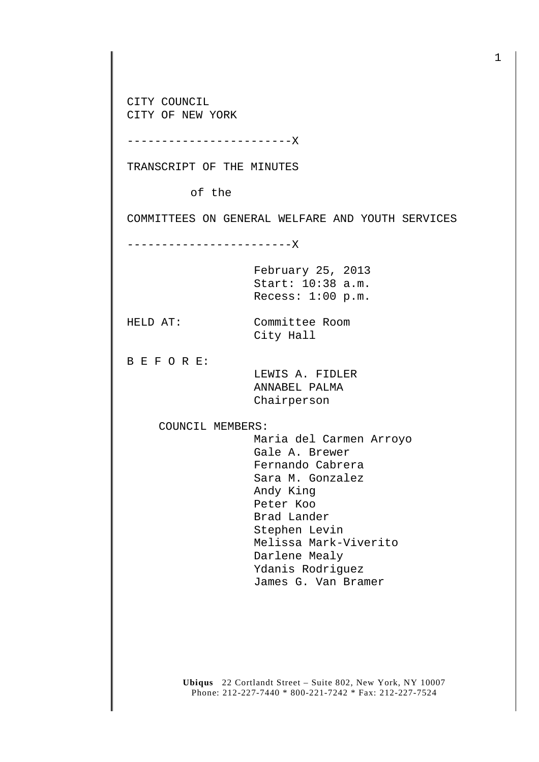CITY COUNCIL CITY OF NEW YORK

------------------------X

TRANSCRIPT OF THE MINUTES

of the

COMMITTEES ON GENERAL WELFARE AND YOUTH SERVICES

------------------------X

February 25, 2013 Start: 10:38 a.m. Recess: 1:00 p.m.

HELD AT: Committee Room

City Hall

B E F O R E:

 LEWIS A. FIDLER ANNABEL PALMA Chairperson

COUNCIL MEMBERS:

 Maria del Carmen Arroyo Gale A. Brewer Fernando Cabrera Sara M. Gonzalez Andy King Peter Koo Brad Lander Stephen Levin Melissa Mark-Viverito Darlene Mealy Ydanis Rodriguez James G. Van Bramer

**Ubiqus** 22 Cortlandt Street – Suite 802, New York, NY 10007 Phone: 212-227-7440 \* 800-221-7242 \* Fax: 212-227-7524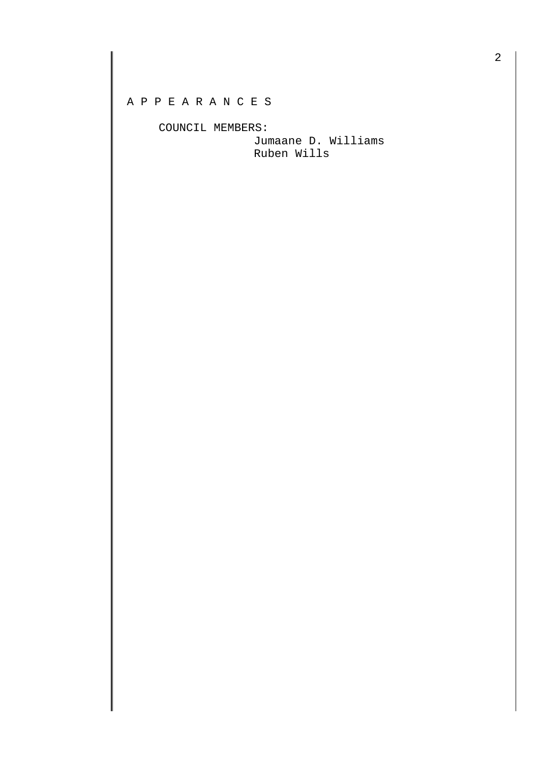## A P P E A R A N C E S

COUNCIL MEMBERS:

 Jumaane D. Williams Ruben Wills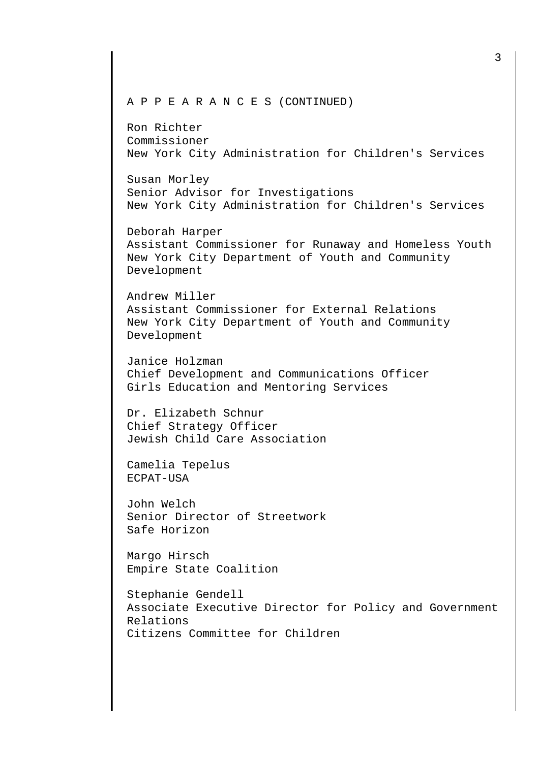## A P P E A R A N C E S (CONTINUED)

Ron Richter Commissioner New York City Administration for Children's Services

Susan Morley Senior Advisor for Investigations New York City Administration for Children's Services

Deborah Harper Assistant Commissioner for Runaway and Homeless Youth New York City Department of Youth and Community Development

Andrew Miller Assistant Commissioner for External Relations New York City Department of Youth and Community Development

Janice Holzman Chief Development and Communications Officer Girls Education and Mentoring Services

Dr. Elizabeth Schnur Chief Strategy Officer Jewish Child Care Association

Camelia Tepelus ECPAT-USA

John Welch Senior Director of Streetwork Safe Horizon

Margo Hirsch Empire State Coalition

Stephanie Gendell Associate Executive Director for Policy and Government Relations Citizens Committee for Children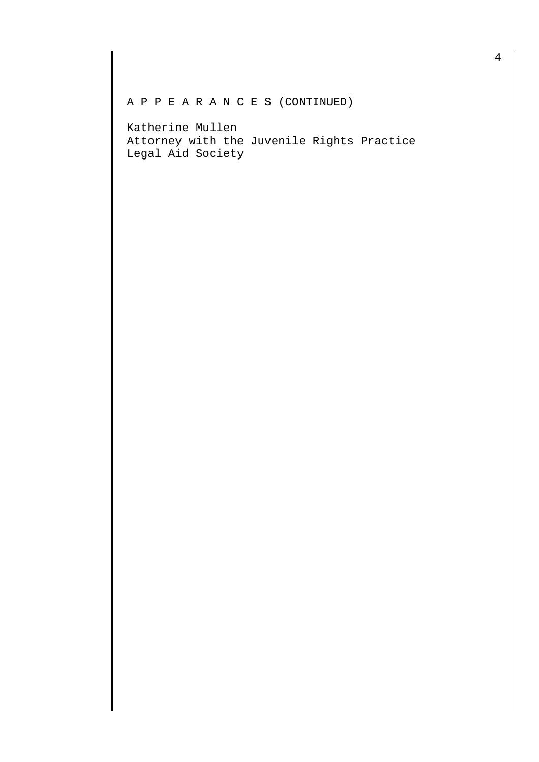## A P P E A R A N C E S (CONTINUED)

Katherine Mullen Attorney with the Juvenile Rights Practice Legal Aid Society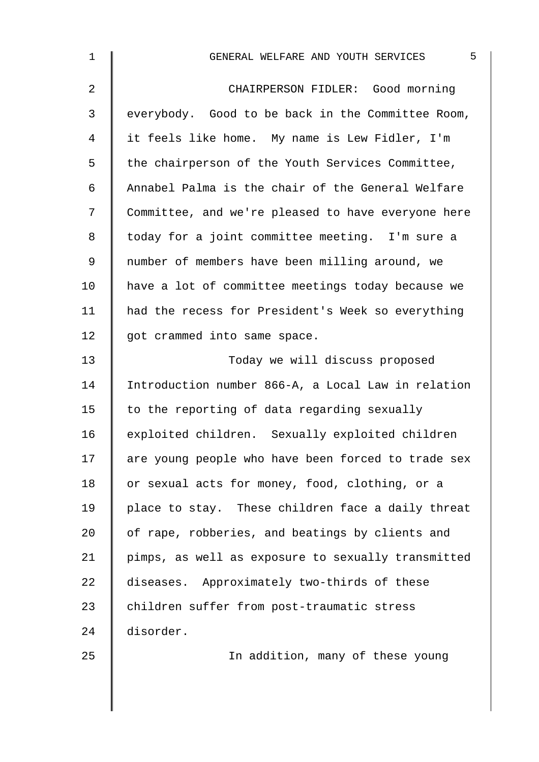| $\mathbf 1$    | 5<br>GENERAL WELFARE AND YOUTH SERVICES            |
|----------------|----------------------------------------------------|
| $\overline{2}$ | CHAIRPERSON FIDLER: Good morning                   |
| $\mathfrak{Z}$ | everybody. Good to be back in the Committee Room,  |
| 4              | it feels like home. My name is Lew Fidler, I'm     |
| 5              | the chairperson of the Youth Services Committee,   |
| 6              | Annabel Palma is the chair of the General Welfare  |
| 7              | Committee, and we're pleased to have everyone here |
| 8              | today for a joint committee meeting. I'm sure a    |
| 9              | number of members have been milling around, we     |
| 10             | have a lot of committee meetings today because we  |
| 11             | had the recess for President's Week so everything  |
| 12             | got crammed into same space.                       |
| 13             | Today we will discuss proposed                     |
| 14             | Introduction number 866-A, a Local Law in relation |
| 15             | to the reporting of data regarding sexually        |
| 16             | exploited children. Sexually exploited children    |
| 17             | are young people who have been forced to trade sex |
| 18             | or sexual acts for money, food, clothing, or a     |
| 19             | place to stay. These children face a daily threat  |
| 20             | of rape, robberies, and beatings by clients and    |
| 21             | pimps, as well as exposure to sexually transmitted |
| 22             | diseases. Approximately two-thirds of these        |
| 23             | children suffer from post-traumatic stress         |
| 24             | disorder.                                          |
| 25             | In addition, many of these young                   |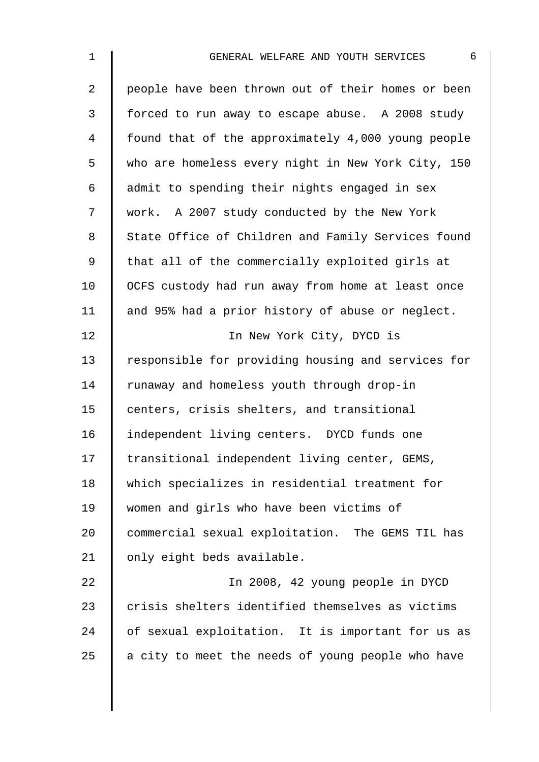| $\mathbf 1$    | 6<br>GENERAL WELFARE AND YOUTH SERVICES            |
|----------------|----------------------------------------------------|
| $\overline{a}$ | people have been thrown out of their homes or been |
| 3              | forced to run away to escape abuse. A 2008 study   |
| 4              | found that of the approximately 4,000 young people |
| 5              | who are homeless every night in New York City, 150 |
| 6              | admit to spending their nights engaged in sex      |
| 7              | work. A 2007 study conducted by the New York       |
| 8              | State Office of Children and Family Services found |
| 9              | that all of the commercially exploited girls at    |
| 10             | OCFS custody had run away from home at least once  |
| 11             | and 95% had a prior history of abuse or neglect.   |
| 12             | In New York City, DYCD is                          |
| 13             | responsible for providing housing and services for |
| 14             | runaway and homeless youth through drop-in         |
| 15             | centers, crisis shelters, and transitional         |
| 16             | independent living centers. DYCD funds one         |
| 17             | transitional independent living center, GEMS,      |
| 18             | which specializes in residential treatment for     |
| 19             | women and girls who have been victims of           |
| 20             | commercial sexual exploitation. The GEMS TIL has   |
| 21             | only eight beds available.                         |
| 22             | In 2008, 42 young people in DYCD                   |
| 23             | crisis shelters identified themselves as victims   |
| 24             | of sexual exploitation. It is important for us as  |
| 25             | a city to meet the needs of young people who have  |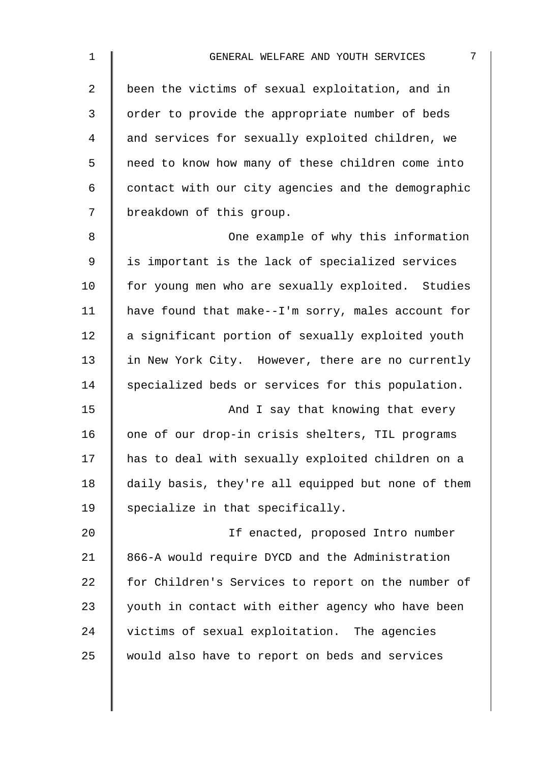| $\mathbf 1$    | 7<br>GENERAL WELFARE AND YOUTH SERVICES            |
|----------------|----------------------------------------------------|
| $\overline{2}$ | been the victims of sexual exploitation, and in    |
| 3              | order to provide the appropriate number of beds    |
| 4              | and services for sexually exploited children, we   |
| 5              | need to know how many of these children come into  |
| 6              | contact with our city agencies and the demographic |
| 7              | breakdown of this group.                           |
| 8              | One example of why this information                |
| 9              | is important is the lack of specialized services   |
| 10             | for young men who are sexually exploited. Studies  |
| 11             | have found that make--I'm sorry, males account for |
| 12             | a significant portion of sexually exploited youth  |
| 13             | in New York City. However, there are no currently  |
| 14             | specialized beds or services for this population.  |
| 15             | And I say that knowing that every                  |
| 16             | one of our drop-in crisis shelters, TIL programs   |
| 17             | has to deal with sexually exploited children on a  |
| 18             | daily basis, they're all equipped but none of them |
| 19             | specialize in that specifically.                   |
| 20             | If enacted, proposed Intro number                  |
| 21             | 866-A would require DYCD and the Administration    |
| 22             | for Children's Services to report on the number of |
| 23             | youth in contact with either agency who have been  |
| 24             | victims of sexual exploitation. The agencies       |
| 25             | would also have to report on beds and services     |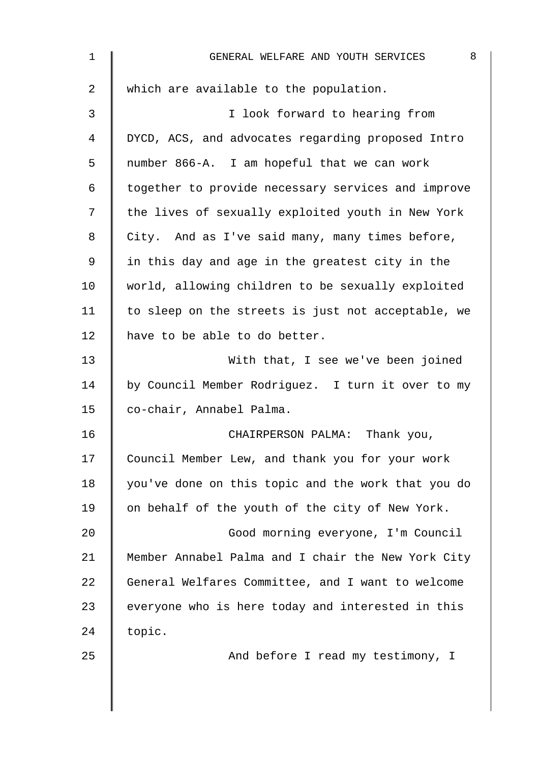| 1  | 8<br>GENERAL WELFARE AND YOUTH SERVICES            |
|----|----------------------------------------------------|
| 2  | which are available to the population.             |
| 3  | I look forward to hearing from                     |
| 4  | DYCD, ACS, and advocates regarding proposed Intro  |
| 5  | number 866-A. I am hopeful that we can work        |
| 6  | together to provide necessary services and improve |
| 7  | the lives of sexually exploited youth in New York  |
| 8  | City. And as I've said many, many times before,    |
| 9  | in this day and age in the greatest city in the    |
| 10 | world, allowing children to be sexually exploited  |
| 11 | to sleep on the streets is just not acceptable, we |
| 12 | have to be able to do better.                      |
| 13 | With that, I see we've been joined                 |
| 14 | by Council Member Rodriguez. I turn it over to my  |
| 15 | co-chair, Annabel Palma.                           |
| 16 | CHAIRPERSON PALMA: Thank you,                      |
| 17 | Council Member Lew, and thank you for your work    |
| 18 | you've done on this topic and the work that you do |
| 19 | on behalf of the youth of the city of New York.    |
| 20 | Good morning everyone, I'm Council                 |
| 21 | Member Annabel Palma and I chair the New York City |
| 22 | General Welfares Committee, and I want to welcome  |
| 23 | everyone who is here today and interested in this  |
| 24 | topic.                                             |
| 25 | And before I read my testimony, I                  |
|    |                                                    |
|    |                                                    |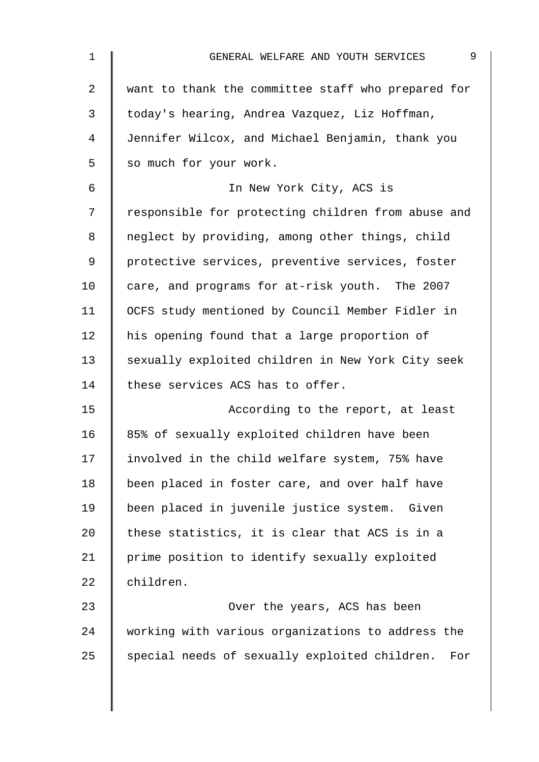| $\mathbf{1}$   | 9<br>GENERAL WELFARE AND YOUTH SERVICES              |
|----------------|------------------------------------------------------|
| $\overline{a}$ | want to thank the committee staff who prepared for   |
| 3              | today's hearing, Andrea Vazquez, Liz Hoffman,        |
| $\overline{4}$ | Jennifer Wilcox, and Michael Benjamin, thank you     |
| 5              | so much for your work.                               |
| 6              | In New York City, ACS is                             |
| 7              | responsible for protecting children from abuse and   |
| 8              | neglect by providing, among other things, child      |
| 9              | protective services, preventive services, foster     |
| 10             | care, and programs for at-risk youth. The 2007       |
| 11             | OCFS study mentioned by Council Member Fidler in     |
| 12             | his opening found that a large proportion of         |
| 13             | sexually exploited children in New York City seek    |
| 14             | these services ACS has to offer.                     |
| 15             | According to the report, at least                    |
| 16             | 85% of sexually exploited children have been         |
| 17             | involved in the child welfare system, 75% have       |
| 18             | been placed in foster care, and over half have       |
| 19             | been placed in juvenile justice system. Given        |
| 20             | these statistics, it is clear that ACS is in a       |
| 21             | prime position to identify sexually exploited        |
| 22             | children.                                            |
| 23             | Over the years, ACS has been                         |
| 24             | working with various organizations to address the    |
| 25             | special needs of sexually exploited children.<br>For |
|                |                                                      |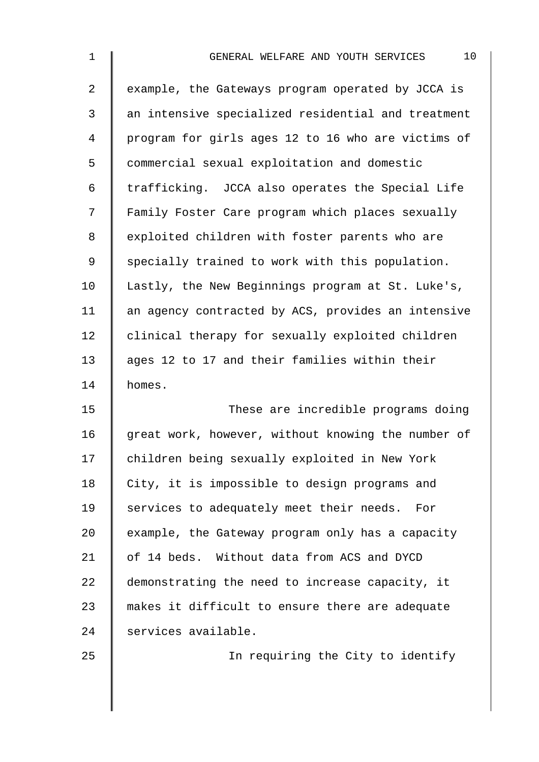| $\mathbf 1$     | 10<br>GENERAL WELFARE AND YOUTH SERVICES           |
|-----------------|----------------------------------------------------|
| 2               | example, the Gateways program operated by JCCA is  |
| 3               | an intensive specialized residential and treatment |
| 4               | program for girls ages 12 to 16 who are victims of |
| 5               | commercial sexual exploitation and domestic        |
| 6               | trafficking. JCCA also operates the Special Life   |
| 7               | Family Foster Care program which places sexually   |
| 8               | exploited children with foster parents who are     |
| 9               | specially trained to work with this population.    |
| 10              | Lastly, the New Beginnings program at St. Luke's,  |
| 11              | an agency contracted by ACS, provides an intensive |
| 12              | clinical therapy for sexually exploited children   |
| 13              | ages 12 to 17 and their families within their      |
| 14              | homes.                                             |
| 15              | These are incredible programs doing                |
| 16              | great work, however, without knowing the number of |
| 17              | children being sexually exploited in New York      |
| 18              | City, it is impossible to design programs and      |
| 19              | services to adequately meet their needs. For       |
| 20              | example, the Gateway program only has a capacity   |
| 21              | of 14 beds. Without data from ACS and DYCD         |
| 22              | demonstrating the need to increase capacity, it    |
| 23              | makes it difficult to ensure there are adequate    |
| 24              | services available.                                |
| $\cap$ $\Gamma$ | المستراب المتحدث والمتحدث                          |

25 | Constant Theory Cheen City to identify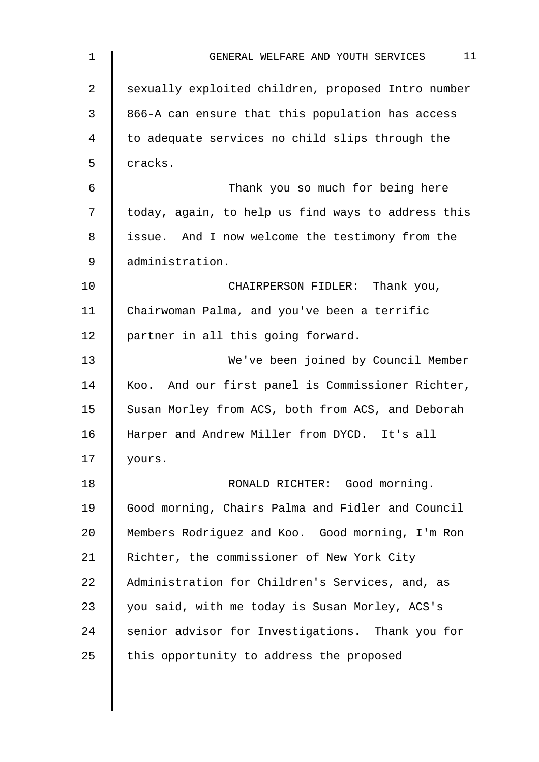| $\mathbf 1$    | 11<br>GENERAL WELFARE AND YOUTH SERVICES           |
|----------------|----------------------------------------------------|
| $\overline{2}$ | sexually exploited children, proposed Intro number |
| 3              | 866-A can ensure that this population has access   |
| $\overline{4}$ | to adequate services no child slips through the    |
| 5              | cracks.                                            |
| $\epsilon$     | Thank you so much for being here                   |
| 7              | today, again, to help us find ways to address this |
| 8              | issue. And I now welcome the testimony from the    |
| $\mathsf 9$    | administration.                                    |
| 10             | CHAIRPERSON FIDLER: Thank you,                     |
| 11             | Chairwoman Palma, and you've been a terrific       |
| 12             | partner in all this going forward.                 |
| 13             | We've been joined by Council Member                |
| 14             | Koo. And our first panel is Commissioner Richter,  |
| 15             | Susan Morley from ACS, both from ACS, and Deborah  |
| 16             | Harper and Andrew Miller from DYCD. It's all       |
| 17             | yours.                                             |
| 18             | RONALD RICHTER: Good morning.                      |
| 19             | Good morning, Chairs Palma and Fidler and Council  |
| 20             | Members Rodriguez and Koo. Good morning, I'm Ron   |
| 21             | Richter, the commissioner of New York City         |
| 22             | Administration for Children's Services, and, as    |
| 23             | you said, with me today is Susan Morley, ACS's     |
| 24             | senior advisor for Investigations. Thank you for   |
| 25             | this opportunity to address the proposed           |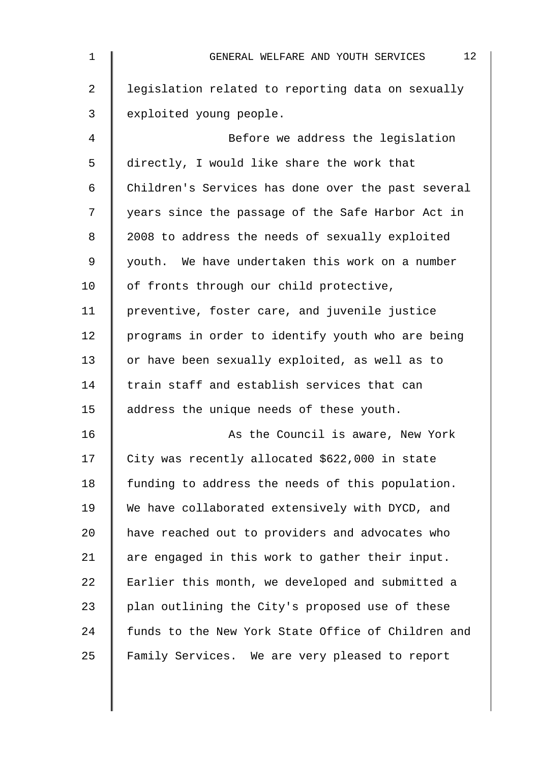| 1              | 12<br>GENERAL WELFARE AND YOUTH SERVICES           |
|----------------|----------------------------------------------------|
| $\overline{2}$ | legislation related to reporting data on sexually  |
| 3              | exploited young people.                            |
| 4              | Before we address the legislation                  |
| 5              | directly, I would like share the work that         |
| 6              | Children's Services has done over the past several |
| 7              | years since the passage of the Safe Harbor Act in  |
| 8              | 2008 to address the needs of sexually exploited    |
| 9              | youth. We have undertaken this work on a number    |
| 10             | of fronts through our child protective,            |
| 11             | preventive, foster care, and juvenile justice      |
| 12             | programs in order to identify youth who are being  |
| 13             | or have been sexually exploited, as well as to     |
| 14             | train staff and establish services that can        |
| 15             | address the unique needs of these youth.           |
| 16             | As the Council is aware, New York                  |
| 17             | City was recently allocated \$622,000 in state     |
| 18             | funding to address the needs of this population.   |
| 19             | We have collaborated extensively with DYCD, and    |
| 20             | have reached out to providers and advocates who    |
| 21             | are engaged in this work to gather their input.    |
| 22             | Earlier this month, we developed and submitted a   |
| 23             | plan outlining the City's proposed use of these    |
| 24             | funds to the New York State Office of Children and |
| 25             | Family Services. We are very pleased to report     |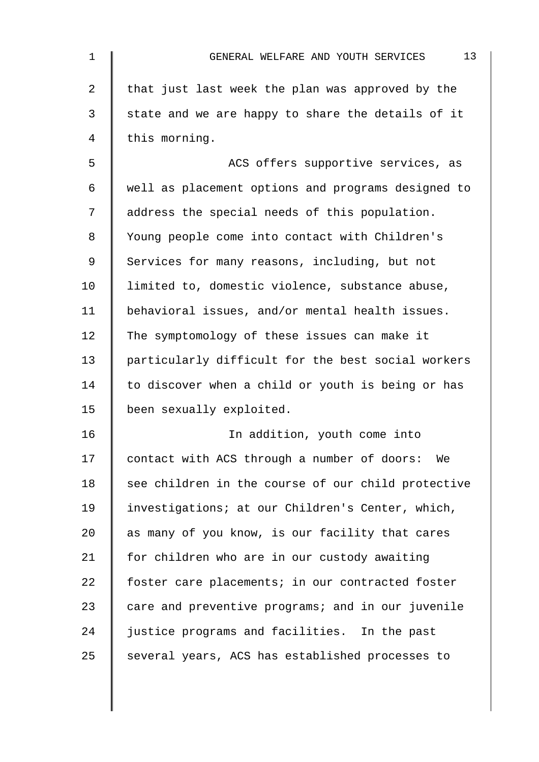| $\mathbf 1$ | 13<br>GENERAL WELFARE AND YOUTH SERVICES           |
|-------------|----------------------------------------------------|
| 2           | that just last week the plan was approved by the   |
| 3           | state and we are happy to share the details of it  |
| 4           | this morning.                                      |
| 5           | ACS offers supportive services, as                 |
| 6           | well as placement options and programs designed to |
| 7           | address the special needs of this population.      |
| 8           | Young people come into contact with Children's     |
| 9           | Services for many reasons, including, but not      |
| 10          | limited to, domestic violence, substance abuse,    |
| 11          | behavioral issues, and/or mental health issues.    |
| 12          | The symptomology of these issues can make it       |
| 13          | particularly difficult for the best social workers |
| 14          | to discover when a child or youth is being or has  |
| 15          | been sexually exploited.                           |
| 16          | In addition, youth come into                       |
| 17          | contact with ACS through a number of doors: We     |
| 18          | see children in the course of our child protective |
| 19          | investigations; at our Children's Center, which,   |
| 20          | as many of you know, is our facility that cares    |
| 21          | for children who are in our custody awaiting       |
| 22          | foster care placements; in our contracted foster   |
| 23          | care and preventive programs; and in our juvenile  |
| 24          | justice programs and facilities. In the past       |
| 25          | several years, ACS has established processes to    |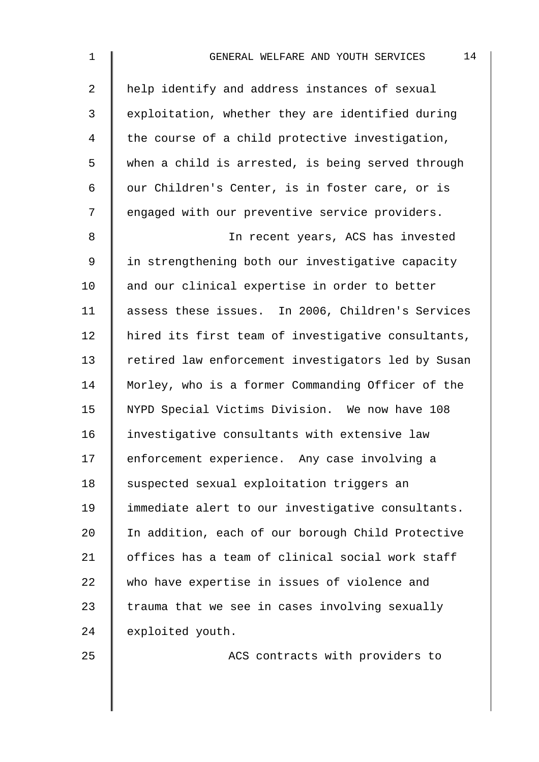| $\mathbf{1}$   | 14<br>GENERAL WELFARE AND YOUTH SERVICES          |
|----------------|---------------------------------------------------|
| $\overline{2}$ | help identify and address instances of sexual     |
| 3              | exploitation, whether they are identified during  |
| 4              | the course of a child protective investigation,   |
| 5              | when a child is arrested, is being served through |
| 6              | our Children's Center, is in foster care, or is   |
| 7              | engaged with our preventive service providers.    |
| 8              | In recent years, ACS has invested                 |
| 9              | in strengthening both our investigative capacity  |
| 10             | and our clinical expertise in order to better     |
| 11             | assess these issues. In 2006, Children's Services |
|                |                                                   |

11 assess these issues. In 2006, Children's Services 12 | hired its first team of investigative consultants, 13 | retired law enforcement investigators led by Susan 14 Morley, who is a former Commanding Officer of the 15 | NYPD Special Victims Division. We now have 108 16 investigative consultants with extensive law 17 | enforcement experience. Any case involving a 18 | suspected sexual exploitation triggers an 19 | immediate alert to our investigative consultants. 20 | In addition, each of our borough Child Protective 21 | offices has a team of clinical social work staff 22 who have expertise in issues of violence and  $23$  | trauma that we see in cases involving sexually 24 exploited youth.

25 | ACS contracts with providers to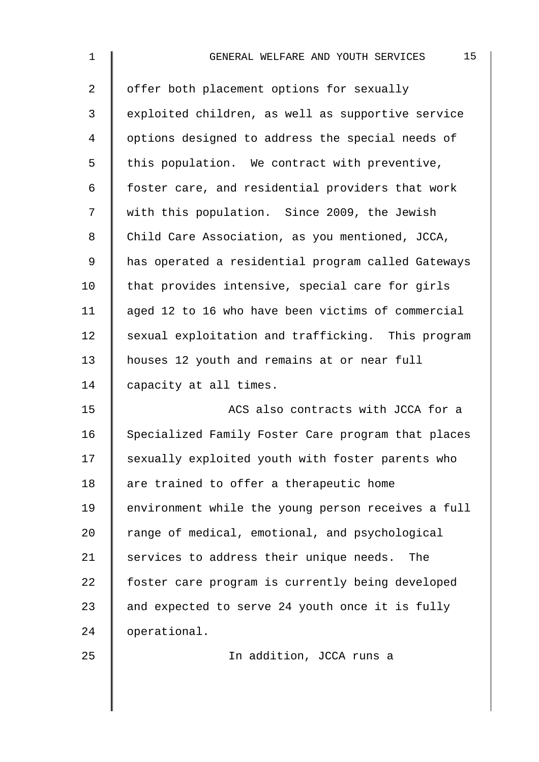| $\mathbf 1$    | 15<br>GENERAL WELFARE AND YOUTH SERVICES           |
|----------------|----------------------------------------------------|
| $\overline{2}$ | offer both placement options for sexually          |
| $\mathfrak{Z}$ | exploited children, as well as supportive service  |
| 4              | options designed to address the special needs of   |
| 5              | this population. We contract with preventive,      |
| 6              | foster care, and residential providers that work   |
| 7              | with this population. Since 2009, the Jewish       |
| 8              | Child Care Association, as you mentioned, JCCA,    |
| 9              | has operated a residential program called Gateways |
| 10             | that provides intensive, special care for girls    |
| 11             | aged 12 to 16 who have been victims of commercial  |
| 12             | sexual exploitation and trafficking. This program  |
| 13             | houses 12 youth and remains at or near full        |
| 14             | capacity at all times.                             |
| 15             | ACS also contracts with JCCA for a                 |
| 16             | Specialized Family Foster Care program that places |
| 17             | sexually exploited youth with foster parents who   |
| 18             | are trained to offer a therapeutic home            |
| 19             | environment while the young person receives a full |
| $20 \,$        | range of medical, emotional, and psychological     |
| 21             | services to address their unique needs.<br>The     |
| 22             | foster care program is currently being developed   |
| 23             | and expected to serve 24 youth once it is fully    |
| 24             | operational.                                       |
| 25             | In addition, JCCA runs a                           |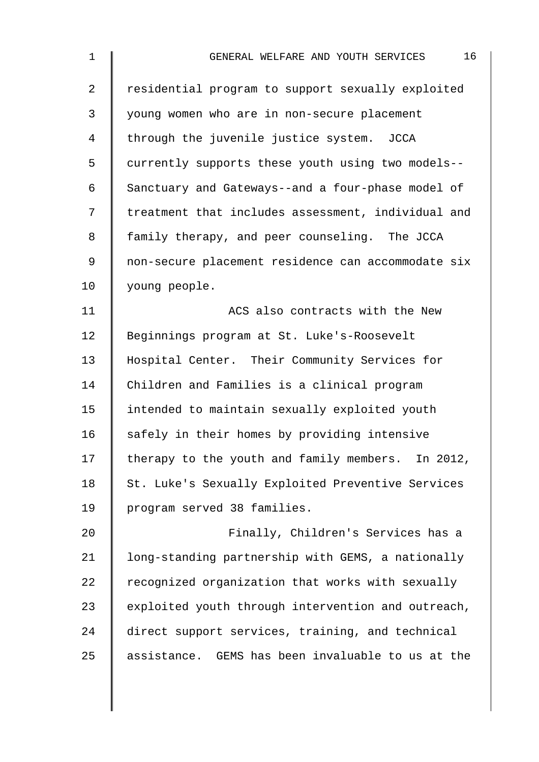| 1              | 16<br>GENERAL WELFARE AND YOUTH SERVICES           |
|----------------|----------------------------------------------------|
| $\overline{a}$ | residential program to support sexually exploited  |
| 3              | young women who are in non-secure placement        |
| 4              | through the juvenile justice system. JCCA          |
| 5              | currently supports these youth using two models--  |
| 6              | Sanctuary and Gateways--and a four-phase model of  |
| 7              | treatment that includes assessment, individual and |
| 8              | family therapy, and peer counseling. The JCCA      |
| 9              | non-secure placement residence can accommodate six |
| 10             | young people.                                      |
| 11             | ACS also contracts with the New                    |
| 12             | Beginnings program at St. Luke's-Roosevelt         |
| 13             | Hospital Center. Their Community Services for      |
| 14             | Children and Families is a clinical program        |
| 15             | intended to maintain sexually exploited youth      |
| 16             | safely in their homes by providing intensive       |
| 17             | therapy to the youth and family members. In 2012,  |
| 18             | St. Luke's Sexually Exploited Preventive Services  |
| 19             | program served 38 families.                        |
| 20             | Finally, Children's Services has a                 |
| 21             | long-standing partnership with GEMS, a nationally  |
| 22             | recognized organization that works with sexually   |
| 23             | exploited youth through intervention and outreach, |
| 24             | direct support services, training, and technical   |
| 25             | assistance. GEMS has been invaluable to us at the  |
|                |                                                    |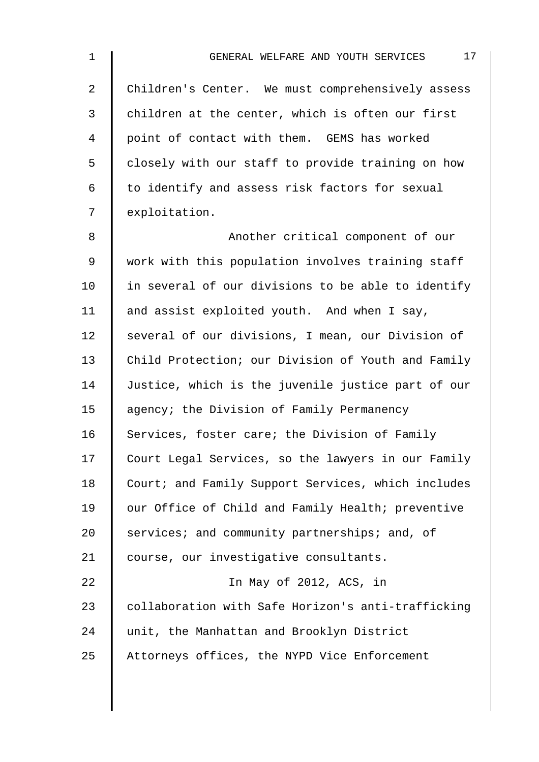| $\mathbf 1$    | 17<br>GENERAL WELFARE AND YOUTH SERVICES           |
|----------------|----------------------------------------------------|
| $\overline{2}$ | Children's Center. We must comprehensively assess  |
| $\mathfrak{Z}$ | children at the center, which is often our first   |
| 4              | point of contact with them. GEMS has worked        |
| 5              | closely with our staff to provide training on how  |
| 6              | to identify and assess risk factors for sexual     |
| 7              | exploitation.                                      |
| 8              | Another critical component of our                  |
| 9              | work with this population involves training staff  |
| 10             | in several of our divisions to be able to identify |
| 11             | and assist exploited youth. And when I say,        |
| 12             | several of our divisions, I mean, our Division of  |
| 13             | Child Protection; our Division of Youth and Family |
| 14             | Justice, which is the juvenile justice part of our |
| 15             | agency; the Division of Family Permanency          |
| 16             | Services, foster care; the Division of Family      |
| 17             | Court Legal Services, so the lawyers in our Family |
| 18             | Court; and Family Support Services, which includes |
| 19             | our Office of Child and Family Health; preventive  |
| 20             | services; and community partnerships; and, of      |
| 21             | course, our investigative consultants.             |
| 22             | In May of 2012, ACS, in                            |
| 23             | collaboration with Safe Horizon's anti-trafficking |
| 24             | unit, the Manhattan and Brooklyn District          |
| 25             | Attorneys offices, the NYPD Vice Enforcement       |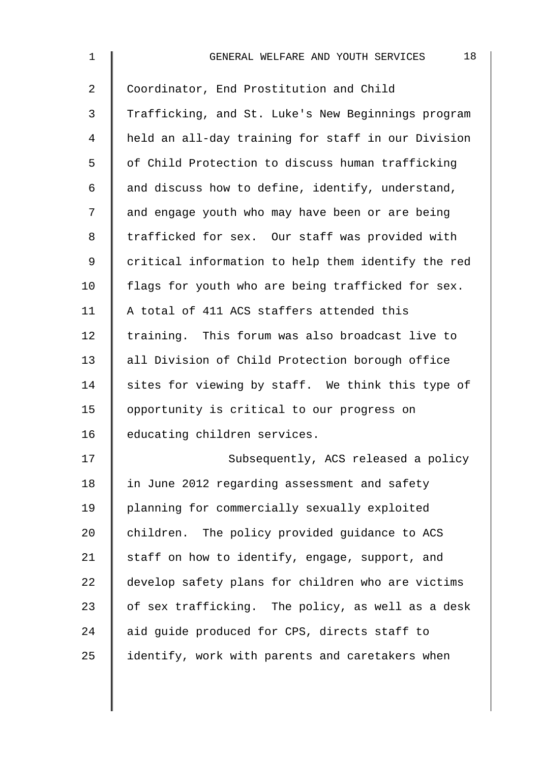| $\mathbf 1$    | 18<br>GENERAL WELFARE AND YOUTH SERVICES           |
|----------------|----------------------------------------------------|
| $\overline{a}$ | Coordinator, End Prostitution and Child            |
| 3              | Trafficking, and St. Luke's New Beginnings program |
| 4              | held an all-day training for staff in our Division |
| 5              | of Child Protection to discuss human trafficking   |
| 6              | and discuss how to define, identify, understand,   |
| 7              | and engage youth who may have been or are being    |
| 8              | trafficked for sex. Our staff was provided with    |
| 9              | critical information to help them identify the red |
| 10             | flags for youth who are being trafficked for sex.  |
| 11             | A total of 411 ACS staffers attended this          |
| 12             | training. This forum was also broadcast live to    |
| 13             | all Division of Child Protection borough office    |
| 14             | sites for viewing by staff. We think this type of  |
| 15             | opportunity is critical to our progress on         |
| 16             | educating children services.                       |
| 17             | Subsequently, ACS released a policy                |
| 18             | in June 2012 regarding assessment and safety       |
| 19             | planning for commercially sexually exploited       |
| 20             | children. The policy provided guidance to ACS      |
| 21             | staff on how to identify, engage, support, and     |
| 22             | develop safety plans for children who are victims  |
| 23             | of sex trafficking. The policy, as well as a desk  |
| 24             | aid guide produced for CPS, directs staff to       |
| 25             | identify, work with parents and caretakers when    |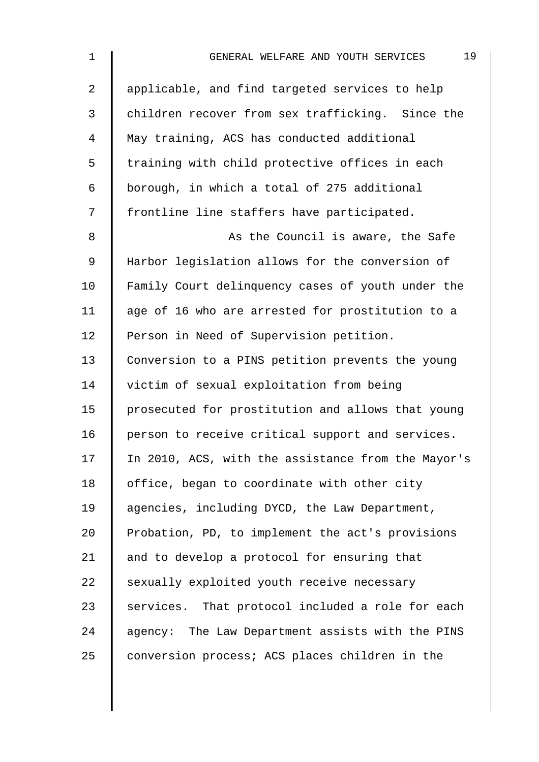| $\mathbf 1$    | 19<br>GENERAL WELFARE AND YOUTH SERVICES           |
|----------------|----------------------------------------------------|
| $\overline{a}$ | applicable, and find targeted services to help     |
| $\mathfrak{Z}$ | children recover from sex trafficking. Since the   |
| $\overline{4}$ | May training, ACS has conducted additional         |
| 5              | training with child protective offices in each     |
| 6              | borough, in which a total of 275 additional        |
| 7              | frontline line staffers have participated.         |
| 8              | As the Council is aware, the Safe                  |
| 9              | Harbor legislation allows for the conversion of    |
| 10             | Family Court delinquency cases of youth under the  |
| 11             | age of 16 who are arrested for prostitution to a   |
| 12             | Person in Need of Supervision petition.            |
| 13             | Conversion to a PINS petition prevents the young   |
| 14             | victim of sexual exploitation from being           |
| 15             | prosecuted for prostitution and allows that young  |
| 16             | person to receive critical support and services.   |
| 17             | In 2010, ACS, with the assistance from the Mayor's |
| 18             | office, began to coordinate with other city        |
| 19             | agencies, including DYCD, the Law Department,      |
| 20             | Probation, PD, to implement the act's provisions   |
| 21             | and to develop a protocol for ensuring that        |
| 22             | sexually exploited youth receive necessary         |
| 23             | services. That protocol included a role for each   |
| 24             | agency: The Law Department assists with the PINS   |
| 25             | conversion process; ACS places children in the     |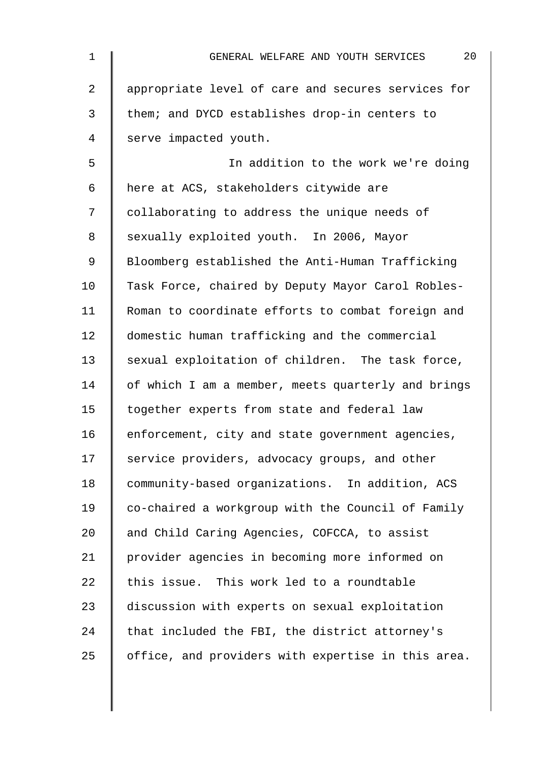| 1              | 20<br>GENERAL WELFARE AND YOUTH SERVICES           |
|----------------|----------------------------------------------------|
| $\overline{a}$ | appropriate level of care and secures services for |
| 3              | them; and DYCD establishes drop-in centers to      |
| 4              | serve impacted youth.                              |
| 5              | In addition to the work we're doing                |
| 6              | here at ACS, stakeholders citywide are             |
| 7              | collaborating to address the unique needs of       |
| 8              | sexually exploited youth. In 2006, Mayor           |
| 9              | Bloomberg established the Anti-Human Trafficking   |
| 10             | Task Force, chaired by Deputy Mayor Carol Robles-  |
| 11             | Roman to coordinate efforts to combat foreign and  |
| 12             | domestic human trafficking and the commercial      |
| 13             | sexual exploitation of children. The task force,   |
| 14             | of which I am a member, meets quarterly and brings |
| 15             | together experts from state and federal law        |
| 16             | enforcement, city and state government agencies,   |
| 17             | service providers, advocacy groups, and other      |
| 18             | community-based organizations. In addition, ACS    |
| 19             | co-chaired a workgroup with the Council of Family  |
| 20             | and Child Caring Agencies, COFCCA, to assist       |
| 21             | provider agencies in becoming more informed on     |
| 22             | this issue. This work led to a roundtable          |
| 23             | discussion with experts on sexual exploitation     |
| 24             | that included the FBI, the district attorney's     |
| 25             | office, and providers with expertise in this area. |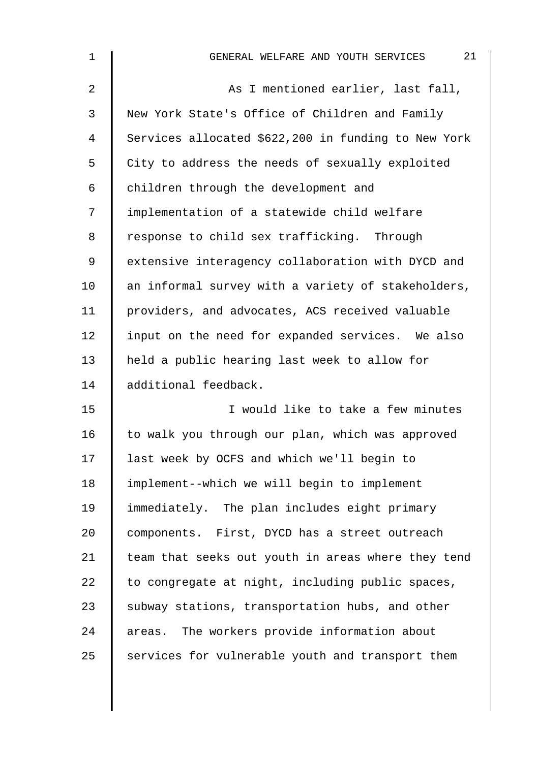| $\mathbf{1}$   | 21<br>GENERAL WELFARE AND YOUTH SERVICES            |
|----------------|-----------------------------------------------------|
| $\overline{2}$ | As I mentioned earlier, last fall,                  |
| 3              | New York State's Office of Children and Family      |
| 4              | Services allocated \$622,200 in funding to New York |
| 5              | City to address the needs of sexually exploited     |
| 6              | children through the development and                |
| 7              | implementation of a statewide child welfare         |
| 8              | response to child sex trafficking. Through          |
| 9              | extensive interagency collaboration with DYCD and   |
| 10             | an informal survey with a variety of stakeholders,  |
| 11             | providers, and advocates, ACS received valuable     |
| 12             | input on the need for expanded services. We also    |
| 13             | held a public hearing last week to allow for        |
| 14             | additional feedback.                                |
| 15             | I would like to take a few minutes                  |
| 16             | to walk you through our plan, which was approved    |
| 17             | last week by OCFS and which we'll begin to          |
| 18             | implement--which we will begin to implement         |
| 19             | immediately. The plan includes eight primary        |
| 20             | components. First, DYCD has a street outreach       |
| 21             | team that seeks out youth in areas where they tend  |
| 22             | to congregate at night, including public spaces,    |
| 23             | subway stations, transportation hubs, and other     |
| 24             | areas. The workers provide information about        |
| 25             | services for vulnerable youth and transport them    |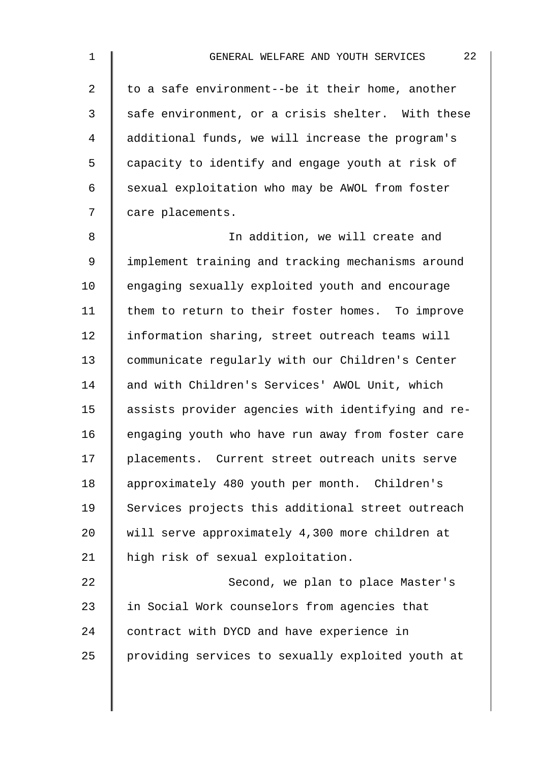| $\mathbf 1$    | 22<br>GENERAL WELFARE AND YOUTH SERVICES           |
|----------------|----------------------------------------------------|
| $\overline{a}$ | to a safe environment--be it their home, another   |
| 3              | safe environment, or a crisis shelter. With these  |
| 4              | additional funds, we will increase the program's   |
| 5              | capacity to identify and engage youth at risk of   |
| 6              | sexual exploitation who may be AWOL from foster    |
| 7              | care placements.                                   |
| 8              | In addition, we will create and                    |
| $\mathsf 9$    | implement training and tracking mechanisms around  |
| 10             | engaging sexually exploited youth and encourage    |
| 11             | them to return to their foster homes. To improve   |
| 12             | information sharing, street outreach teams will    |
| 13             | communicate regularly with our Children's Center   |
| 14             | and with Children's Services' AWOL Unit, which     |
| 15             | assists provider agencies with identifying and re- |
| 16             | engaging youth who have run away from foster care  |
| 17             | placements. Current street outreach units serve    |
| 18             | approximately 480 youth per month. Children's      |
| 19             | Services projects this additional street outreach  |
| 20             | will serve approximately 4,300 more children at    |
| 21             | high risk of sexual exploitation.                  |
| 22             | Second, we plan to place Master's                  |
| 23             | in Social Work counselors from agencies that       |
| 24             | contract with DYCD and have experience in          |

25 providing services to sexually exploited youth at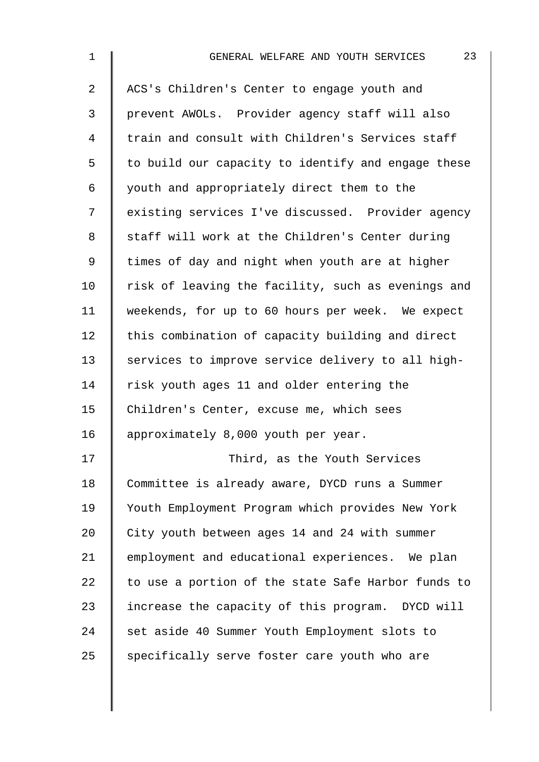| $\mathbf 1$    | 23<br>GENERAL WELFARE AND YOUTH SERVICES           |
|----------------|----------------------------------------------------|
| $\overline{a}$ | ACS's Children's Center to engage youth and        |
| 3              | prevent AWOLs. Provider agency staff will also     |
| $\overline{4}$ | train and consult with Children's Services staff   |
| 5              | to build our capacity to identify and engage these |
| 6              | youth and appropriately direct them to the         |
| 7              | existing services I've discussed. Provider agency  |
| 8              | staff will work at the Children's Center during    |
| $\mathsf 9$    | times of day and night when youth are at higher    |
| 10             | risk of leaving the facility, such as evenings and |
| 11             | weekends, for up to 60 hours per week. We expect   |
| 12             | this combination of capacity building and direct   |
| 13             | services to improve service delivery to all high-  |
| 14             | risk youth ages 11 and older entering the          |
| 15             | Children's Center, excuse me, which sees           |
| 16             | approximately 8,000 youth per year.                |
| 17             | Third, as the Youth Services                       |
| 18             | Committee is already aware, DYCD runs a Summer     |
| 19             | Youth Employment Program which provides New York   |
| 20             | City youth between ages 14 and 24 with summer      |
| 21             | employment and educational experiences. We plan    |
| 22             | to use a portion of the state Safe Harbor funds to |
| 23             | increase the capacity of this program. DYCD will   |
| 24             | set aside 40 Summer Youth Employment slots to      |
| 25             | specifically serve foster care youth who are       |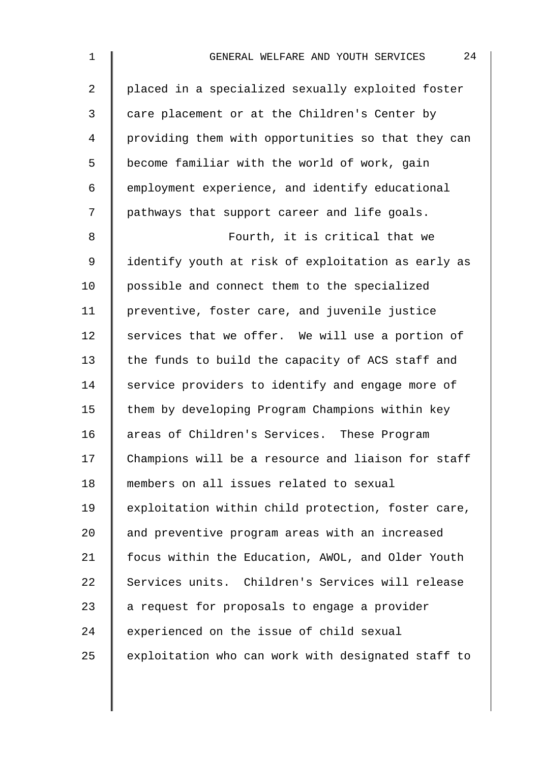| $\mathbf{1}$   | 24<br>GENERAL WELFARE AND YOUTH SERVICES           |
|----------------|----------------------------------------------------|
| $\overline{a}$ | placed in a specialized sexually exploited foster  |
| 3              | care placement or at the Children's Center by      |
| 4              | providing them with opportunities so that they can |
| 5              | become familiar with the world of work, gain       |
| 6              | employment experience, and identify educational    |
| 7              | pathways that support career and life goals.       |
| 8              | Fourth, it is critical that we                     |
| 9              | identify youth at risk of exploitation as early as |
| 10             | possible and connect them to the specialized       |
| 11             | preventive, foster care, and juvenile justice      |
| 12             | services that we offer. We will use a portion of   |
| 13             | the funds to build the capacity of ACS staff and   |
| 14             | service providers to identify and engage more of   |
| 15             | them by developing Program Champions within key    |
| 16             | areas of Children's Services. These Program        |
| 17             | Champions will be a resource and liaison for staff |
| 18             | members on all issues related to sexual            |
| 19             | exploitation within child protection, foster care, |
| 20             | and preventive program areas with an increased     |
| 21             | focus within the Education, AWOL, and Older Youth  |
| 22             | Services units. Children's Services will release   |
| 23             | a request for proposals to engage a provider       |
| 24             | experienced on the issue of child sexual           |
| 25             | exploitation who can work with designated staff to |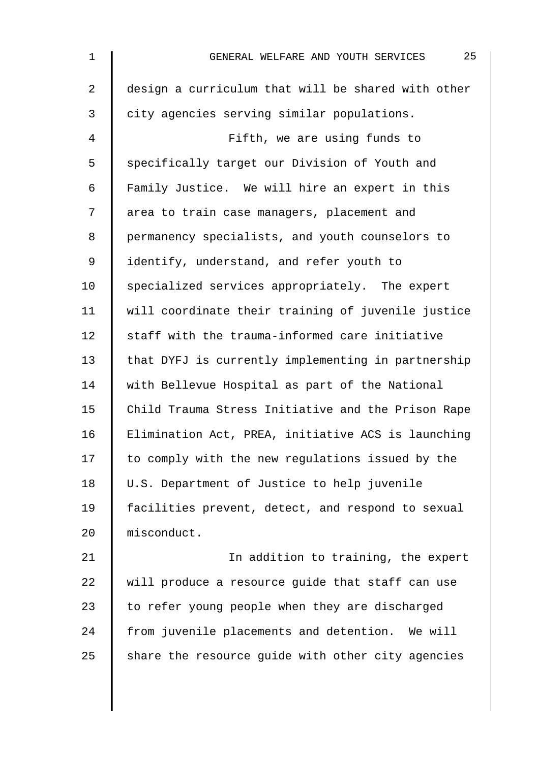| $\mathbf 1$ | 25<br>GENERAL WELFARE AND YOUTH SERVICES           |
|-------------|----------------------------------------------------|
| 2           | design a curriculum that will be shared with other |
| 3           | city agencies serving similar populations.         |
| 4           | Fifth, we are using funds to                       |
| 5           | specifically target our Division of Youth and      |
| 6           | Family Justice. We will hire an expert in this     |
| 7           | area to train case managers, placement and         |
| 8           | permanency specialists, and youth counselors to    |
| 9           | identify, understand, and refer youth to           |
| 10          | specialized services appropriately. The expert     |
| 11          | will coordinate their training of juvenile justice |
| 12          | staff with the trauma-informed care initiative     |
| 13          | that DYFJ is currently implementing in partnership |
| 14          | with Bellevue Hospital as part of the National     |
| 15          | Child Trauma Stress Initiative and the Prison Rape |
| 16          | Elimination Act, PREA, initiative ACS is launching |
| 17          | to comply with the new regulations issued by the   |
| 18          | U.S. Department of Justice to help juvenile        |
| 19          | facilities prevent, detect, and respond to sexual  |
| 20          | misconduct.                                        |
| 21          | In addition to training, the expert                |
| 22          | will produce a resource guide that staff can use   |
| 23          | to refer young people when they are discharged     |
| 24          | from juvenile placements and detention. We will    |
| 25          | share the resource guide with other city agencies  |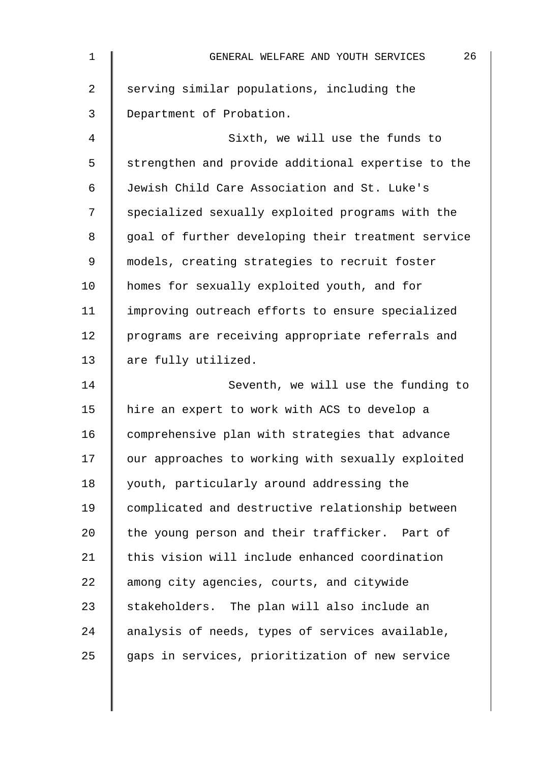| $\mathbf{1}$ | 26<br>GENERAL WELFARE AND YOUTH SERVICES           |
|--------------|----------------------------------------------------|
| 2            | serving similar populations, including the         |
| 3            | Department of Probation.                           |
| 4            | Sixth, we will use the funds to                    |
| 5            | strengthen and provide additional expertise to the |
| 6            | Jewish Child Care Association and St. Luke's       |
| 7            | specialized sexually exploited programs with the   |
| 8            | goal of further developing their treatment service |
| 9            | models, creating strategies to recruit foster      |
| 10           | homes for sexually exploited youth, and for        |
| 11           | improving outreach efforts to ensure specialized   |
| 12           | programs are receiving appropriate referrals and   |
| 13           | are fully utilized.                                |
| 14           | Seventh, we will use the funding to                |
| 15           | hire an expert to work with ACS to develop a       |
| 16           | comprehensive plan with strategies that advance    |
| 17           | our approaches to working with sexually exploited  |
| 18           | youth, particularly around addressing the          |
| 19           | complicated and destructive relationship between   |
| 20           | the young person and their trafficker. Part of     |
| 21           | this vision will include enhanced coordination     |
| 22           | among city agencies, courts, and citywide          |
| 23           | stakeholders. The plan will also include an        |
| 24           | analysis of needs, types of services available,    |
| 25           | gaps in services, prioritization of new service    |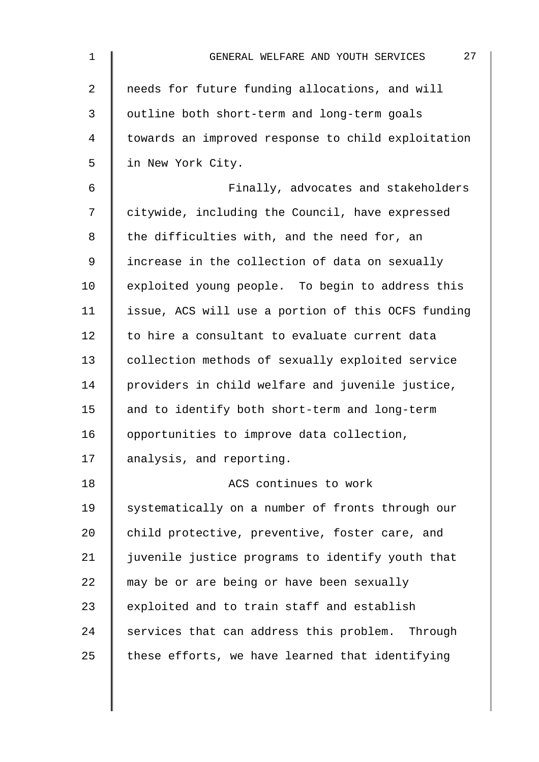| $\mathbf 1$    | 27<br>GENERAL WELFARE AND YOUTH SERVICES           |
|----------------|----------------------------------------------------|
| $\overline{2}$ | needs for future funding allocations, and will     |
| 3              | outline both short-term and long-term goals        |
| 4              | towards an improved response to child exploitation |
| 5              | in New York City.                                  |
| 6              | Finally, advocates and stakeholders                |
| 7              | citywide, including the Council, have expressed    |
| 8              | the difficulties with, and the need for, an        |
| 9              | increase in the collection of data on sexually     |
| 10             | exploited young people. To begin to address this   |
| 11             | issue, ACS will use a portion of this OCFS funding |
| 12             | to hire a consultant to evaluate current data      |
| 13             | collection methods of sexually exploited service   |
| 14             | providers in child welfare and juvenile justice,   |
| 15             | and to identify both short-term and long-term      |
| 16             | opportunities to improve data collection,          |
| 17             | analysis, and reporting.                           |
| 18             | ACS continues to work                              |
| 19             | systematically on a number of fronts through our   |
| 20             | child protective, preventive, foster care, and     |
| 21             | juvenile justice programs to identify youth that   |
| 22             | may be or are being or have been sexually          |
| 23             | exploited and to train staff and establish         |
| 24             | services that can address this problem. Through    |
| 25             | these efforts, we have learned that identifying    |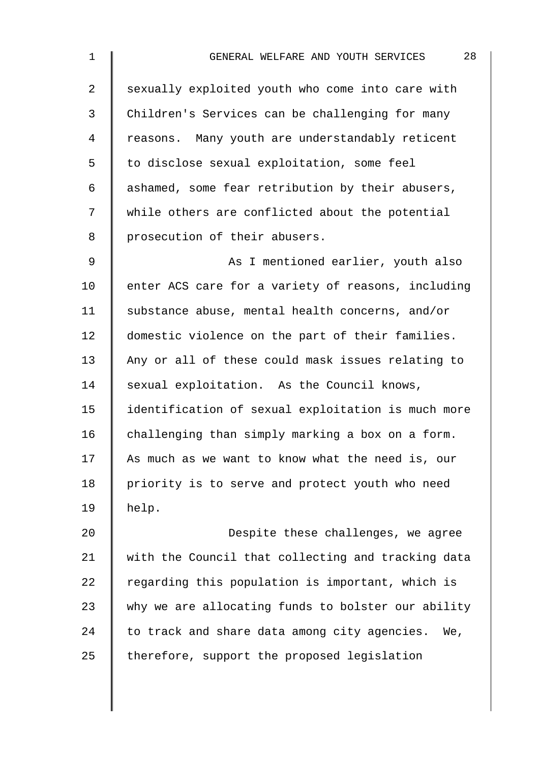| 1              | 28<br>GENERAL WELFARE AND YOUTH SERVICES           |
|----------------|----------------------------------------------------|
| $\overline{2}$ | sexually exploited youth who come into care with   |
| 3              | Children's Services can be challenging for many    |
| 4              | reasons. Many youth are understandably reticent    |
| 5              | to disclose sexual exploitation, some feel         |
| 6              | ashamed, some fear retribution by their abusers,   |
| 7              | while others are conflicted about the potential    |
| 8              | prosecution of their abusers.                      |
| 9              | As I mentioned earlier, youth also                 |
| 10             | enter ACS care for a variety of reasons, including |
| 11             | substance abuse, mental health concerns, and/or    |
| 12             | domestic violence on the part of their families.   |
| 13             | Any or all of these could mask issues relating to  |
| 14             | sexual exploitation. As the Council knows,         |
| 15             | identification of sexual exploitation is much more |
| 16             | challenging than simply marking a box on a form.   |
| 17             | As much as we want to know what the need is, our   |
| 18             | priority is to serve and protect youth who need    |
| 19             | help.                                              |
| 20             | Despite these challenges, we agree                 |
| $\sim$ $\sim$  |                                                    |

21 | with the Council that collecting and tracking data regarding this population is important, which is  $\parallel$  why we are allocating funds to bolster our ability to track and share data among city agencies. We,  $\parallel$  therefore, support the proposed legislation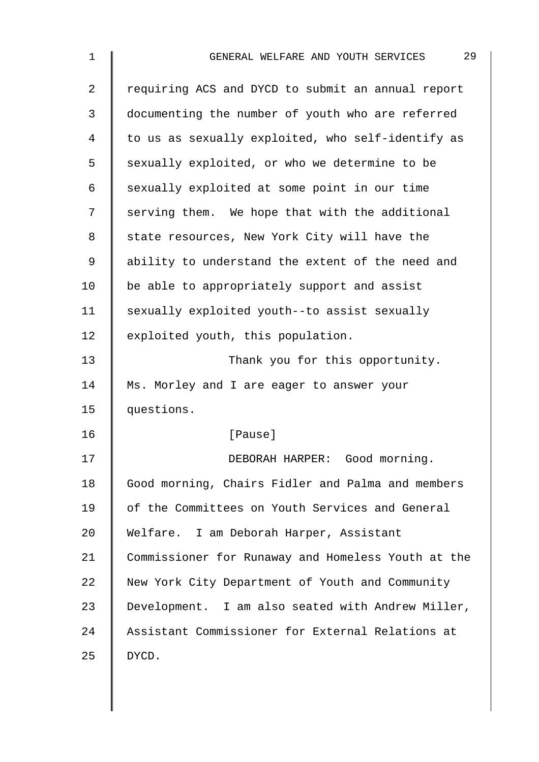| $\mathbf 1$    | 29<br>GENERAL WELFARE AND YOUTH SERVICES           |
|----------------|----------------------------------------------------|
| $\overline{2}$ | requiring ACS and DYCD to submit an annual report  |
| 3              | documenting the number of youth who are referred   |
| 4              | to us as sexually exploited, who self-identify as  |
| 5              | sexually exploited, or who we determine to be      |
| 6              | sexually exploited at some point in our time       |
| 7              | serving them. We hope that with the additional     |
| 8              | state resources, New York City will have the       |
| 9              | ability to understand the extent of the need and   |
| 10             | be able to appropriately support and assist        |
| 11             | sexually exploited youth--to assist sexually       |
| 12             | exploited youth, this population.                  |
| 13             | Thank you for this opportunity.                    |
| 14             | Ms. Morley and I are eager to answer your          |
| 15             | questions.                                         |
| 16             | [Pause]                                            |
| 17             | DEBORAH HARPER: Good morning.                      |
| 18             | Good morning, Chairs Fidler and Palma and members  |
| 19             | of the Committees on Youth Services and General    |
| 20             | Welfare. I am Deborah Harper, Assistant            |
| 21             | Commissioner for Runaway and Homeless Youth at the |
| 22             | New York City Department of Youth and Community    |
| 23             | Development. I am also seated with Andrew Miller,  |
| 24             | Assistant Commissioner for External Relations at   |
| 25             | DYCD.                                              |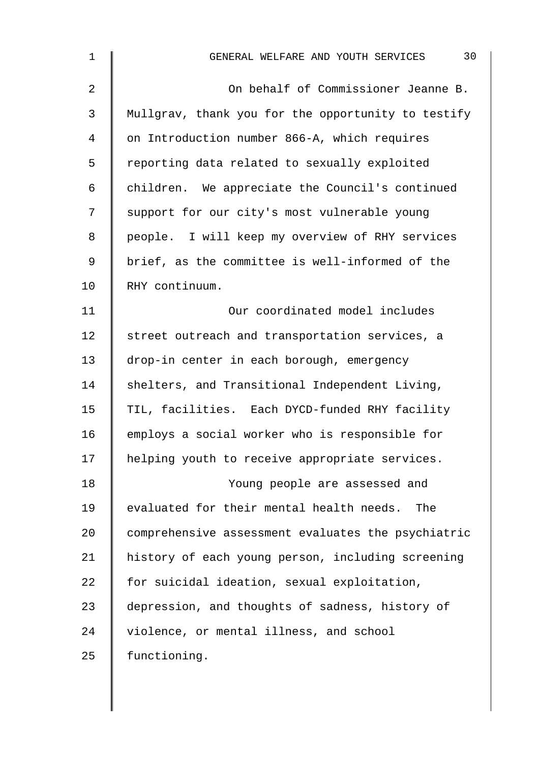| $\mathbf 1$    | 30<br>GENERAL WELFARE AND YOUTH SERVICES           |
|----------------|----------------------------------------------------|
| $\overline{2}$ | On behalf of Commissioner Jeanne B.                |
| 3              | Mullgrav, thank you for the opportunity to testify |
| 4              | on Introduction number 866-A, which requires       |
| 5              | reporting data related to sexually exploited       |
| $\epsilon$     | children. We appreciate the Council's continued    |
| 7              | support for our city's most vulnerable young       |
| 8              | people. I will keep my overview of RHY services    |
| $\mathsf 9$    | brief, as the committee is well-informed of the    |
| 10             | RHY continuum.                                     |
| 11             | Our coordinated model includes                     |
| 12             | street outreach and transportation services, a     |
| 13             | drop-in center in each borough, emergency          |
| 14             | shelters, and Transitional Independent Living,     |
| 15             | TIL, facilities. Each DYCD-funded RHY facility     |
| 16             | employs a social worker who is responsible for     |
| 17             | helping youth to receive appropriate services.     |
| 18             | Young people are assessed and                      |
| 19             | evaluated for their mental health needs.<br>The    |
| 20             | comprehensive assessment evaluates the psychiatric |
| 21             | history of each young person, including screening  |
| 22             | for suicidal ideation, sexual exploitation,        |
| 23             | depression, and thoughts of sadness, history of    |
| 24             | violence, or mental illness, and school            |
| 25             | functioning.                                       |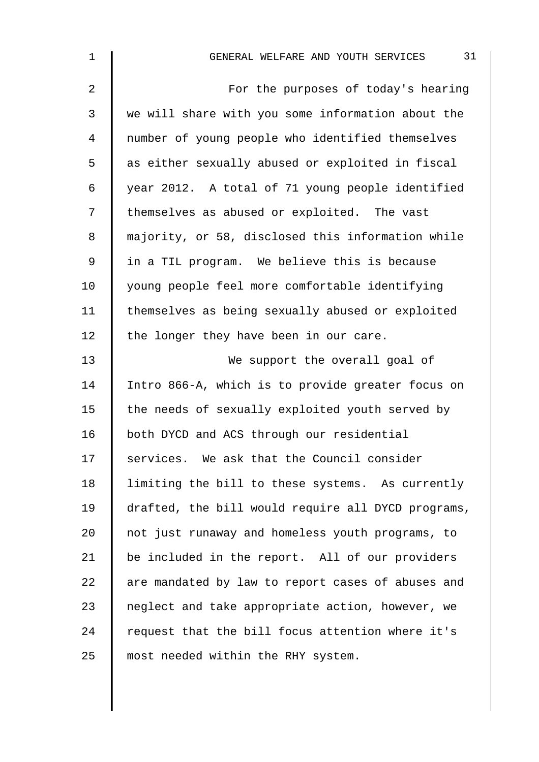| 1              | 31<br>GENERAL WELFARE AND YOUTH SERVICES           |
|----------------|----------------------------------------------------|
| $\overline{2}$ | For the purposes of today's hearing                |
| 3              | we will share with you some information about the  |
| $\overline{4}$ | number of young people who identified themselves   |
| 5              | as either sexually abused or exploited in fiscal   |
| 6              | year 2012. A total of 71 young people identified   |
| 7              | themselves as abused or exploited. The vast        |
| 8              | majority, or 58, disclosed this information while  |
| 9              | in a TIL program. We believe this is because       |
| 10             | young people feel more comfortable identifying     |
| 11             | themselves as being sexually abused or exploited   |
| 12             | the longer they have been in our care.             |
| 13             | We support the overall goal of                     |
| 14             | Intro 866-A, which is to provide greater focus on  |
| 15             | the needs of sexually exploited youth served by    |
| 16             | both DYCD and ACS through our residential          |
| 17             | services. We ask that the Council consider         |
| 18             | limiting the bill to these systems. As currently   |
| 19             | drafted, the bill would require all DYCD programs, |
| 20             | not just runaway and homeless youth programs, to   |
| 21             | be included in the report. All of our providers    |
| 22             | are mandated by law to report cases of abuses and  |
| 23             | neglect and take appropriate action, however, we   |
| 24             | request that the bill focus attention where it's   |
| 25             | most needed within the RHY system.                 |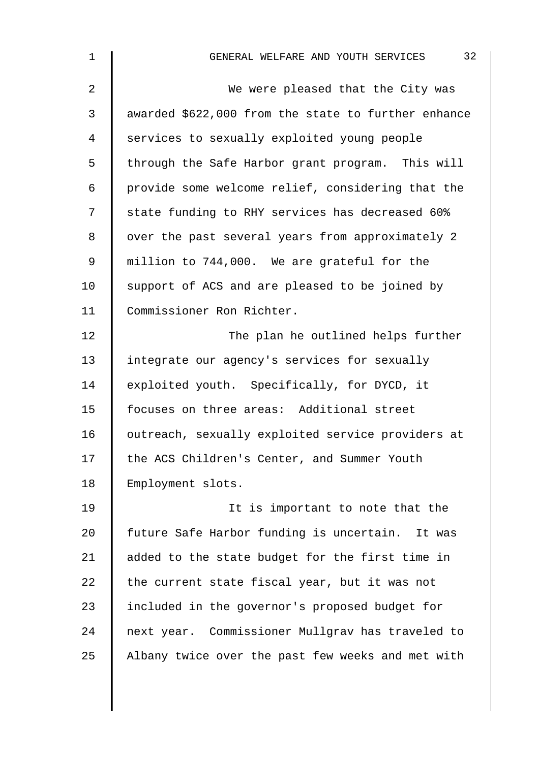| $\mathbf 1$    | 32<br>GENERAL WELFARE AND YOUTH SERVICES            |
|----------------|-----------------------------------------------------|
| $\overline{2}$ | We were pleased that the City was                   |
| 3              | awarded \$622,000 from the state to further enhance |
| 4              | services to sexually exploited young people         |
| 5              | through the Safe Harbor grant program. This will    |
| 6              | provide some welcome relief, considering that the   |
| 7              | state funding to RHY services has decreased 60%     |
| 8              | over the past several years from approximately 2    |
| $\mathsf 9$    | million to 744,000. We are grateful for the         |
| 10             | support of ACS and are pleased to be joined by      |
| 11             | Commissioner Ron Richter.                           |
| 12             | The plan he outlined helps further                  |
| 13             | integrate our agency's services for sexually        |
| 14             | exploited youth. Specifically, for DYCD, it         |
| 15             | focuses on three areas: Additional street           |
| 16             | outreach, sexually exploited service providers at   |
| 17             | the ACS Children's Center, and Summer Youth         |
| 18             | Employment slots.                                   |
| 19             | It is important to note that the                    |
| 20             | future Safe Harbor funding is uncertain. It was     |
| 21             | added to the state budget for the first time in     |
| 22             | the current state fiscal year, but it was not       |
| 23             | included in the governor's proposed budget for      |
| 24             | next year. Commissioner Mullgrav has traveled to    |
| 25             | Albany twice over the past few weeks and met with   |
|                |                                                     |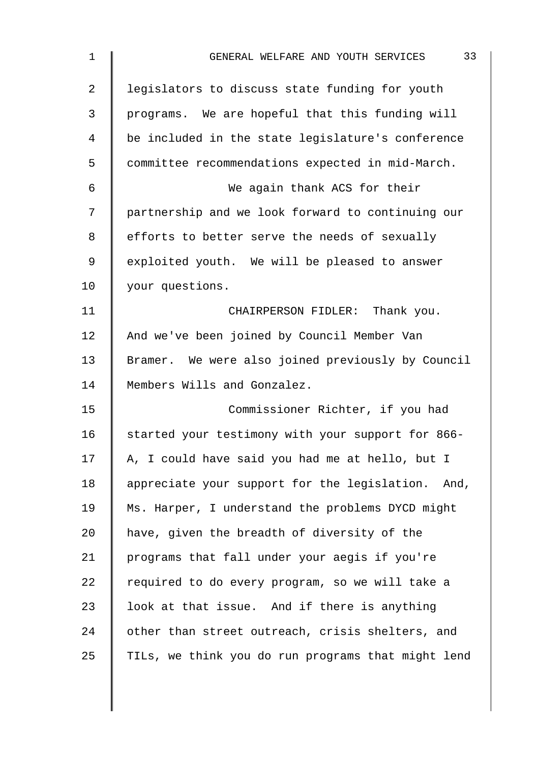| $\mathbf 1$    | 33<br>GENERAL WELFARE AND YOUTH SERVICES           |
|----------------|----------------------------------------------------|
| $\overline{2}$ | legislators to discuss state funding for youth     |
| 3              | programs. We are hopeful that this funding will    |
| $\overline{4}$ | be included in the state legislature's conference  |
| 5              | committee recommendations expected in mid-March.   |
| 6              | We again thank ACS for their                       |
| 7              | partnership and we look forward to continuing our  |
| 8              | efforts to better serve the needs of sexually      |
| 9              | exploited youth. We will be pleased to answer      |
| 10             | your questions.                                    |
| 11             | CHAIRPERSON FIDLER: Thank you.                     |
| 12             | And we've been joined by Council Member Van        |
| 13             | Bramer. We were also joined previously by Council  |
| 14             | Members Wills and Gonzalez.                        |
| 15             | Commissioner Richter, if you had                   |
| 16             | started your testimony with your support for 866-  |
| 17             | A, I could have said you had me at hello, but I    |
| 18             | appreciate your support for the legislation. And,  |
| 19             | Ms. Harper, I understand the problems DYCD might   |
| 20             | have, given the breadth of diversity of the        |
| 21             | programs that fall under your aegis if you're      |
| 22             | required to do every program, so we will take a    |
| 23             | look at that issue. And if there is anything       |
| 24             | other than street outreach, crisis shelters, and   |
| 25             | TILs, we think you do run programs that might lend |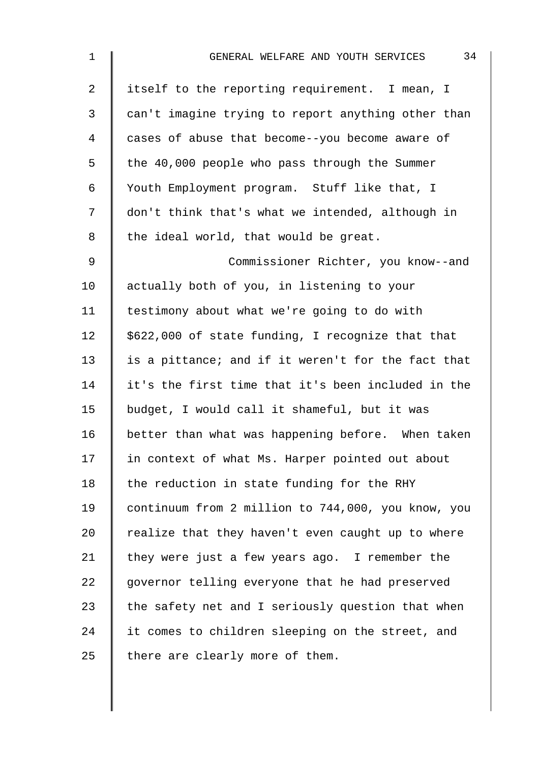| $\mathbf 1$    | 34<br>GENERAL WELFARE AND YOUTH SERVICES           |
|----------------|----------------------------------------------------|
| $\overline{2}$ | itself to the reporting requirement. I mean, I     |
| 3              | can't imagine trying to report anything other than |
| 4              | cases of abuse that become--you become aware of    |
| 5              | the 40,000 people who pass through the Summer      |
| 6              | Youth Employment program. Stuff like that, I       |
| 7              | don't think that's what we intended, although in   |
| 8              | the ideal world, that would be great.              |
| 9              | Commissioner Richter, you know--and                |
| 10             | actually both of you, in listening to your         |
| 11             | testimony about what we're going to do with        |
| 12             | \$622,000 of state funding, I recognize that that  |
| 13             | is a pittance; and if it weren't for the fact that |
| 14             | it's the first time that it's been included in the |
| 15             | budget, I would call it shameful, but it was       |
| 16             | better than what was happening before. When taken  |
| 17             | in context of what Ms. Harper pointed out about    |
| 18             | the reduction in state funding for the RHY         |
| 19             | continuum from 2 million to 744,000, you know, you |
| 20             | realize that they haven't even caught up to where  |
| 21             | they were just a few years ago. I remember the     |
| 22             | governor telling everyone that he had preserved    |
| 23             | the safety net and I seriously question that when  |
| 24             | it comes to children sleeping on the street, and   |
| 25             | there are clearly more of them.                    |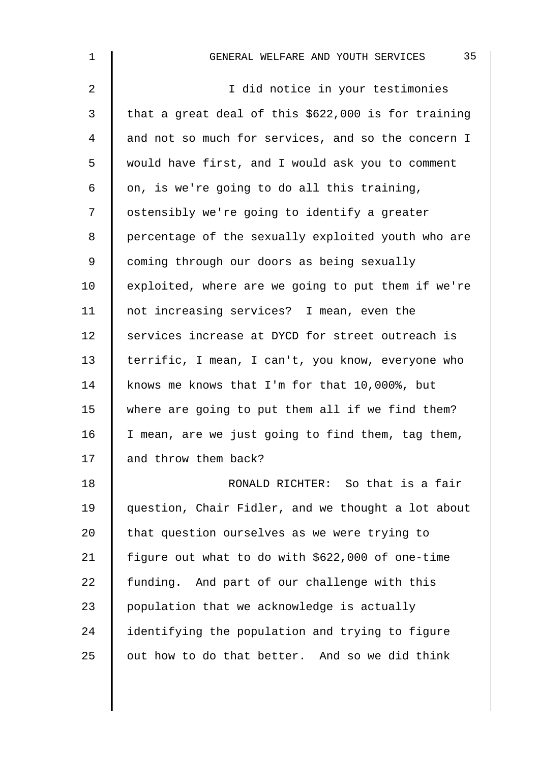| $\mathbf 1$    | 35<br>GENERAL WELFARE AND YOUTH SERVICES            |
|----------------|-----------------------------------------------------|
| $\overline{2}$ | I did notice in your testimonies                    |
| 3              | that a great deal of this \$622,000 is for training |
| $\overline{4}$ | and not so much for services, and so the concern I  |
| 5              | would have first, and I would ask you to comment    |
| 6              | on, is we're going to do all this training,         |
| 7              | ostensibly we're going to identify a greater        |
| $\,8\,$        | percentage of the sexually exploited youth who are  |
| $\mathsf 9$    | coming through our doors as being sexually          |
| 10             | exploited, where are we going to put them if we're  |
| 11             | not increasing services? I mean, even the           |
| 12             | services increase at DYCD for street outreach is    |
| 13             | terrific, I mean, I can't, you know, everyone who   |
| 14             | knows me knows that I'm for that 10,000%, but       |
| 15             | where are going to put them all if we find them?    |
| 16             | I mean, are we just going to find them, tag them,   |
| 17             | and throw them back?                                |
| 18             | RONALD RICHTER: So that is a fair                   |
| 19             | question, Chair Fidler, and we thought a lot about  |
| 20             | that question ourselves as we were trying to        |
| 21             | figure out what to do with \$622,000 of one-time    |
| 22             | funding. And part of our challenge with this        |
| 23             | population that we acknowledge is actually          |
| 24             | identifying the population and trying to figure     |
| 25             | out how to do that better. And so we did think      |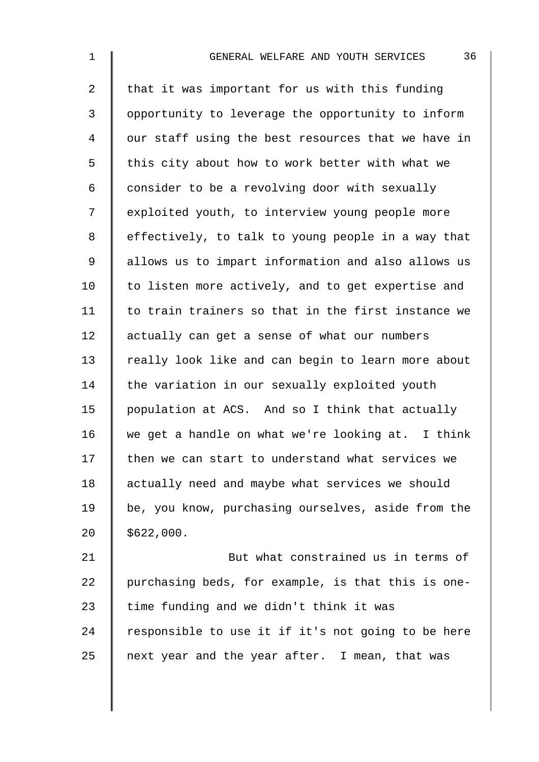| $\mathbf 1$    | 36<br>GENERAL WELFARE AND YOUTH SERVICES           |
|----------------|----------------------------------------------------|
| $\overline{2}$ | that it was important for us with this funding     |
| $\mathsf{3}$   | opportunity to leverage the opportunity to inform  |
| $\overline{4}$ | our staff using the best resources that we have in |
| 5              | this city about how to work better with what we    |
| 6              | consider to be a revolving door with sexually      |
| 7              | exploited youth, to interview young people more    |
| 8              | effectively, to talk to young people in a way that |
| $\mathsf 9$    | allows us to impart information and also allows us |
| 10             | to listen more actively, and to get expertise and  |
| 11             | to train trainers so that in the first instance we |
| 12             | actually can get a sense of what our numbers       |
| 13             | really look like and can begin to learn more about |
| 14             | the variation in our sexually exploited youth      |
| 15             | population at ACS. And so I think that actually    |
| 16             | we get a handle on what we're looking at. I think  |
| 17             | then we can start to understand what services we   |
| 18             | actually need and maybe what services we should    |
| 19             | be, you know, purchasing ourselves, aside from the |
| 20             | \$622,000.                                         |

21 | But what constrained us in terms of 22 purchasing beds, for example, is that this is one-23  $\parallel$  time funding and we didn't think it was 24  $\parallel$  responsible to use it if it's not going to be here  $25$  next year and the year after. I mean, that was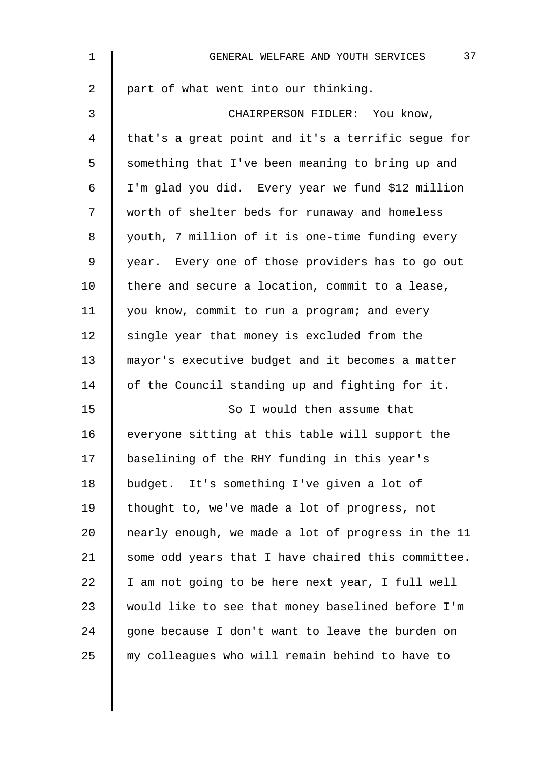| $\mathbf 1$    | 37<br>GENERAL WELFARE AND YOUTH SERVICES           |
|----------------|----------------------------------------------------|
| $\overline{a}$ | part of what went into our thinking.               |
| $\mathfrak{Z}$ | CHAIRPERSON FIDLER: You know,                      |
| 4              | that's a great point and it's a terrific segue for |
| 5              | something that I've been meaning to bring up and   |
| 6              | I'm glad you did. Every year we fund \$12 million  |
| 7              | worth of shelter beds for runaway and homeless     |
| 8              | youth, 7 million of it is one-time funding every   |
| 9              | year. Every one of those providers has to go out   |
| 10             | there and secure a location, commit to a lease,    |
| 11             | you know, commit to run a program; and every       |
| 12             | single year that money is excluded from the        |
| 13             | mayor's executive budget and it becomes a matter   |
| 14             | of the Council standing up and fighting for it.    |
| 15             | So I would then assume that                        |
| 16             | everyone sitting at this table will support the    |
| 17             | baselining of the RHY funding in this year's       |
| 18             | budget. It's something I've given a lot of         |
| 19             | thought to, we've made a lot of progress, not      |
| 20             | nearly enough, we made a lot of progress in the 11 |
| 21             | some odd years that I have chaired this committee. |
| 22             | I am not going to be here next year, I full well   |
| 23             | would like to see that money baselined before I'm  |
| 24             | gone because I don't want to leave the burden on   |
| 25             | my colleagues who will remain behind to have to    |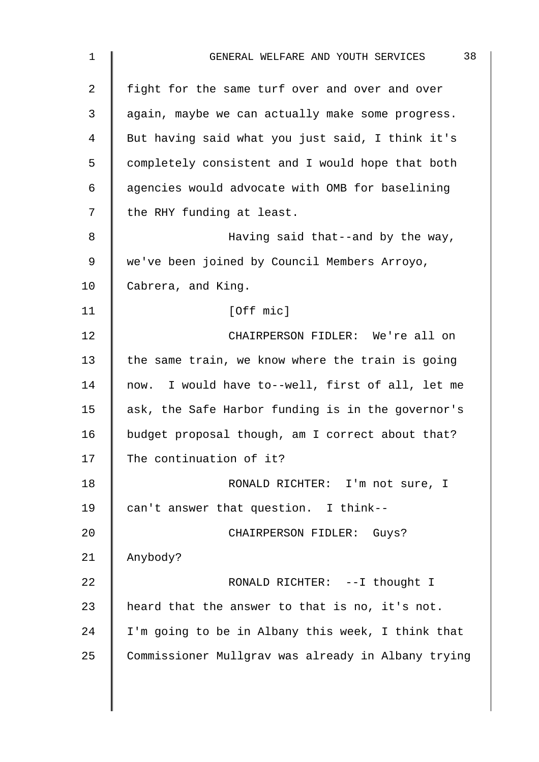| 38<br>GENERAL WELFARE AND YOUTH SERVICES           |
|----------------------------------------------------|
| fight for the same turf over and over and over     |
| again, maybe we can actually make some progress.   |
| But having said what you just said, I think it's   |
| completely consistent and I would hope that both   |
| agencies would advocate with OMB for baselining    |
| the RHY funding at least.                          |
| Having said that--and by the way,                  |
| we've been joined by Council Members Arroyo,       |
| Cabrera, and King.                                 |
| [Off mic]                                          |
| CHAIRPERSON FIDLER: We're all on                   |
| the same train, we know where the train is going   |
| now. I would have to--well, first of all, let me   |
| ask, the Safe Harbor funding is in the governor's  |
| budget proposal though, am I correct about that?   |
| The continuation of it?                            |
| RONALD RICHTER: I'm not sure, I                    |
| can't answer that question. I think--              |
| CHAIRPERSON FIDLER: Guys?                          |
| Anybody?                                           |
| RONALD RICHTER: --I thought I                      |
| heard that the answer to that is no, it's not.     |
| I'm going to be in Albany this week, I think that  |
| Commissioner Mullgrav was already in Albany trying |
|                                                    |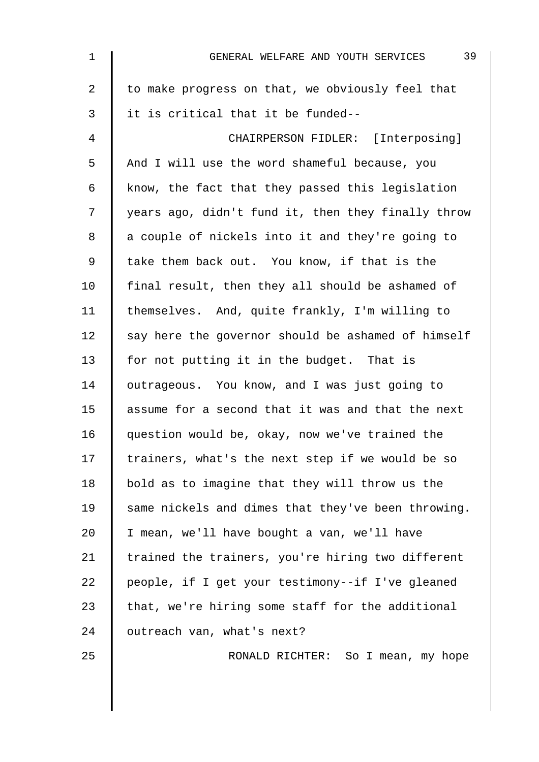| $\mathbf{1}$ | 39<br>GENERAL WELFARE AND YOUTH SERVICES           |
|--------------|----------------------------------------------------|
| 2            | to make progress on that, we obviously feel that   |
| 3            | it is critical that it be funded--                 |
| 4            | CHAIRPERSON FIDLER: [Interposing]                  |
| 5            | And I will use the word shameful because, you      |
| 6            | know, the fact that they passed this legislation   |
| 7            | years ago, didn't fund it, then they finally throw |
| 8            | a couple of nickels into it and they're going to   |
| 9            | take them back out. You know, if that is the       |
| 10           | final result, then they all should be ashamed of   |
| 11           | themselves. And, quite frankly, I'm willing to     |
| 12           | say here the governor should be ashamed of himself |
| 13           | for not putting it in the budget. That is          |
| 14           | outrageous. You know, and I was just going to      |
| 15           | assume for a second that it was and that the next  |
| 16           | question would be, okay, now we've trained the     |
| 17           | trainers, what's the next step if we would be so   |
| 18           | bold as to imagine that they will throw us the     |
| 19           | same nickels and dimes that they've been throwing. |
| 20           | I mean, we'll have bought a van, we'll have        |
| 21           | trained the trainers, you're hiring two different  |
| 22           | people, if I get your testimony--if I've gleaned   |
| 23           | that, we're hiring some staff for the additional   |
| 24           | outreach van, what's next?                         |
| 25           | RONALD RICHTER: So I mean, my hope                 |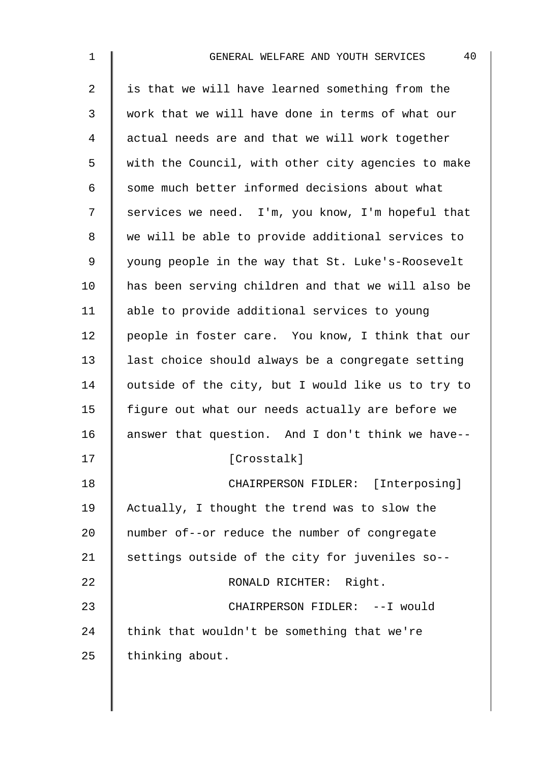| $\mathbf 1$    | 40<br>GENERAL WELFARE AND YOUTH SERVICES           |
|----------------|----------------------------------------------------|
| $\overline{2}$ | is that we will have learned something from the    |
| 3              | work that we will have done in terms of what our   |
| 4              | actual needs are and that we will work together    |
| 5              | with the Council, with other city agencies to make |
| 6              | some much better informed decisions about what     |
| 7              | services we need. I'm, you know, I'm hopeful that  |
| 8              | we will be able to provide additional services to  |
| 9              | young people in the way that St. Luke's-Roosevelt  |
| 10             | has been serving children and that we will also be |
| 11             | able to provide additional services to young       |
| 12             | people in foster care. You know, I think that our  |
| 13             | last choice should always be a congregate setting  |
| 14             | outside of the city, but I would like us to try to |
| 15             | figure out what our needs actually are before we   |
| 16             | answer that question. And I don't think we have--  |
| 17             | [Crosstalk]                                        |
| 18             | CHAIRPERSON FIDLER: [Interposing]                  |
| 19             | Actually, I thought the trend was to slow the      |
| 20             | number of--or reduce the number of congregate      |
| 21             | settings outside of the city for juveniles so--    |
| 22             | RONALD RICHTER: Right.                             |
| 23             | CHAIRPERSON FIDLER: --I would                      |
| 24             | think that wouldn't be something that we're        |
| 25             | thinking about.                                    |
|                |                                                    |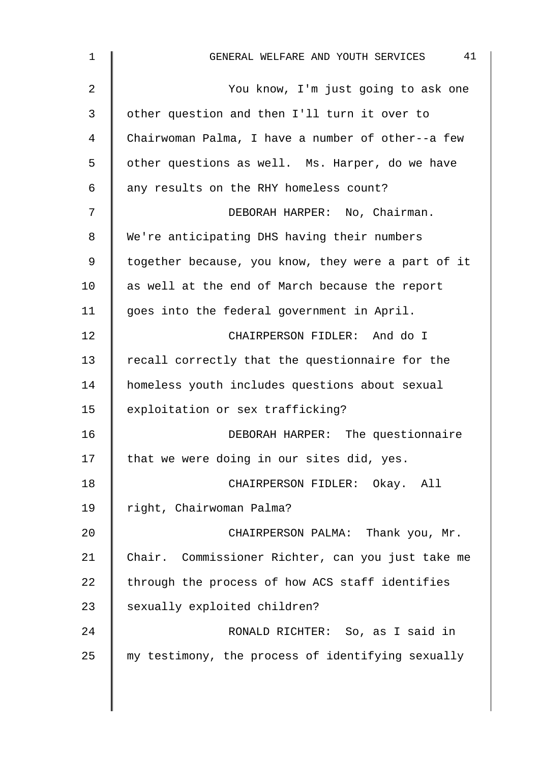| $\mathbf 1$    | 41<br>GENERAL WELFARE AND YOUTH SERVICES           |
|----------------|----------------------------------------------------|
| $\overline{2}$ | You know, I'm just going to ask one                |
| 3              | other question and then I'll turn it over to       |
| 4              | Chairwoman Palma, I have a number of other--a few  |
| 5              | other questions as well. Ms. Harper, do we have    |
| 6              | any results on the RHY homeless count?             |
| 7              | DEBORAH HARPER: No, Chairman.                      |
| 8              | We're anticipating DHS having their numbers        |
| 9              | together because, you know, they were a part of it |
| 10             | as well at the end of March because the report     |
| 11             | goes into the federal government in April.         |
| 12             | CHAIRPERSON FIDLER: And do I                       |
| 13             | recall correctly that the questionnaire for the    |
| 14             | homeless youth includes questions about sexual     |
| 15             | exploitation or sex trafficking?                   |
| 16             | DEBORAH HARPER: The questionnaire                  |
| 17             | that we were doing in our sites did, yes.          |
| 18             | CHAIRPERSON FIDLER: Okay. All                      |
| 19             | right, Chairwoman Palma?                           |
| 20             | CHAIRPERSON PALMA: Thank you, Mr.                  |
| 21             | Chair. Commissioner Richter, can you just take me  |
| 22             | through the process of how ACS staff identifies    |
| 23             | sexually exploited children?                       |
| 24             | RONALD RICHTER: So, as I said in                   |
| 25             | my testimony, the process of identifying sexually  |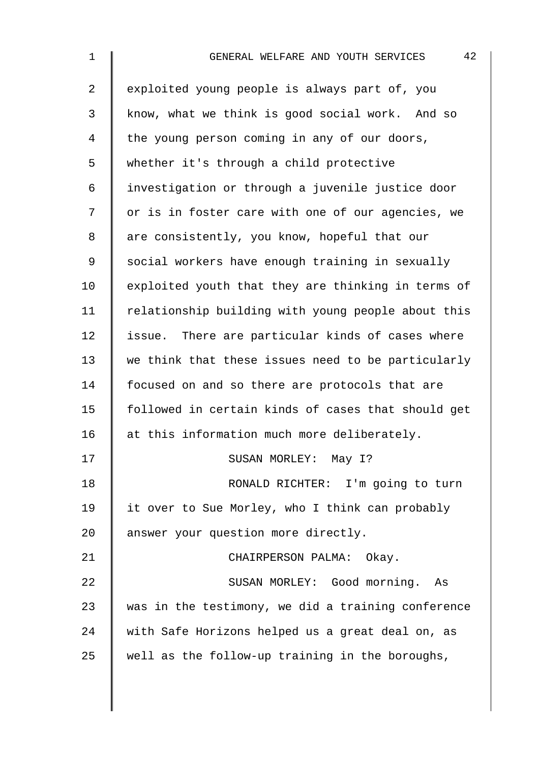| 1              | 42<br>GENERAL WELFARE AND YOUTH SERVICES           |
|----------------|----------------------------------------------------|
| $\overline{a}$ | exploited young people is always part of, you      |
| $\mathfrak{Z}$ | know, what we think is good social work. And so    |
| 4              | the young person coming in any of our doors,       |
| 5              | whether it's through a child protective            |
| 6              | investigation or through a juvenile justice door   |
| 7              | or is in foster care with one of our agencies, we  |
| 8              | are consistently, you know, hopeful that our       |
| 9              | social workers have enough training in sexually    |
| 10             | exploited youth that they are thinking in terms of |
| 11             | relationship building with young people about this |
| 12             | issue. There are particular kinds of cases where   |
| 13             | we think that these issues need to be particularly |
| 14             | focused on and so there are protocols that are     |
| 15             | followed in certain kinds of cases that should get |
| 16             | at this information much more deliberately.        |
| 17             | SUSAN MORLEY: May I?                               |
| 18             | RONALD RICHTER: I'm going to turn                  |
| 19             | it over to Sue Morley, who I think can probably    |
| 20             | answer your question more directly.                |
| 21             | CHAIRPERSON PALMA: Okay.                           |
| 22             | SUSAN MORLEY: Good morning. As                     |
| 23             | was in the testimony, we did a training conference |
| 24             | with Safe Horizons helped us a great deal on, as   |
| 25             | well as the follow-up training in the boroughs,    |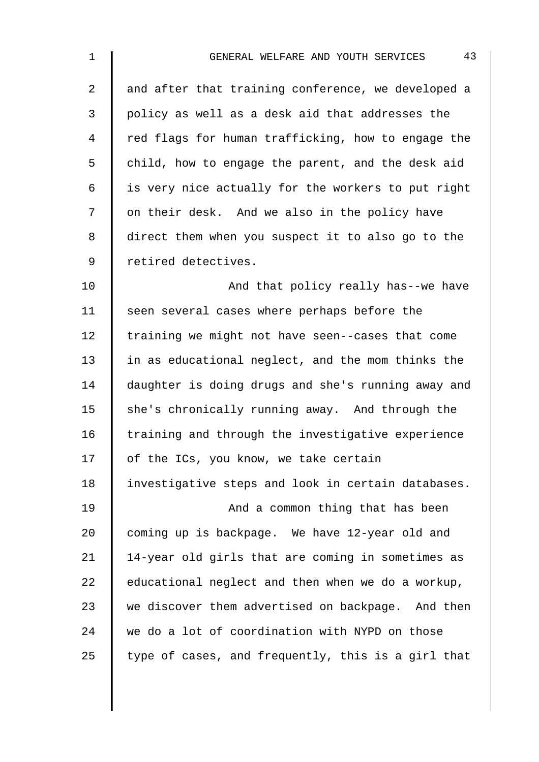| $\mathbf 1$    | 43<br>GENERAL WELFARE AND YOUTH SERVICES           |
|----------------|----------------------------------------------------|
| $\overline{2}$ | and after that training conference, we developed a |
| 3              | policy as well as a desk aid that addresses the    |
| 4              | red flags for human trafficking, how to engage the |
| 5              | child, how to engage the parent, and the desk aid  |
| 6              | is very nice actually for the workers to put right |
| 7              | on their desk. And we also in the policy have      |
| 8              | direct them when you suspect it to also go to the  |
| $\mathsf 9$    | retired detectives.                                |
| 10             | And that policy really has--we have                |
| 11             | seen several cases where perhaps before the        |
| 12             | training we might not have seen--cases that come   |
| 13             | in as educational neglect, and the mom thinks the  |
| 14             | daughter is doing drugs and she's running away and |
| 15             | she's chronically running away. And through the    |
| 16             | training and through the investigative experience  |
| 17             | of the ICs, you know, we take certain              |
| 18             | investigative steps and look in certain databases. |
| 19             | And a common thing that has been                   |
| 20             | coming up is backpage. We have 12-year old and     |
| 21             | 14-year old girls that are coming in sometimes as  |
| 22             | educational neglect and then when we do a workup,  |
| 23             | we discover them advertised on backpage. And then  |
| 24             | we do a lot of coordination with NYPD on those     |
| 25             | type of cases, and frequently, this is a girl that |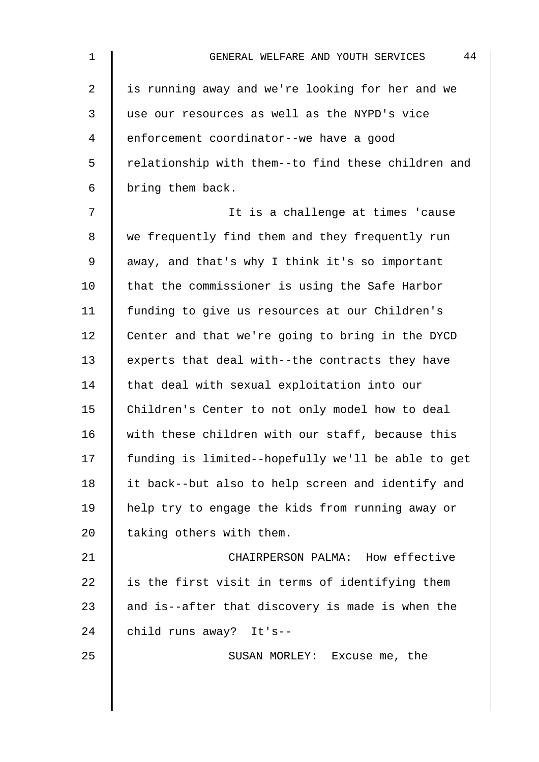| 1  | 44<br>GENERAL WELFARE AND YOUTH SERVICES           |
|----|----------------------------------------------------|
| 2  | is running away and we're looking for her and we   |
| 3  | use our resources as well as the NYPD's vice       |
| 4  | enforcement coordinator--we have a good            |
| 5  | relationship with them--to find these children and |
| 6  | bring them back.                                   |
| 7  | It is a challenge at times 'cause                  |
| 8  | we frequently find them and they frequently run    |
| 9  | away, and that's why I think it's so important     |
| 10 | that the commissioner is using the Safe Harbor     |
| 11 | funding to give us resources at our Children's     |
| 12 | Center and that we're going to bring in the DYCD   |
| 13 | experts that deal with--the contracts they have    |
| 14 | that deal with sexual exploitation into our        |
| 15 | Children's Center to not only model how to deal    |
| 16 | with these children with our staff, because this   |
| 17 | funding is limited--hopefully we'll be able to get |
| 18 | it back--but also to help screen and identify and  |
| 19 | help try to engage the kids from running away or   |
| 20 | taking others with them.                           |
| 21 | CHAIRPERSON PALMA: How effective                   |
| 22 | is the first visit in terms of identifying them    |
| 23 | and is--after that discovery is made is when the   |
| 24 | child runs away? It's--                            |
| 25 | SUSAN MORLEY: Excuse me, the                       |
|    |                                                    |
|    |                                                    |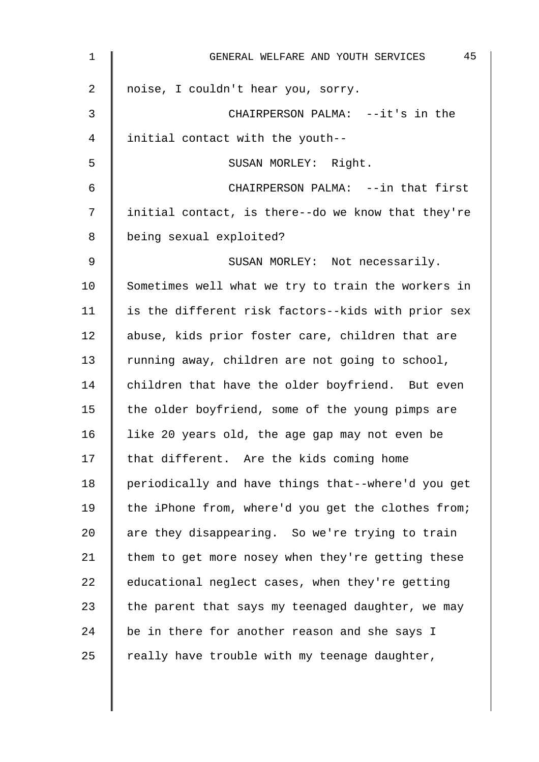| 1  | 45<br>GENERAL WELFARE AND YOUTH SERVICES           |
|----|----------------------------------------------------|
| 2  | noise, I couldn't hear you, sorry.                 |
| 3  | CHAIRPERSON PALMA: --it's in the                   |
| 4  | initial contact with the youth--                   |
| 5  | SUSAN MORLEY: Right.                               |
| 6  | CHAIRPERSON PALMA: --in that first                 |
| 7  | initial contact, is there--do we know that they're |
| 8  | being sexual exploited?                            |
| 9  | SUSAN MORLEY: Not necessarily.                     |
| 10 | Sometimes well what we try to train the workers in |
| 11 | is the different risk factors--kids with prior sex |
| 12 | abuse, kids prior foster care, children that are   |
| 13 | running away, children are not going to school,    |
| 14 | children that have the older boyfriend. But even   |
| 15 | the older boyfriend, some of the young pimps are   |
| 16 | like 20 years old, the age gap may not even be     |
| 17 | that different. Are the kids coming home           |
| 18 | periodically and have things that--where'd you get |
| 19 | the iPhone from, where'd you get the clothes from; |
| 20 | are they disappearing. So we're trying to train    |
| 21 | them to get more nosey when they're getting these  |
| 22 | educational neglect cases, when they're getting    |
| 23 | the parent that says my teenaged daughter, we may  |
| 24 | be in there for another reason and she says I      |
| 25 | really have trouble with my teenage daughter,      |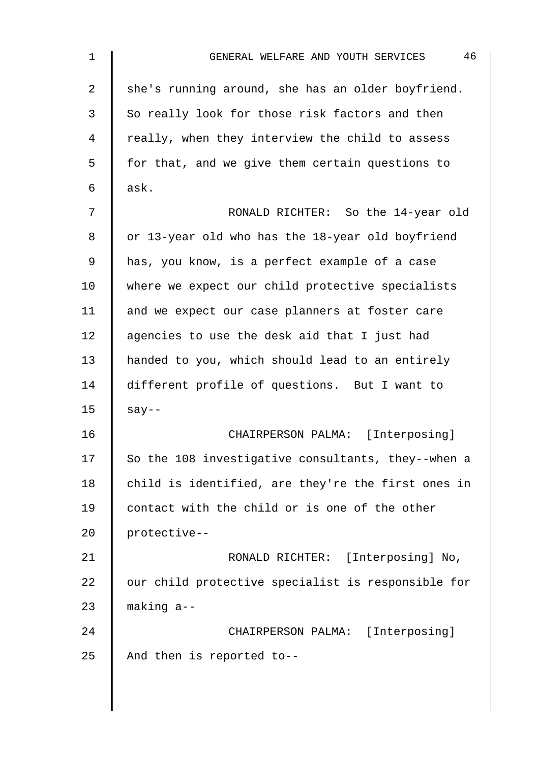| $\mathbf 1$ | 46<br>GENERAL WELFARE AND YOUTH SERVICES           |
|-------------|----------------------------------------------------|
| 2           | she's running around, she has an older boyfriend.  |
| 3           | So really look for those risk factors and then     |
| 4           | really, when they interview the child to assess    |
| 5           | for that, and we give them certain questions to    |
| 6           | ask.                                               |
| 7           | RONALD RICHTER: So the 14-year old                 |
| 8           | or 13-year old who has the 18-year old boyfriend   |
| 9           | has, you know, is a perfect example of a case      |
| 10          | where we expect our child protective specialists   |
| 11          | and we expect our case planners at foster care     |
| 12          | agencies to use the desk aid that I just had       |
| 13          | handed to you, which should lead to an entirely    |
| 14          | different profile of questions. But I want to      |
| 15          | $say--$                                            |
| 16          | CHAIRPERSON PALMA: [Interposing]                   |
| 17          | So the 108 investigative consultants, they--when a |
| 18          | child is identified, are they're the first ones in |
| 19          | contact with the child or is one of the other      |
| 20          | protective--                                       |
| 21          | RONALD RICHTER: [Interposing] No,                  |
| 22          | our child protective specialist is responsible for |
| 23          | making a--                                         |
| 24          | CHAIRPERSON PALMA: [Interposing]                   |
| 25          | And then is reported to--                          |
|             |                                                    |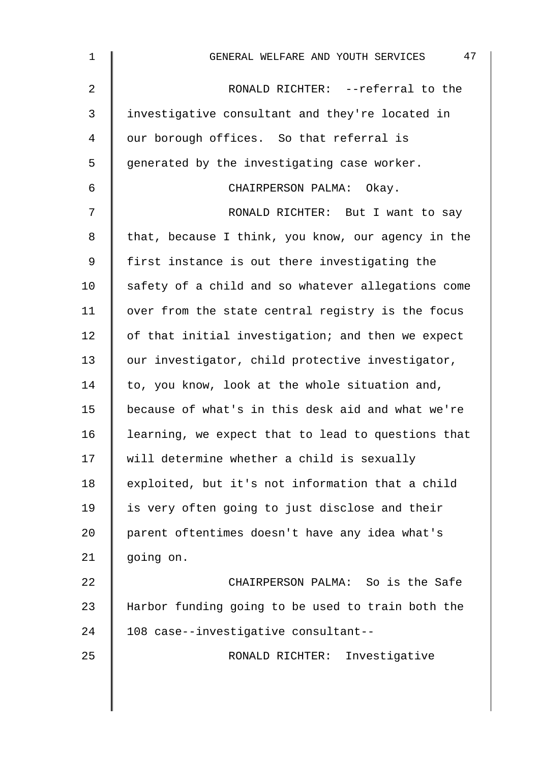| $\mathbf 1$    | 47<br>GENERAL WELFARE AND YOUTH SERVICES           |
|----------------|----------------------------------------------------|
| $\overline{2}$ | RONALD RICHTER: --referral to the                  |
| 3              | investigative consultant and they're located in    |
| 4              | our borough offices. So that referral is           |
| 5              | generated by the investigating case worker.        |
| 6              | CHAIRPERSON PALMA: Okay.                           |
| 7              | RONALD RICHTER: But I want to say                  |
| 8              | that, because I think, you know, our agency in the |
| 9              | first instance is out there investigating the      |
| 10             | safety of a child and so whatever allegations come |
| 11             | over from the state central registry is the focus  |
| 12             | of that initial investigation; and then we expect  |
| 13             | our investigator, child protective investigator,   |
| 14             | to, you know, look at the whole situation and,     |
| 15             | because of what's in this desk aid and what we're  |
| 16             | learning, we expect that to lead to questions that |
| 17             | will determine whether a child is sexually         |
| 18             | exploited, but it's not information that a child   |
| 19             | is very often going to just disclose and their     |
| 20             | parent oftentimes doesn't have any idea what's     |
| 21             | going on.                                          |
| 22             | CHAIRPERSON PALMA: So is the Safe                  |
| 23             | Harbor funding going to be used to train both the  |
| 24             | 108 case--investigative consultant--               |
| 25             | RONALD RICHTER: Investigative                      |
|                |                                                    |
|                |                                                    |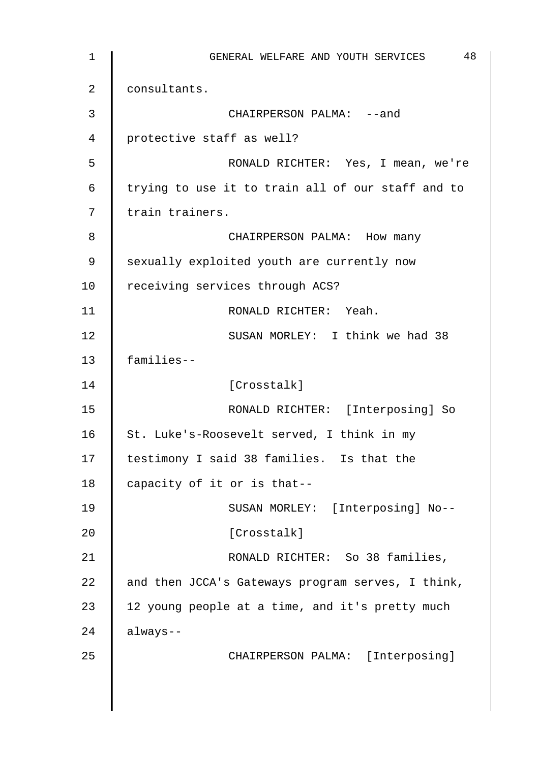1 || GENERAL WELFARE AND YOUTH SERVICES 48 2 **consultants.** 3 CHAIRPERSON PALMA: --and 4 protective staff as well? 5 RONALD RICHTER: Yes, I mean, we're  $6$  | trying to use it to train all of our staff and to 7 | train trainers. 8 CHAIRPERSON PALMA: How many 9 Sexually exploited youth are currently now 10 | receiving services through ACS? 11 | RONALD RICHTER: Yeah. 12 SUSAN MORLEY: T think we had 38 13 families-- 14 Crosstalk] 15 RONALD RICHTER: [Interposing] So 16 St. Luke's-Roosevelt served, I think in my 17 | testimony I said 38 families. Is that the 18 capacity of it or is that--19 | SUSAN MORLEY: [Interposing] No--20 | Crosstalk] 21 | RONALD RICHTER: So 38 families, 22  $\parallel$  and then JCCA's Gateways program serves, I think, 23  $\parallel$  12 young people at a time, and it's pretty much  $24$  | always--25 | CHAIRPERSON PALMA: [Interposing]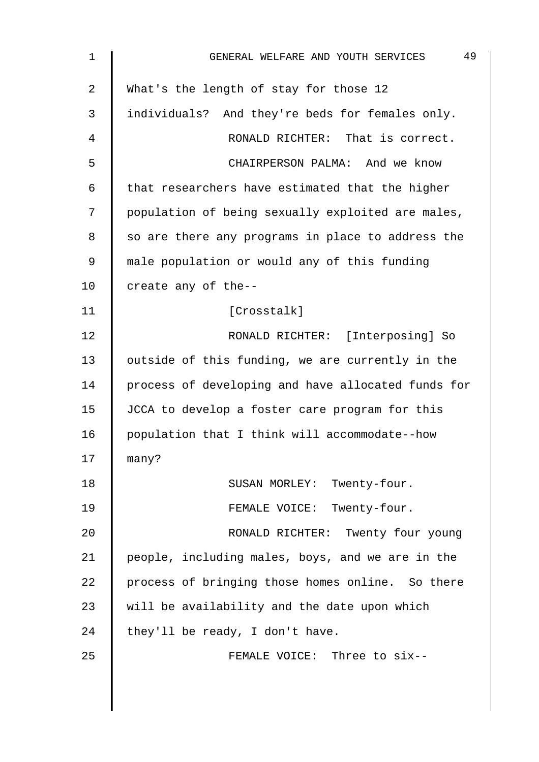| $\mathbf 1$    | 49<br>GENERAL WELFARE AND YOUTH SERVICES           |
|----------------|----------------------------------------------------|
| $\overline{2}$ | What's the length of stay for those 12             |
| 3              | individuals? And they're beds for females only.    |
| 4              | RONALD RICHTER: That is correct.                   |
| 5              | CHAIRPERSON PALMA: And we know                     |
| 6              | that researchers have estimated that the higher    |
| 7              | population of being sexually exploited are males,  |
| 8              | so are there any programs in place to address the  |
| 9              | male population or would any of this funding       |
| 10             | create any of the--                                |
| 11             | [Crosstalk]                                        |
| 12             | RONALD RICHTER: [Interposing] So                   |
| 13             | outside of this funding, we are currently in the   |
| 14             | process of developing and have allocated funds for |
| 15             | JCCA to develop a foster care program for this     |
| 16             | population that I think will accommodate--how      |
| 17             | many?                                              |
| 18             | SUSAN MORLEY: Twenty-four.                         |
| 19             | FEMALE VOICE: Twenty-four.                         |
| 20             | RONALD RICHTER: Twenty four young                  |
| 21             | people, including males, boys, and we are in the   |
| 22             | process of bringing those homes online. So there   |
| 23             | will be availability and the date upon which       |
| 24             | they'll be ready, I don't have.                    |
| 25             | FEMALE VOICE: Three to six--                       |
|                |                                                    |
|                |                                                    |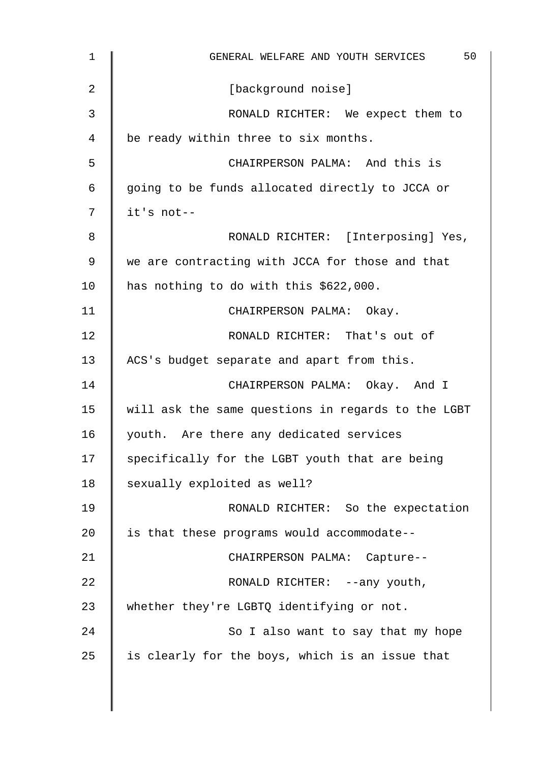| $\mathbf 1$ | 50<br>GENERAL WELFARE AND YOUTH SERVICES           |
|-------------|----------------------------------------------------|
| 2           | [background noise]                                 |
| 3           | RONALD RICHTER: We expect them to                  |
| 4           | be ready within three to six months.               |
| 5           | CHAIRPERSON PALMA: And this is                     |
| 6           | going to be funds allocated directly to JCCA or    |
| 7           | it's not--                                         |
| 8           | RONALD RICHTER: [Interposing] Yes,                 |
| 9           | we are contracting with JCCA for those and that    |
| 10          | has nothing to do with this \$622,000.             |
| 11          | CHAIRPERSON PALMA: Okay.                           |
| 12          | RONALD RICHTER: That's out of                      |
| 13          | ACS's budget separate and apart from this.         |
| 14          | CHAIRPERSON PALMA: Okay. And I                     |
| 15          | will ask the same questions in regards to the LGBT |
| 16          | youth. Are there any dedicated services            |
| 17          | specifically for the LGBT youth that are being     |
| 18          | sexually exploited as well?                        |
| 19          | RONALD RICHTER: So the expectation                 |
| 20          | is that these programs would accommodate--         |
| 21          | CHAIRPERSON PALMA: Capture--                       |
| 22          | RONALD RICHTER: --any youth,                       |
| 23          | whether they're LGBTQ identifying or not.          |
| 24          | So I also want to say that my hope                 |
| 25          | is clearly for the boys, which is an issue that    |
|             |                                                    |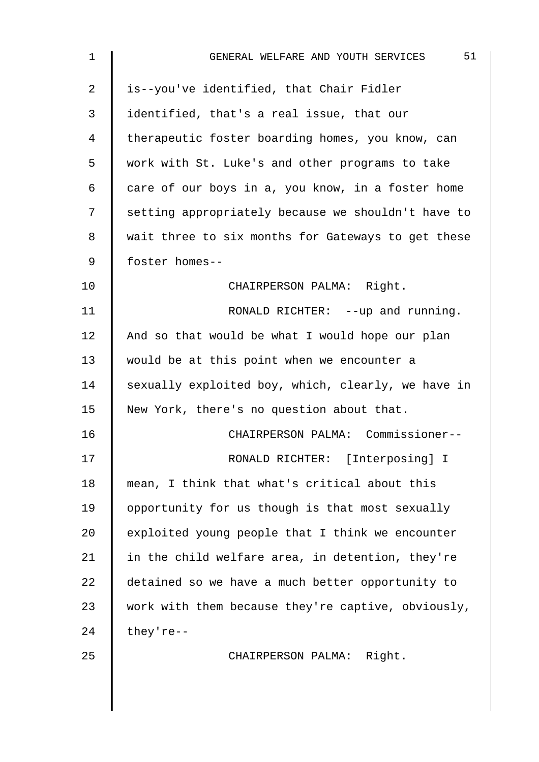| $\mathbf 1$ | 51<br>GENERAL WELFARE AND YOUTH SERVICES           |
|-------------|----------------------------------------------------|
| 2           | is--you've identified, that Chair Fidler           |
| 3           | identified, that's a real issue, that our          |
| 4           | therapeutic foster boarding homes, you know, can   |
| 5           | work with St. Luke's and other programs to take    |
| 6           | care of our boys in a, you know, in a foster home  |
| 7           | setting appropriately because we shouldn't have to |
| 8           | wait three to six months for Gateways to get these |
| 9           | foster homes--                                     |
| 10          | CHAIRPERSON PALMA: Right.                          |
| 11          | RONALD RICHTER: --up and running.                  |
| 12          | And so that would be what I would hope our plan    |
| 13          | would be at this point when we encounter a         |
| 14          | sexually exploited boy, which, clearly, we have in |
| 15          | New York, there's no question about that.          |
| 16          | CHAIRPERSON PALMA: Commissioner--                  |
| 17          | RONALD RICHTER: [Interposing] I                    |
| 18          | mean, I think that what's critical about this      |
| 19          | opportunity for us though is that most sexually    |
| 20          | exploited young people that I think we encounter   |
| 21          | in the child welfare area, in detention, they're   |
| 22          | detained so we have a much better opportunity to   |
| 23          | work with them because they're captive, obviously, |
| 24          | they're--                                          |
| 25          | CHAIRPERSON PALMA: Right.                          |
|             |                                                    |
|             |                                                    |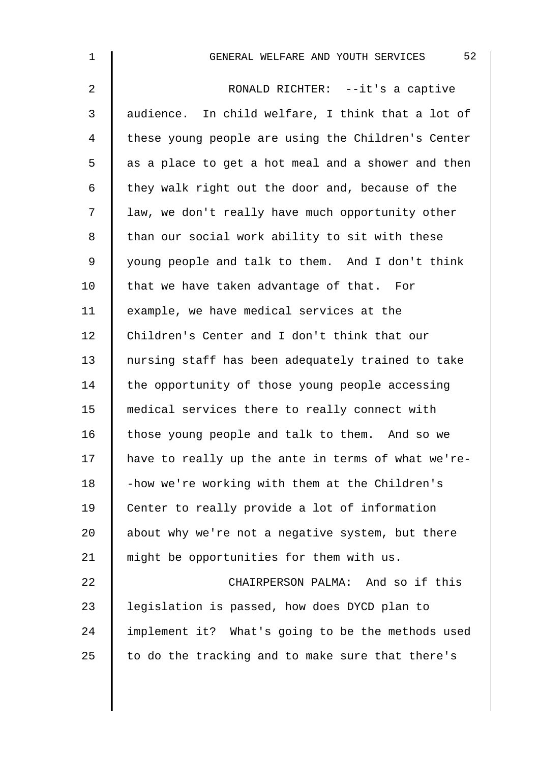| $\mathbf 1$    | 52<br>GENERAL WELFARE AND YOUTH SERVICES           |
|----------------|----------------------------------------------------|
| $\overline{2}$ | RONALD RICHTER: --it's a captive                   |
| 3              | audience. In child welfare, I think that a lot of  |
| 4              | these young people are using the Children's Center |
| 5              | as a place to get a hot meal and a shower and then |
| 6              | they walk right out the door and, because of the   |
| 7              | law, we don't really have much opportunity other   |
| 8              | than our social work ability to sit with these     |
| 9              | young people and talk to them. And I don't think   |
| 10             | that we have taken advantage of that. For          |
| 11             | example, we have medical services at the           |
| 12             | Children's Center and I don't think that our       |
| 13             | nursing staff has been adequately trained to take  |
| 14             | the opportunity of those young people accessing    |
| 15             | medical services there to really connect with      |
| 16             | those young people and talk to them. And so we     |
| 17             | have to really up the ante in terms of what we're- |
| 18             | -how we're working with them at the Children's     |
| 19             | Center to really provide a lot of information      |
| 20             | about why we're not a negative system, but there   |
| 21             | might be opportunities for them with us.           |
| 22             | CHAIRPERSON PALMA: And so if this                  |
| 23             | legislation is passed, how does DYCD plan to       |
| 24             | implement it? What's going to be the methods used  |
| 25             | to do the tracking and to make sure that there's   |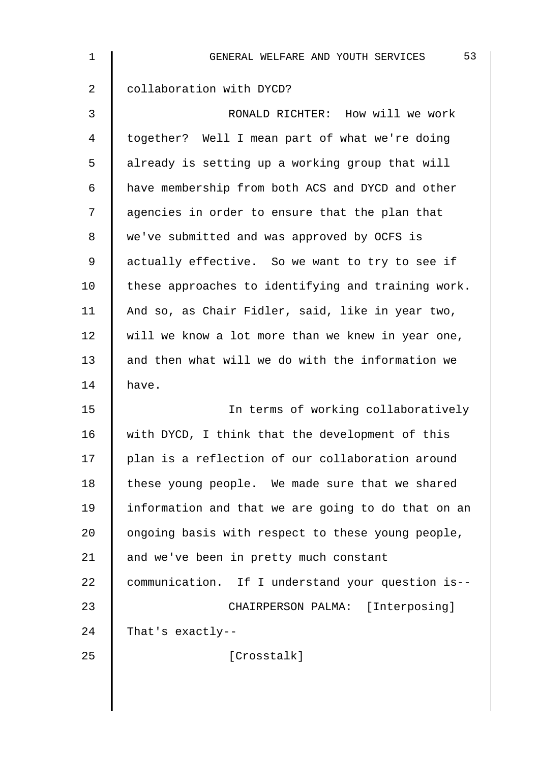| 1  | 53<br>GENERAL WELFARE AND YOUTH SERVICES           |
|----|----------------------------------------------------|
| 2  | collaboration with DYCD?                           |
| 3  | RONALD RICHTER: How will we work                   |
| 4  | together? Well I mean part of what we're doing     |
| 5  | already is setting up a working group that will    |
| 6  | have membership from both ACS and DYCD and other   |
| 7  | agencies in order to ensure that the plan that     |
| 8  | we've submitted and was approved by OCFS is        |
| 9  | actually effective. So we want to try to see if    |
| 10 | these approaches to identifying and training work. |
| 11 | And so, as Chair Fidler, said, like in year two,   |
| 12 | will we know a lot more than we knew in year one,  |
| 13 | and then what will we do with the information we   |
| 14 | have.                                              |
| 15 | In terms of working collaboratively                |
| 16 | with DYCD, I think that the development of this    |
| 17 | plan is a reflection of our collaboration around   |
| 18 | these young people. We made sure that we shared    |
| 19 | information and that we are going to do that on an |
| 20 | ongoing basis with respect to these young people,  |
| 21 | and we've been in pretty much constant             |
| 22 | communication. If I understand your question is--  |
| 23 | CHAIRPERSON PALMA: [Interposing]                   |
| 24 | That's exactly--                                   |
| 25 | [Crosstalk]                                        |
|    |                                                    |
|    |                                                    |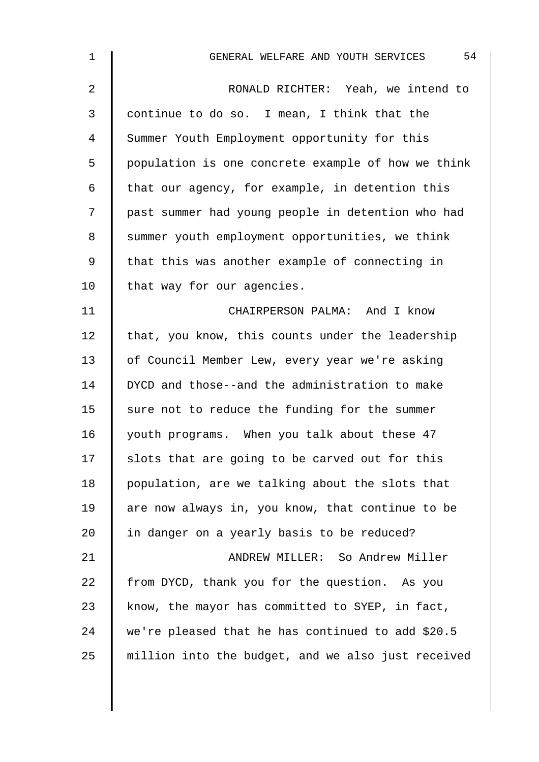| $\mathbf 1$    | 54<br>GENERAL WELFARE AND YOUTH SERVICES           |
|----------------|----------------------------------------------------|
| $\overline{a}$ | RONALD RICHTER: Yeah, we intend to                 |
| 3              | continue to do so. I mean, I think that the        |
| 4              | Summer Youth Employment opportunity for this       |
| 5              | population is one concrete example of how we think |
| 6              | that our agency, for example, in detention this    |
| 7              | past summer had young people in detention who had  |
| 8              | summer youth employment opportunities, we think    |
| 9              | that this was another example of connecting in     |
| 10             | that way for our agencies.                         |
| 11             | CHAIRPERSON PALMA: And I know                      |
| 12             | that, you know, this counts under the leadership   |
| 13             | of Council Member Lew, every year we're asking     |
| 14             | DYCD and those--and the administration to make     |
| 15             | sure not to reduce the funding for the summer      |
| 16             | youth programs. When you talk about these 47       |
| 17             | slots that are going to be carved out for this     |
| 18             | population, are we talking about the slots that    |
| 19             | are now always in, you know, that continue to be   |
| 20             | in danger on a yearly basis to be reduced?         |
| 21             | ANDREW MILLER: So Andrew Miller                    |
| 22             | from DYCD, thank you for the question. As you      |
| 23             | know, the mayor has committed to SYEP, in fact,    |
| 24             | we're pleased that he has continued to add \$20.5  |
| 25             | million into the budget, and we also just received |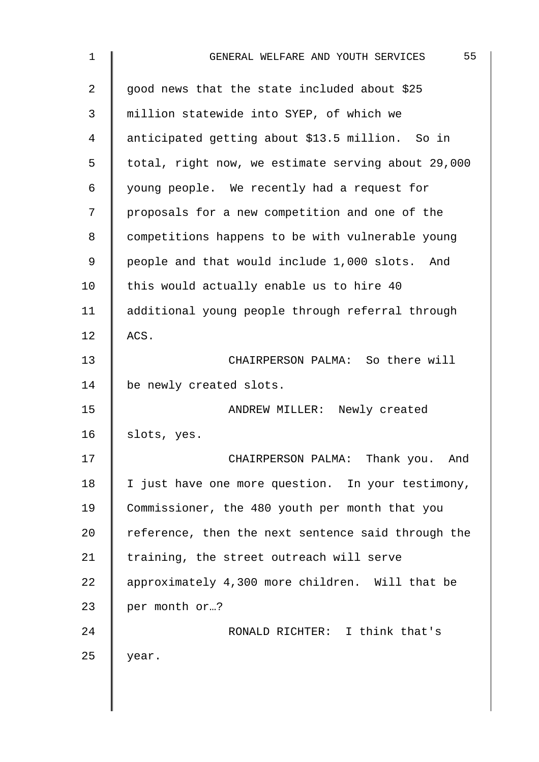| $\mathbf 1$    | 55<br>GENERAL WELFARE AND YOUTH SERVICES           |
|----------------|----------------------------------------------------|
| $\overline{2}$ | good news that the state included about \$25       |
| 3              | million statewide into SYEP, of which we           |
| 4              | anticipated getting about \$13.5 million. So in    |
| 5              | total, right now, we estimate serving about 29,000 |
| 6              | young people. We recently had a request for        |
| 7              | proposals for a new competition and one of the     |
| 8              | competitions happens to be with vulnerable young   |
| 9              | people and that would include 1,000 slots. And     |
| 10             | this would actually enable us to hire 40           |
| 11             | additional young people through referral through   |
| 12             | ACS.                                               |
| 13             | CHAIRPERSON PALMA: So there will                   |
| 14             | be newly created slots.                            |
| 15             | ANDREW MILLER: Newly created                       |
| 16             | slots, yes.                                        |
| 17             | CHAIRPERSON PALMA: Thank you.<br>And               |
| 18             | I just have one more question. In your testimony,  |
| 19             | Commissioner, the 480 youth per month that you     |
| 20             | reference, then the next sentence said through the |
| 21             | training, the street outreach will serve           |
| 22             | approximately 4,300 more children. Will that be    |
| 23             | per month or?                                      |
| 24             | RONALD RICHTER: I think that's                     |
| 25             | year.                                              |
|                |                                                    |
|                |                                                    |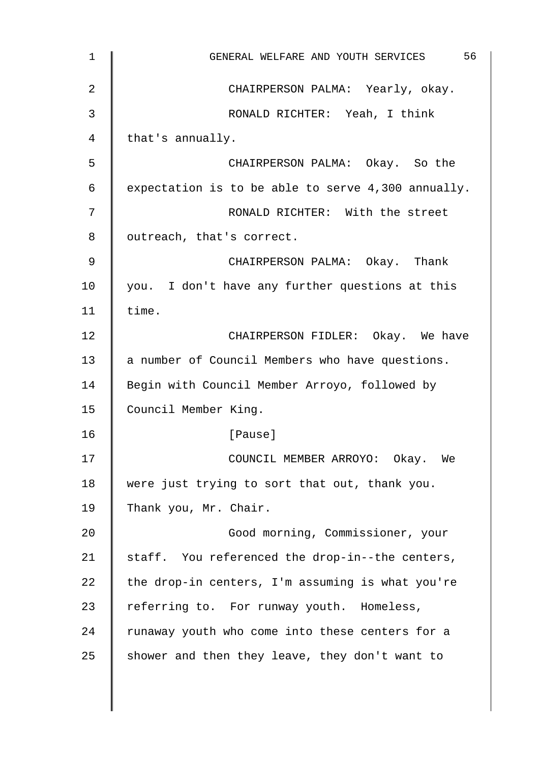| $\mathbf 1$ | 56<br>GENERAL WELFARE AND YOUTH SERVICES           |
|-------------|----------------------------------------------------|
| 2           | CHAIRPERSON PALMA: Yearly, okay.                   |
| 3           | RONALD RICHTER: Yeah, I think                      |
| 4           | that's annually.                                   |
| 5           | CHAIRPERSON PALMA: Okay. So the                    |
| 6           | expectation is to be able to serve 4,300 annually. |
| 7           | RONALD RICHTER: With the street                    |
| 8           | outreach, that's correct.                          |
| 9           | CHAIRPERSON PALMA: Okay. Thank                     |
| 10          | you. I don't have any further questions at this    |
| 11          | time.                                              |
| 12          | CHAIRPERSON FIDLER: Okay. We have                  |
| 13          | a number of Council Members who have questions.    |
| 14          | Begin with Council Member Arroyo, followed by      |
| 15          | Council Member King.                               |
| 16          | [Pause]                                            |
| 17          | COUNCIL MEMBER ARROYO: Okay. We                    |
| 18          | were just trying to sort that out, thank you.      |
| 19          | Thank you, Mr. Chair.                              |
| 20          | Good morning, Commissioner, your                   |
| 21          | staff. You referenced the drop-in--the centers,    |
| 22          | the drop-in centers, I'm assuming is what you're   |
| 23          | referring to. For runway youth. Homeless,          |
| 24          | runaway youth who come into these centers for a    |
| 25          | shower and then they leave, they don't want to     |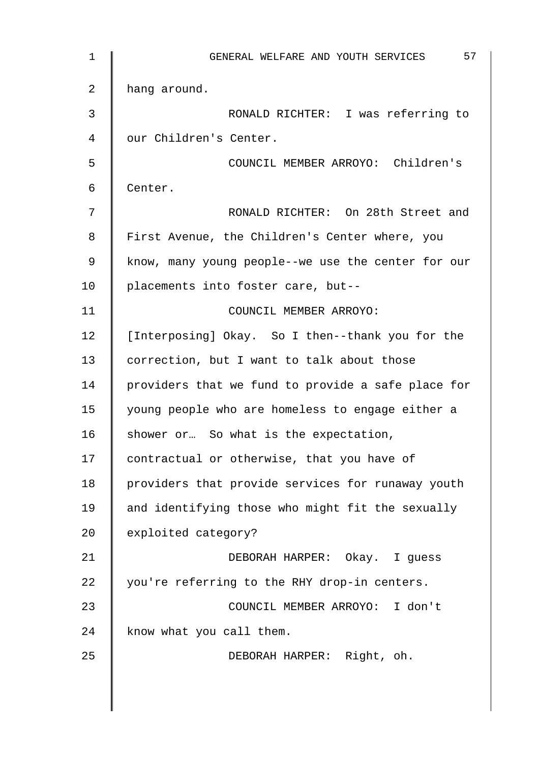| $\mathbf 1$ | 57<br>GENERAL WELFARE AND YOUTH SERVICES           |
|-------------|----------------------------------------------------|
| 2           | hang around.                                       |
| 3           | RONALD RICHTER: I was referring to                 |
| 4           | our Children's Center.                             |
| 5           | COUNCIL MEMBER ARROYO: Children's                  |
| 6           | Center.                                            |
| 7           | RONALD RICHTER: On 28th Street and                 |
| 8           | First Avenue, the Children's Center where, you     |
| 9           | know, many young people--we use the center for our |
| 10          | placements into foster care, but--                 |
| 11          | COUNCIL MEMBER ARROYO:                             |
| 12          | [Interposing] Okay. So I then--thank you for the   |
| 13          | correction, but I want to talk about those         |
| 14          | providers that we fund to provide a safe place for |
| 15          | young people who are homeless to engage either a   |
| 16          | shower or So what is the expectation,              |
| 17          | contractual or otherwise, that you have of         |
| 18          | providers that provide services for runaway youth  |
| 19          | and identifying those who might fit the sexually   |
| 20          | exploited category?                                |
| 21          | DEBORAH HARPER: Okay. I guess                      |
| 22          | you're referring to the RHY drop-in centers.       |
| 23          | COUNCIL MEMBER ARROYO: I don't                     |
| 24          | know what you call them.                           |
| 25          | DEBORAH HARPER: Right, oh.                         |
|             |                                                    |
|             |                                                    |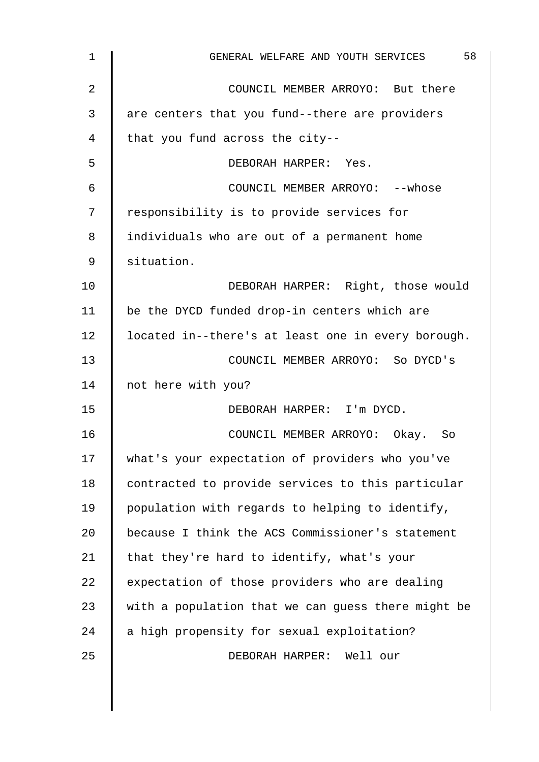| 1              | 58<br>GENERAL WELFARE AND YOUTH SERVICES           |
|----------------|----------------------------------------------------|
| $\overline{2}$ | COUNCIL MEMBER ARROYO: But there                   |
| 3              | are centers that you fund--there are providers     |
| 4              | that you fund across the city--                    |
| 5              | DEBORAH HARPER: Yes.                               |
| 6              | COUNCIL MEMBER ARROYO: -- whose                    |
| 7              | responsibility is to provide services for          |
| 8              | individuals who are out of a permanent home        |
| 9              | situation.                                         |
| 10             | DEBORAH HARPER: Right, those would                 |
| 11             | be the DYCD funded drop-in centers which are       |
| 12             | located in--there's at least one in every borough. |
| 13             | COUNCIL MEMBER ARROYO: So DYCD's                   |
| 14             | not here with you?                                 |
| 15             | DEBORAH HARPER: I'm DYCD.                          |
| 16             | COUNCIL MEMBER ARROYO: Okay.<br>So                 |
| 17             | what's your expectation of providers who you've    |
| 18             | contracted to provide services to this particular  |
| 19             | population with regards to helping to identify,    |
| 20             | because I think the ACS Commissioner's statement   |
| 21             | that they're hard to identify, what's your         |
| 22             | expectation of those providers who are dealing     |
| 23             | with a population that we can guess there might be |
| 24             | a high propensity for sexual exploitation?         |
| 25             | DEBORAH HARPER: Well our                           |
|                |                                                    |
|                |                                                    |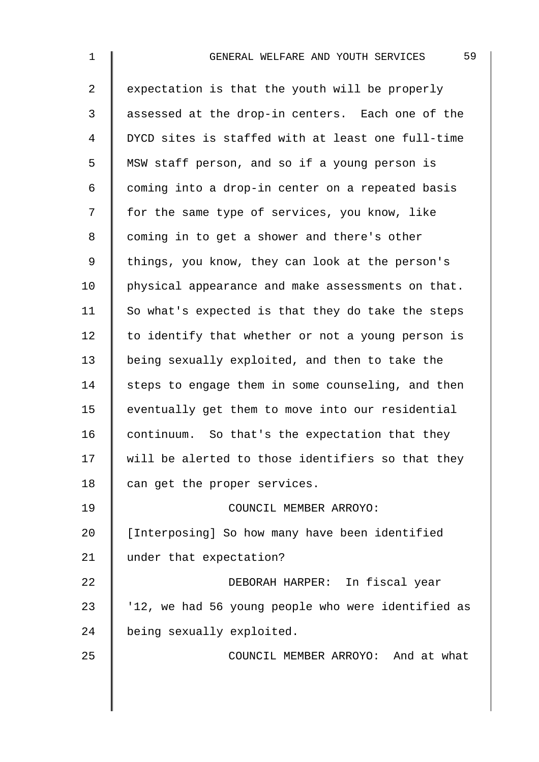2  $\parallel$  expectation is that the youth will be properly 3 assessed at the drop-in centers. Each one of the 4 DYCD sites is staffed with at least one full-time 5 MSW staff person, and so if a young person is 6  $\parallel$  coming into a drop-in center on a repeated basis 7 | for the same type of services, you know, like 8 | coming in to get a shower and there's other 9 | things, you know, they can look at the person's 10 | physical appearance and make assessments on that. 11  $\parallel$  So what's expected is that they do take the steps 12  $\parallel$  to identify that whether or not a young person is 13 | being sexually exploited, and then to take the  $14$  steps to engage them in some counseling, and then 15 eventually get them to move into our residential 16  $\parallel$  continuum. So that's the expectation that they  $17$   $\parallel$  will be alerted to those identifiers so that they  $18$   $\parallel$  can get the proper services. 19 | COUNCIL MEMBER ARROYO: 20 | [Interposing] So how many have been identified 21 | under that expectation? 22 DEBORAH HARPER: In fiscal year  $23$  | '12, we had 56 young people who were identified as 24 being sexually exploited. 25 **COUNCIL MEMBER ARROYO:** And at what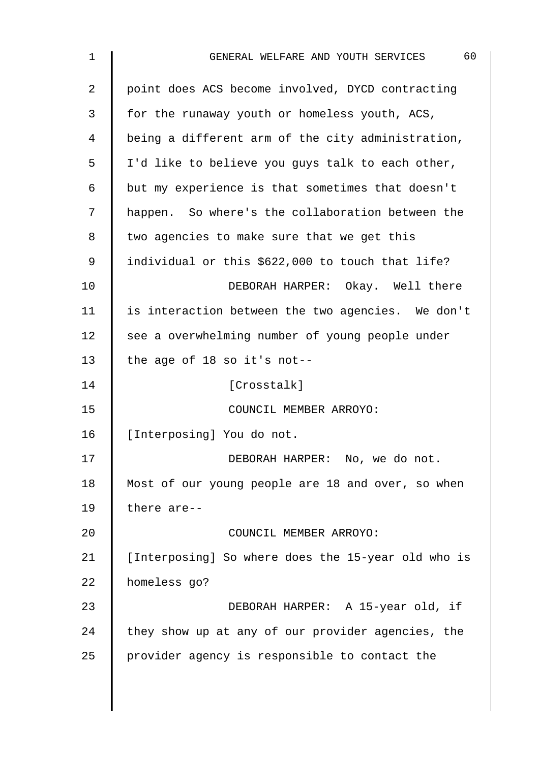| 1  | 60<br>GENERAL WELFARE AND YOUTH SERVICES           |
|----|----------------------------------------------------|
| 2  | point does ACS become involved, DYCD contracting   |
| 3  | for the runaway youth or homeless youth, ACS,      |
| 4  | being a different arm of the city administration,  |
| 5  | I'd like to believe you guys talk to each other,   |
| 6  | but my experience is that sometimes that doesn't   |
| 7  | happen. So where's the collaboration between the   |
| 8  | two agencies to make sure that we get this         |
| 9  | individual or this \$622,000 to touch that life?   |
| 10 | DEBORAH HARPER: Okay. Well there                   |
| 11 | is interaction between the two agencies. We don't  |
| 12 | see a overwhelming number of young people under    |
| 13 | the age of 18 so it's not--                        |
| 14 | [Crosstalk]                                        |
| 15 | COUNCIL MEMBER ARROYO:                             |
| 16 | [Interposing] You do not.                          |
| 17 | DEBORAH HARPER: No, we do not.                     |
| 18 | Most of our young people are 18 and over, so when  |
| 19 | there are--                                        |
| 20 | COUNCIL MEMBER ARROYO:                             |
| 21 | [Interposing] So where does the 15-year old who is |
| 22 | homeless go?                                       |
| 23 | DEBORAH HARPER: A 15-year old, if                  |
| 24 | they show up at any of our provider agencies, the  |
| 25 | provider agency is responsible to contact the      |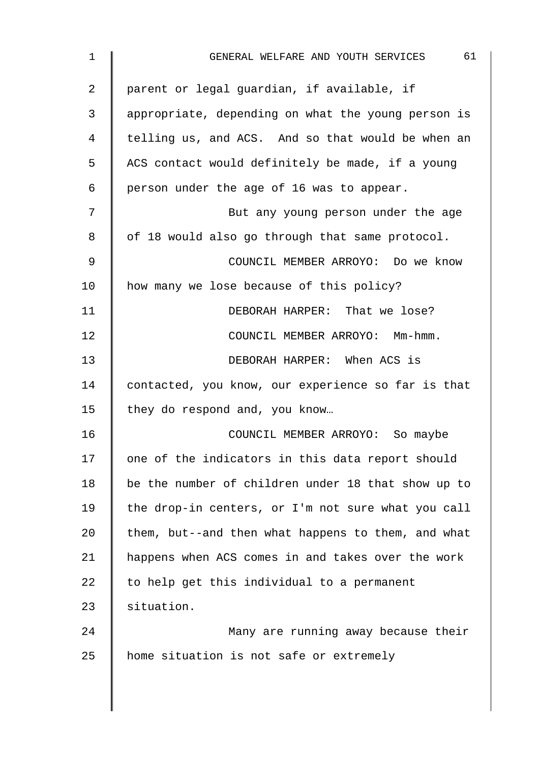| 1  | 61<br>GENERAL WELFARE AND YOUTH SERVICES           |
|----|----------------------------------------------------|
| 2  | parent or legal guardian, if available, if         |
| 3  | appropriate, depending on what the young person is |
| 4  | telling us, and ACS. And so that would be when an  |
| 5  | ACS contact would definitely be made, if a young   |
| 6  | person under the age of 16 was to appear.          |
| 7  | But any young person under the age                 |
| 8  | of 18 would also go through that same protocol.    |
| 9  | COUNCIL MEMBER ARROYO: Do we know                  |
| 10 | how many we lose because of this policy?           |
| 11 | DEBORAH HARPER: That we lose?                      |
| 12 | COUNCIL MEMBER ARROYO: Mm-hmm.                     |
| 13 | DEBORAH HARPER: When ACS is                        |
| 14 | contacted, you know, our experience so far is that |
| 15 | they do respond and, you know                      |
| 16 | COUNCIL MEMBER ARROYO: So maybe                    |
| 17 | one of the indicators in this data report should   |
| 18 | be the number of children under 18 that show up to |
| 19 | the drop-in centers, or I'm not sure what you call |
| 20 | them, but--and then what happens to them, and what |
| 21 | happens when ACS comes in and takes over the work  |
| 22 | to help get this individual to a permanent         |
| 23 | situation.                                         |
| 24 | Many are running away because their                |
| 25 | home situation is not safe or extremely            |
|    |                                                    |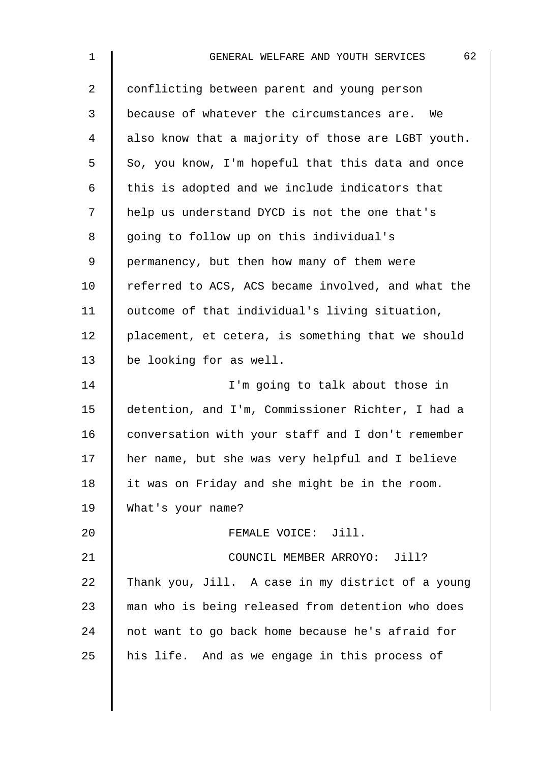| 1              | 62<br>GENERAL WELFARE AND YOUTH SERVICES           |
|----------------|----------------------------------------------------|
| $\overline{a}$ | conflicting between parent and young person        |
| 3              | because of whatever the circumstances are. We      |
| 4              | also know that a majority of those are LGBT youth. |
| 5              | So, you know, I'm hopeful that this data and once  |
| 6              | this is adopted and we include indicators that     |
| 7              | help us understand DYCD is not the one that's      |
| 8              | going to follow up on this individual's            |
| 9              | permanency, but then how many of them were         |
| 10             | referred to ACS, ACS became involved, and what the |
| 11             | outcome of that individual's living situation,     |
| 12             | placement, et cetera, is something that we should  |
| 13             | be looking for as well.                            |
| 14             | I'm going to talk about those in                   |
| 15             | detention, and I'm, Commissioner Richter, I had a  |
| 16             | conversation with your staff and I don't remember  |
| 17             | her name, but she was very helpful and I believe   |
| 18             | it was on Friday and she might be in the room.     |
| 19             | What's your name?                                  |
| 20             | FEMALE VOICE: Jill.                                |
| 21             | COUNCIL MEMBER ARROYO: Jill?                       |
| 22             | Thank you, Jill. A case in my district of a young  |
| 23             | man who is being released from detention who does  |
| 24             | not want to go back home because he's afraid for   |
| 25             | his life. And as we engage in this process of      |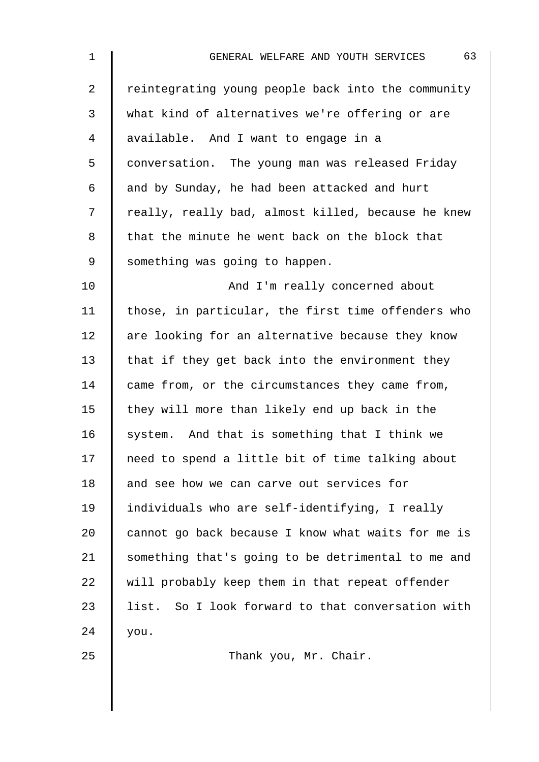| $\mathbf 1$    | 63<br>GENERAL WELFARE AND YOUTH SERVICES           |
|----------------|----------------------------------------------------|
| $\overline{2}$ | reintegrating young people back into the community |
| 3              | what kind of alternatives we're offering or are    |
| 4              | available. And I want to engage in a               |
| 5              | conversation. The young man was released Friday    |
| 6              | and by Sunday, he had been attacked and hurt       |
| 7              | really, really bad, almost killed, because he knew |
| 8              | that the minute he went back on the block that     |
| $\mathsf 9$    | something was going to happen.                     |
| 10             | And I'm really concerned about                     |
| 11             | those, in particular, the first time offenders who |
| 12             | are looking for an alternative because they know   |
| 13             | that if they get back into the environment they    |
| 14             | came from, or the circumstances they came from,    |
| 15             | they will more than likely end up back in the      |
| 16             | system. And that is something that I think we      |
| 17             | need to spend a little bit of time talking about   |
| 18             | and see how we can carve out services for          |
| 19             | individuals who are self-identifying, I really     |
| 20             | cannot go back because I know what waits for me is |
| 21             | something that's going to be detrimental to me and |
| 22             | will probably keep them in that repeat offender    |
| 23             | list. So I look forward to that conversation with  |
| 24             | you.                                               |
| 25             | Thank you, Mr. Chair.                              |
|                |                                                    |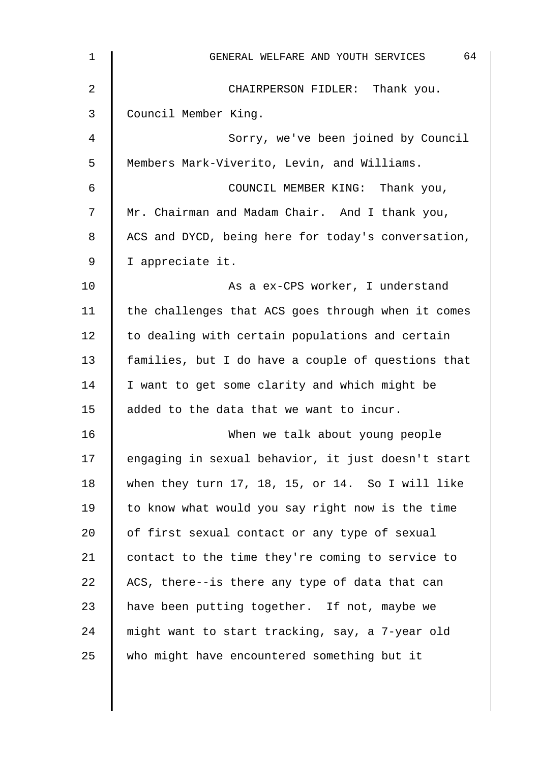| 1  | 64<br>GENERAL WELFARE AND YOUTH SERVICES           |
|----|----------------------------------------------------|
| 2  | CHAIRPERSON FIDLER: Thank you.                     |
| 3  | Council Member King.                               |
| 4  | Sorry, we've been joined by Council                |
| 5  | Members Mark-Viverito, Levin, and Williams.        |
| 6  | COUNCIL MEMBER KING: Thank you,                    |
| 7  | Mr. Chairman and Madam Chair. And I thank you,     |
| 8  | ACS and DYCD, being here for today's conversation, |
| 9  | I appreciate it.                                   |
| 10 | As a ex-CPS worker, I understand                   |
| 11 | the challenges that ACS goes through when it comes |
| 12 | to dealing with certain populations and certain    |
| 13 | families, but I do have a couple of questions that |
| 14 | I want to get some clarity and which might be      |
| 15 | added to the data that we want to incur.           |
| 16 | When we talk about young people                    |
| 17 | engaging in sexual behavior, it just doesn't start |
| 18 | when they turn 17, 18, 15, or 14. So I will like   |
| 19 | to know what would you say right now is the time   |
| 20 | of first sexual contact or any type of sexual      |
| 21 | contact to the time they're coming to service to   |
| 22 | ACS, there--is there any type of data that can     |
| 23 | have been putting together. If not, maybe we       |
| 24 | might want to start tracking, say, a 7-year old    |
| 25 | who might have encountered something but it        |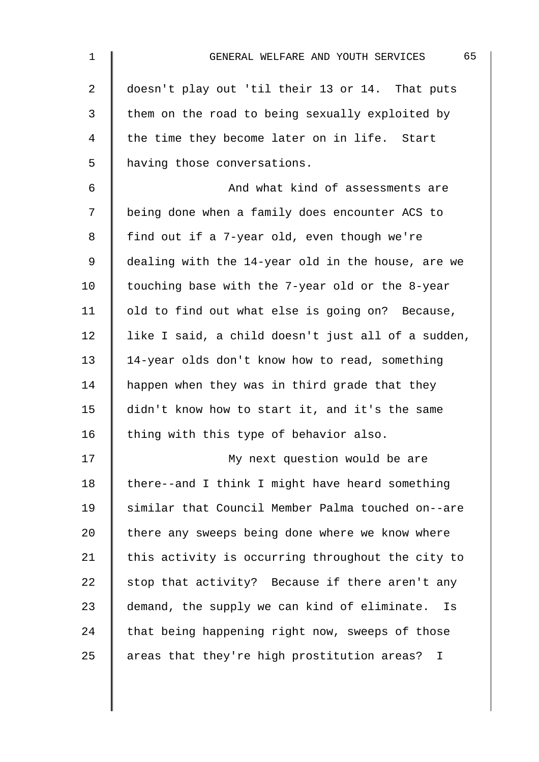| $\mathbf 1$    | 65<br>GENERAL WELFARE AND YOUTH SERVICES           |
|----------------|----------------------------------------------------|
| $\overline{2}$ | doesn't play out 'til their 13 or 14. That puts    |
| 3              | them on the road to being sexually exploited by    |
| $\overline{4}$ | the time they become later on in life. Start       |
| 5              | having those conversations.                        |
| 6              | And what kind of assessments are                   |
| 7              | being done when a family does encounter ACS to     |
| 8              | find out if a 7-year old, even though we're        |
| $\mathsf 9$    | dealing with the 14-year old in the house, are we  |
| 10             | touching base with the 7-year old or the 8-year    |
| 11             | old to find out what else is going on? Because,    |
| 12             | like I said, a child doesn't just all of a sudden, |
| 13             | 14-year olds don't know how to read, something     |
| 14             | happen when they was in third grade that they      |
| 15             | didn't know how to start it, and it's the same     |
| 16             | thing with this type of behavior also.             |
| 17             | My next question would be are                      |
| 18             | there--and I think I might have heard something    |
| 19             | similar that Council Member Palma touched on--are  |
| 20             | there any sweeps being done where we know where    |
| 21             | this activity is occurring throughout the city to  |
| 22             | stop that activity? Because if there aren't any    |
| 23             | demand, the supply we can kind of eliminate.<br>Is |
| 24             | that being happening right now, sweeps of those    |
| 25             | areas that they're high prostitution areas? I      |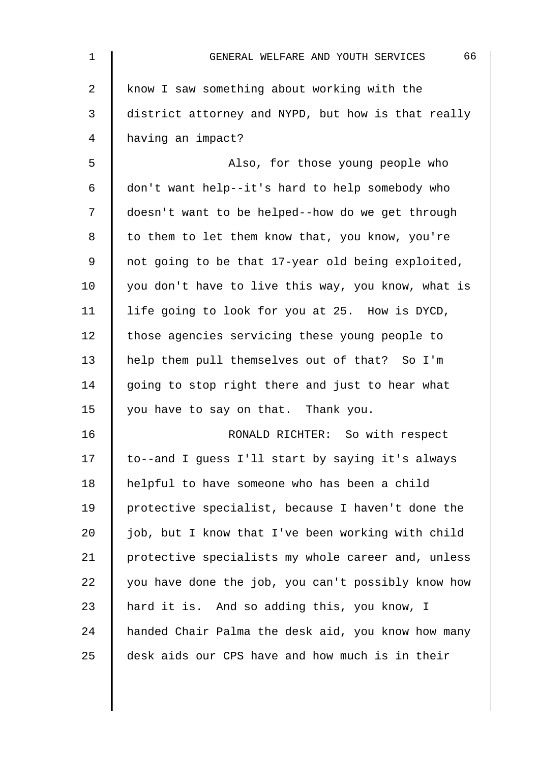| 1  | 66<br>GENERAL WELFARE AND YOUTH SERVICES           |
|----|----------------------------------------------------|
| 2  | know I saw something about working with the        |
| 3  | district attorney and NYPD, but how is that really |
| 4  | having an impact?                                  |
| 5  | Also, for those young people who                   |
| 6  | don't want help--it's hard to help somebody who    |
| 7  | doesn't want to be helped--how do we get through   |
| 8  | to them to let them know that, you know, you're    |
| 9  | not going to be that 17-year old being exploited,  |
| 10 | you don't have to live this way, you know, what is |
| 11 | life going to look for you at 25. How is DYCD,     |
| 12 | those agencies servicing these young people to     |
| 13 | help them pull themselves out of that? So I'm      |
| 14 | going to stop right there and just to hear what    |
| 15 | you have to say on that. Thank you.                |
| 16 | RONALD RICHTER: So with respect                    |
| 17 | to--and I guess I'll start by saying it's always   |
| 18 | helpful to have someone who has been a child       |
| 19 | protective specialist, because I haven't done the  |
| 20 | job, but I know that I've been working with child  |
| 21 | protective specialists my whole career and, unless |
| 22 | you have done the job, you can't possibly know how |
| 23 | hard it is. And so adding this, you know, I        |
| 24 | handed Chair Palma the desk aid, you know how many |
| 25 | desk aids our CPS have and how much is in their    |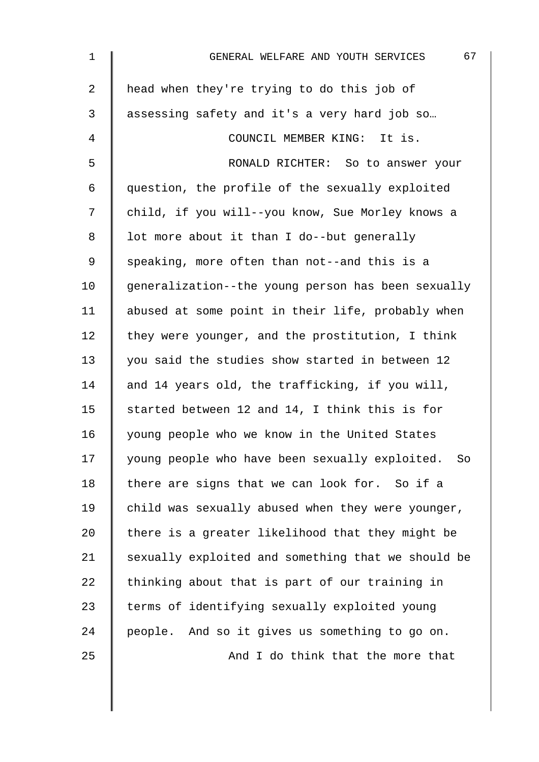| $\mathbf{1}$   | 67<br>GENERAL WELFARE AND YOUTH SERVICES             |
|----------------|------------------------------------------------------|
| $\overline{2}$ | head when they're trying to do this job of           |
| 3              | assessing safety and it's a very hard job so         |
| 4              | COUNCIL MEMBER KING: It is.                          |
| 5              | RONALD RICHTER: So to answer your                    |
| 6              | question, the profile of the sexually exploited      |
| 7              | child, if you will--you know, Sue Morley knows a     |
| 8              | lot more about it than I do--but generally           |
| 9              | speaking, more often than not--and this is a         |
| 10             | generalization--the young person has been sexually   |
| 11             | abused at some point in their life, probably when    |
| 12             | they were younger, and the prostitution, I think     |
| 13             | you said the studies show started in between 12      |
| 14             | and 14 years old, the trafficking, if you will,      |
| 15             | started between 12 and 14, I think this is for       |
| 16             | young people who we know in the United States        |
| 17             | young people who have been sexually exploited.<br>So |
| 18             | there are signs that we can look for. So if a        |
| 19             | child was sexually abused when they were younger,    |
| 20             | there is a greater likelihood that they might be     |
| 21             | sexually exploited and something that we should be   |
| 22             | thinking about that is part of our training in       |
| 23             | terms of identifying sexually exploited young        |
| 24             | people. And so it gives us something to go on.       |
| 25             | And I do think that the more that                    |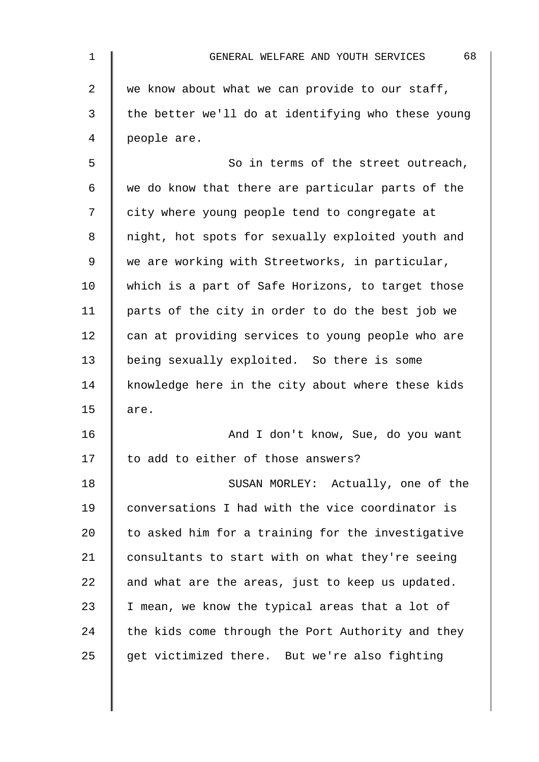| 1  | 68<br>GENERAL WELFARE AND YOUTH SERVICES           |
|----|----------------------------------------------------|
| 2  | we know about what we can provide to our staff,    |
| 3  | the better we'll do at identifying who these young |
| 4  | people are.                                        |
| 5  | So in terms of the street outreach,                |
| 6  | we do know that there are particular parts of the  |
| 7  | city where young people tend to congregate at      |
| 8  | night, hot spots for sexually exploited youth and  |
| 9  | we are working with Streetworks, in particular,    |
| 10 | which is a part of Safe Horizons, to target those  |
| 11 | parts of the city in order to do the best job we   |
| 12 | can at providing services to young people who are  |
| 13 | being sexually exploited. So there is some         |
| 14 | knowledge here in the city about where these kids  |
| 15 | are.                                               |
| 16 | And I don't know, Sue, do you want                 |
| 17 | to add to either of those answers?                 |
| 18 | SUSAN MORLEY: Actually, one of the                 |
| 19 | conversations I had with the vice coordinator is   |
| 20 | to asked him for a training for the investigative  |
| 21 | consultants to start with on what they're seeing   |
| 22 | and what are the areas, just to keep us updated.   |
| 23 | I mean, we know the typical areas that a lot of    |
| 24 | the kids come through the Port Authority and they  |
| 25 | get victimized there. But we're also fighting      |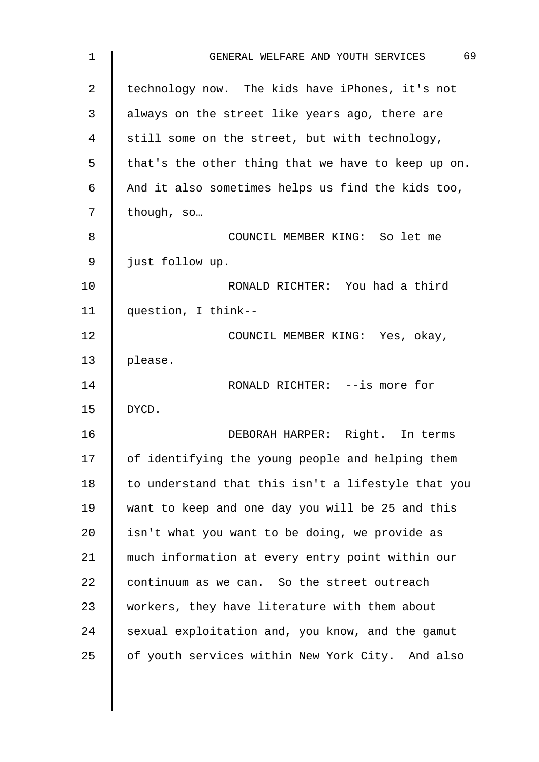| 1              | 69<br>GENERAL WELFARE AND YOUTH SERVICES           |
|----------------|----------------------------------------------------|
| $\overline{2}$ | technology now. The kids have iPhones, it's not    |
| 3              | always on the street like years ago, there are     |
| 4              | still some on the street, but with technology,     |
| 5              | that's the other thing that we have to keep up on. |
| $\epsilon$     | And it also sometimes helps us find the kids too,  |
| 7              | though, so                                         |
| 8              | COUNCIL MEMBER KING: So let me                     |
| 9              | just follow up.                                    |
| 10             | RONALD RICHTER: You had a third                    |
| 11             | question, I think--                                |
| 12             | COUNCIL MEMBER KING: Yes, okay,                    |
| 13             | please.                                            |
| 14             | RONALD RICHTER: --is more for                      |
| 15             | DYCD.                                              |
| 16             | DEBORAH HARPER: Right. In terms                    |
| 17             | of identifying the young people and helping them   |
| 18             | to understand that this isn't a lifestyle that you |
| 19             | want to keep and one day you will be 25 and this   |
| 20             | isn't what you want to be doing, we provide as     |
| 21             | much information at every entry point within our   |
| 22             | continuum as we can. So the street outreach        |
| 23             | workers, they have literature with them about      |
| 24             | sexual exploitation and, you know, and the gamut   |
| 25             | of youth services within New York City. And also   |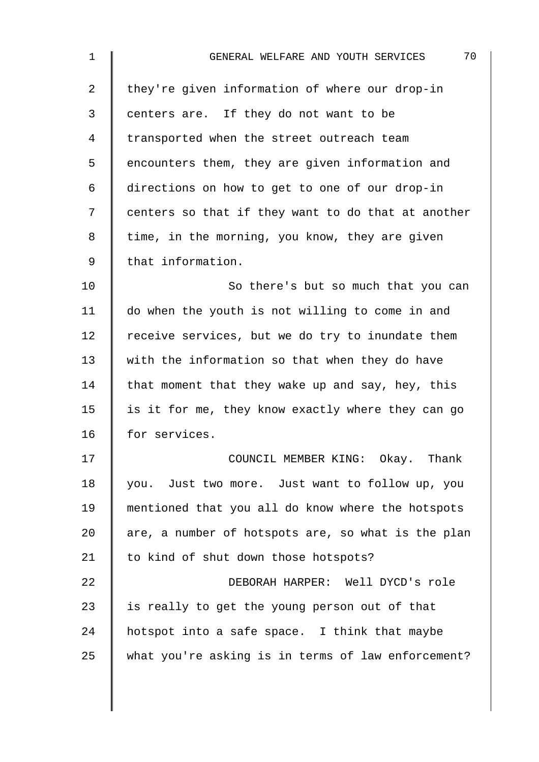| 1  | 70<br>GENERAL WELFARE AND YOUTH SERVICES           |
|----|----------------------------------------------------|
| 2  | they're given information of where our drop-in     |
| 3  | centers are. If they do not want to be             |
| 4  | transported when the street outreach team          |
| 5  | encounters them, they are given information and    |
| 6  | directions on how to get to one of our drop-in     |
| 7  | centers so that if they want to do that at another |
| 8  | time, in the morning, you know, they are given     |
| 9  | that information.                                  |
| 10 | So there's but so much that you can                |
| 11 | do when the youth is not willing to come in and    |
| 12 | receive services, but we do try to inundate them   |
| 13 | with the information so that when they do have     |
| 14 | that moment that they wake up and say, hey, this   |
| 15 | is it for me, they know exactly where they can go  |
| 16 | for services.                                      |
| 17 | COUNCIL MEMBER KING: Okay. Thank                   |
| 18 | you. Just two more. Just want to follow up, you    |
| 19 | mentioned that you all do know where the hotspots  |
| 20 | are, a number of hotspots are, so what is the plan |
| 21 | to kind of shut down those hotspots?               |
| 22 | DEBORAH HARPER: Well DYCD's role                   |
| 23 | is really to get the young person out of that      |
| 24 | hotspot into a safe space. I think that maybe      |
| 25 | what you're asking is in terms of law enforcement? |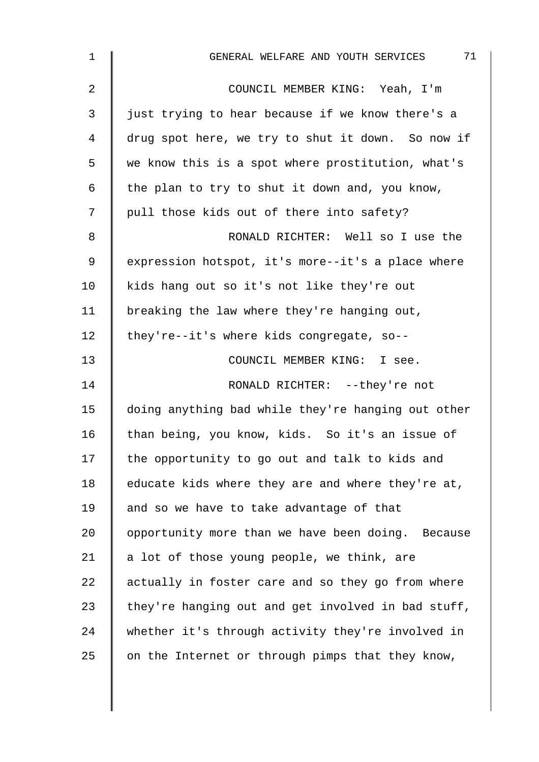| $\mathbf 1$ | 71<br>GENERAL WELFARE AND YOUTH SERVICES           |
|-------------|----------------------------------------------------|
| 2           | COUNCIL MEMBER KING: Yeah, I'm                     |
| 3           | just trying to hear because if we know there's a   |
| 4           | drug spot here, we try to shut it down. So now if  |
| 5           | we know this is a spot where prostitution, what's  |
| 6           | the plan to try to shut it down and, you know,     |
| 7           | pull those kids out of there into safety?          |
| 8           | RONALD RICHTER: Well so I use the                  |
| $\mathsf 9$ | expression hotspot, it's more--it's a place where  |
| 10          | kids hang out so it's not like they're out         |
| 11          | breaking the law where they're hanging out,        |
| 12          | they're--it's where kids congregate, so--          |
| 13          | COUNCIL MEMBER KING: I see.                        |
| 14          | RONALD RICHTER: --they're not                      |
| 15          | doing anything bad while they're hanging out other |
| 16          | than being, you know, kids. So it's an issue of    |
| 17          | the opportunity to go out and talk to kids and     |
| 18          | educate kids where they are and where they're at,  |
| 19          | and so we have to take advantage of that           |
| 20          | opportunity more than we have been doing. Because  |
| 21          | a lot of those young people, we think, are         |
| 22          | actually in foster care and so they go from where  |
| 23          | they're hanging out and get involved in bad stuff, |
| 24          | whether it's through activity they're involved in  |
| 25          | on the Internet or through pimps that they know,   |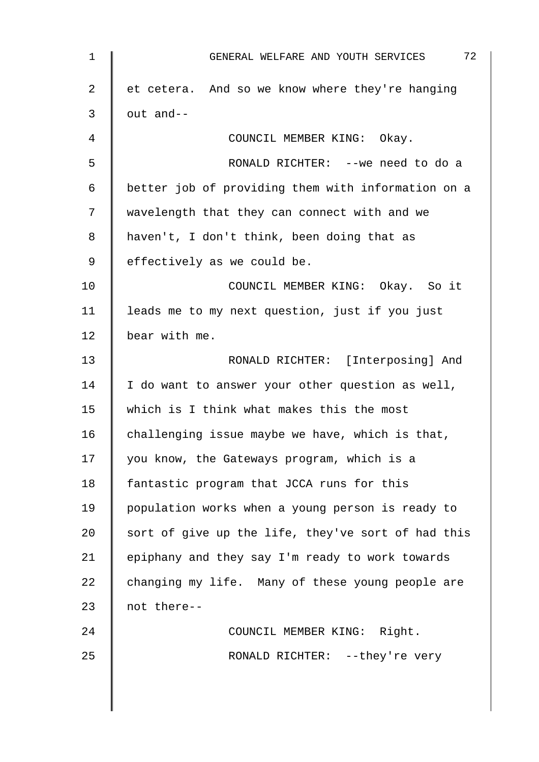| 1  | 72<br>GENERAL WELFARE AND YOUTH SERVICES           |
|----|----------------------------------------------------|
| 2  | et cetera. And so we know where they're hanging    |
| 3  | out and--                                          |
| 4  | COUNCIL MEMBER KING: Okay.                         |
| 5  | RONALD RICHTER: -- we need to do a                 |
| 6  | better job of providing them with information on a |
| 7  | wavelength that they can connect with and we       |
| 8  | haven't, I don't think, been doing that as         |
| 9  | effectively as we could be.                        |
| 10 | COUNCIL MEMBER KING: Okay. So it                   |
| 11 | leads me to my next question, just if you just     |
| 12 | bear with me.                                      |
| 13 | RONALD RICHTER: [Interposing] And                  |
| 14 | I do want to answer your other question as well,   |
| 15 | which is I think what makes this the most          |
| 16 | challenging issue maybe we have, which is that,    |
| 17 | you know, the Gateways program, which is a         |
| 18 | fantastic program that JCCA runs for this          |
| 19 | population works when a young person is ready to   |
| 20 | sort of give up the life, they've sort of had this |
| 21 | epiphany and they say I'm ready to work towards    |
| 22 | changing my life. Many of these young people are   |
| 23 | not there--                                        |
| 24 | COUNCIL MEMBER KING: Right.                        |
| 25 | RONALD RICHTER: --they're very                     |
|    |                                                    |
|    |                                                    |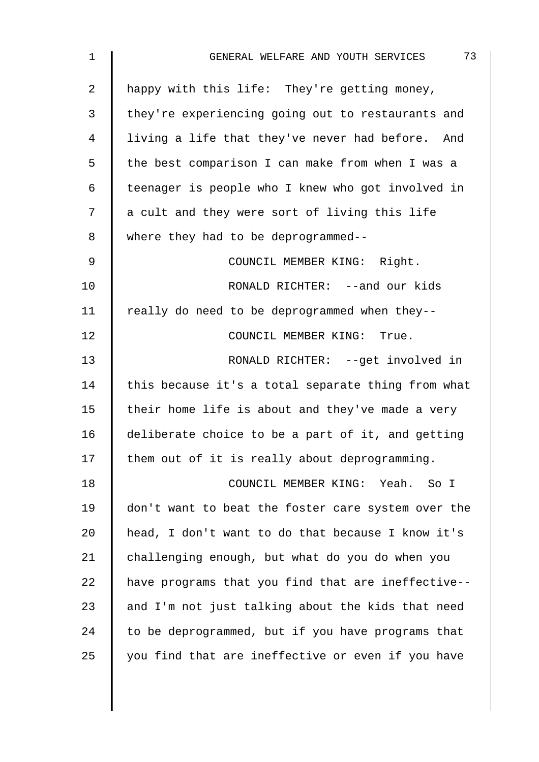| 1              | 73<br>GENERAL WELFARE AND YOUTH SERVICES           |
|----------------|----------------------------------------------------|
| $\overline{2}$ | happy with this life: They're getting money,       |
| 3              | they're experiencing going out to restaurants and  |
| 4              | living a life that they've never had before. And   |
| 5              | the best comparison I can make from when I was a   |
| $\epsilon$     | teenager is people who I knew who got involved in  |
| 7              | a cult and they were sort of living this life      |
| 8              | where they had to be deprogrammed--                |
| $\mathsf 9$    | COUNCIL MEMBER KING: Right.                        |
| 10             | RONALD RICHTER: --and our kids                     |
| 11             | really do need to be deprogrammed when they--      |
| 12             | COUNCIL MEMBER KING: True.                         |
| 13             | RONALD RICHTER: --get involved in                  |
| 14             | this because it's a total separate thing from what |
| 15             | their home life is about and they've made a very   |
| 16             | deliberate choice to be a part of it, and getting  |
| 17             | them out of it is really about deprogramming.      |
| 18             | COUNCIL MEMBER KING: Yeah. So I                    |
| 19             | don't want to beat the foster care system over the |
| 20             | head, I don't want to do that because I know it's  |
| 21             | challenging enough, but what do you do when you    |
| 22             | have programs that you find that are ineffective-- |
| 23             | and I'm not just talking about the kids that need  |
| 24             | to be deprogrammed, but if you have programs that  |
| 25             | you find that are ineffective or even if you have  |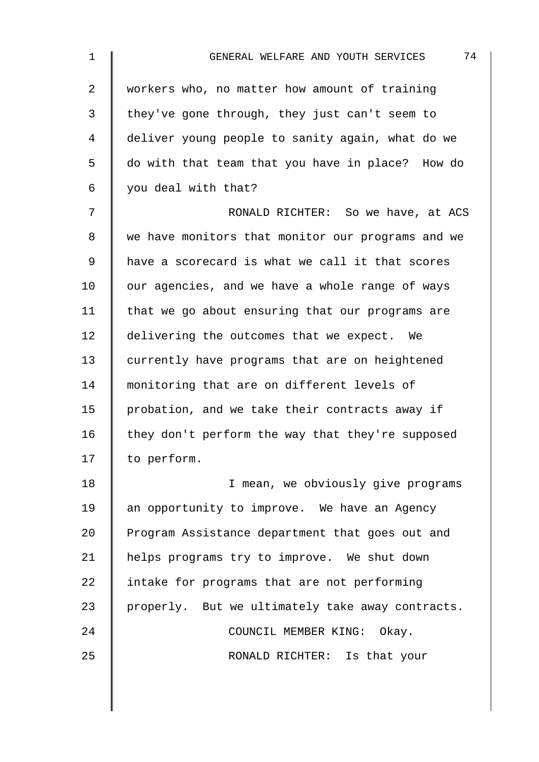| $\mathbf 1$    | 74<br>GENERAL WELFARE AND YOUTH SERVICES          |
|----------------|---------------------------------------------------|
| 2              | workers who, no matter how amount of training     |
| 3              | they've gone through, they just can't seem to     |
| $\overline{4}$ | deliver young people to sanity again, what do we  |
| 5              | do with that team that you have in place? How do  |
| 6              | you deal with that?                               |
| 7              | RONALD RICHTER: So we have, at ACS                |
| 8              | we have monitors that monitor our programs and we |
| $\mathsf 9$    | have a scorecard is what we call it that scores   |
| 10             | our agencies, and we have a whole range of ways   |
| 11             | that we go about ensuring that our programs are   |
| 12             | delivering the outcomes that we expect. We        |
| 13             | currently have programs that are on heightened    |
| 14             | monitoring that are on different levels of        |
| 15             | probation, and we take their contracts away if    |
| 16             | they don't perform the way that they're supposed  |
| 17             | to perform.                                       |
| 18             | I mean, we obviously give programs                |
| 19             | an opportunity to improve. We have an Agency      |
| 20             | Program Assistance department that goes out and   |
| 21             | helps programs try to improve. We shut down       |
| 22             | intake for programs that are not performing       |
| 23             | properly. But we ultimately take away contracts.  |
| 24             | COUNCIL MEMBER KING: Okay.                        |
| 25             | RONALD RICHTER: Is that your                      |
|                |                                                   |
|                |                                                   |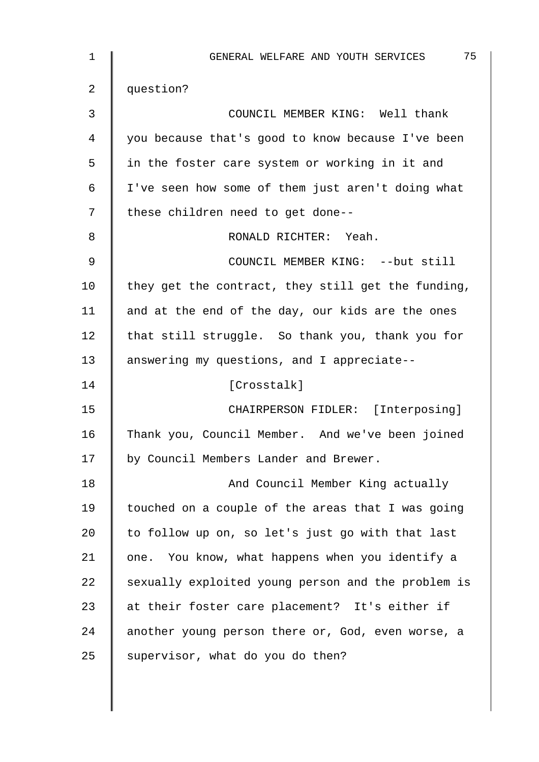| 1  | 75<br>GENERAL WELFARE AND YOUTH SERVICES           |
|----|----------------------------------------------------|
| 2  | question?                                          |
| 3  | COUNCIL MEMBER KING: Well thank                    |
| 4  | you because that's good to know because I've been  |
| 5  | in the foster care system or working in it and     |
| 6  | I've seen how some of them just aren't doing what  |
| 7  | these children need to get done--                  |
| 8  | RONALD RICHTER: Yeah.                              |
| 9  | COUNCIL MEMBER KING: -- but still                  |
| 10 | they get the contract, they still get the funding, |
| 11 | and at the end of the day, our kids are the ones   |
| 12 | that still struggle. So thank you, thank you for   |
| 13 | answering my questions, and I appreciate--         |
| 14 | [Crosstalk]                                        |
| 15 | CHAIRPERSON FIDLER: [Interposing]                  |
| 16 | Thank you, Council Member. And we've been joined   |
| 17 | by Council Members Lander and Brewer.              |
| 18 | And Council Member King actually                   |
| 19 | touched on a couple of the areas that I was going  |
| 20 | to follow up on, so let's just go with that last   |
| 21 | one. You know, what happens when you identify a    |
| 22 | sexually exploited young person and the problem is |
| 23 | at their foster care placement? It's either if     |
| 24 | another young person there or, God, even worse, a  |
| 25 | supervisor, what do you do then?                   |
|    |                                                    |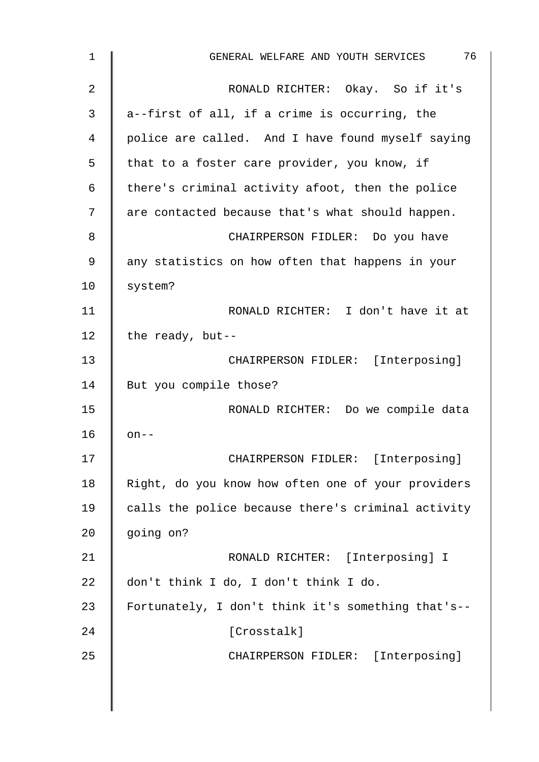| 1  | 76<br>GENERAL WELFARE AND YOUTH SERVICES           |
|----|----------------------------------------------------|
| 2  | RONALD RICHTER: Okay. So if it's                   |
| 3  | a--first of all, if a crime is occurring, the      |
| 4  | police are called. And I have found myself saying  |
| 5  | that to a foster care provider, you know, if       |
| 6  | there's criminal activity afoot, then the police   |
| 7  | are contacted because that's what should happen.   |
| 8  | CHAIRPERSON FIDLER: Do you have                    |
| 9  | any statistics on how often that happens in your   |
| 10 | system?                                            |
| 11 | RONALD RICHTER: I don't have it at                 |
| 12 | the ready, but--                                   |
| 13 | CHAIRPERSON FIDLER: [Interposing]                  |
| 14 | But you compile those?                             |
| 15 | RONALD RICHTER: Do we compile data                 |
| 16 | $on--$                                             |
| 17 | CHAIRPERSON FIDLER: [Interposing]                  |
| 18 | Right, do you know how often one of your providers |
| 19 | calls the police because there's criminal activity |
| 20 | going on?                                          |
| 21 | RONALD RICHTER: [Interposing] I                    |
| 22 | don't think I do, I don't think I do.              |
| 23 | Fortunately, I don't think it's something that's-- |
| 24 | [Crosstalk]                                        |
| 25 | CHAIRPERSON FIDLER: [Interposing]                  |
|    |                                                    |
|    |                                                    |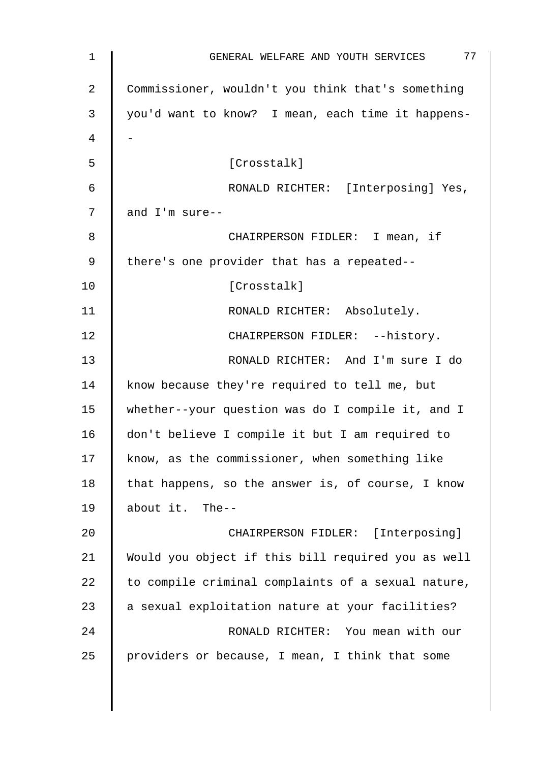| $\mathbf 1$ | 77<br>GENERAL WELFARE AND YOUTH SERVICES           |
|-------------|----------------------------------------------------|
| 2           | Commissioner, wouldn't you think that's something  |
| 3           | you'd want to know? I mean, each time it happens-  |
| 4           |                                                    |
| 5           | [Crosstalk]                                        |
| 6           | RONALD RICHTER: [Interposing] Yes,                 |
| 7           | and I'm sure--                                     |
| 8           | CHAIRPERSON FIDLER: I mean, if                     |
| 9           | there's one provider that has a repeated--         |
| 10          | [Crosstalk]                                        |
| 11          | RONALD RICHTER: Absolutely.                        |
| 12          | CHAIRPERSON FIDLER: -- history.                    |
| 13          | RONALD RICHTER: And I'm sure I do                  |
| 14          | know because they're required to tell me, but      |
| 15          | whether--your question was do I compile it, and I  |
| 16          | don't believe I compile it but I am required to    |
| 17          | know, as the commissioner, when something like     |
| 18          | that happens, so the answer is, of course, I know  |
| 19          | about it. The--                                    |
| 20          | CHAIRPERSON FIDLER: [Interposing]                  |
| 21          | Would you object if this bill required you as well |
| 22          | to compile criminal complaints of a sexual nature, |
| 23          | a sexual exploitation nature at your facilities?   |
| 24          | RONALD RICHTER: You mean with our                  |
| 25          | providers or because, I mean, I think that some    |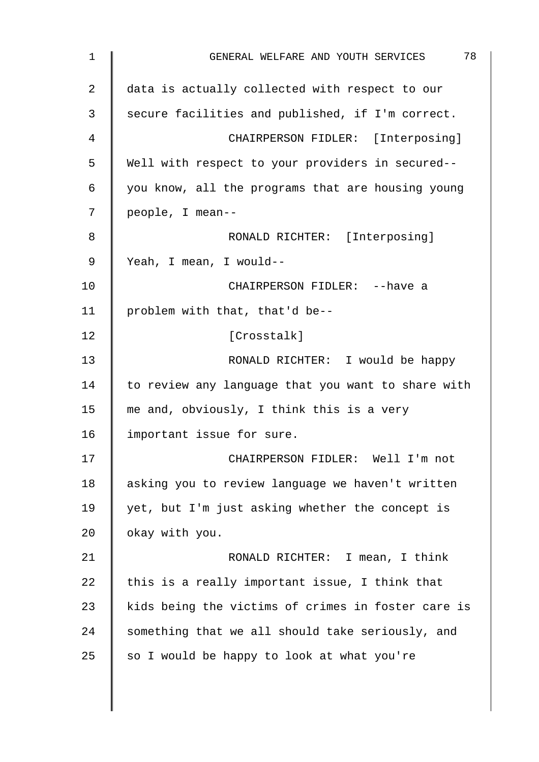| 1  | 78<br>GENERAL WELFARE AND YOUTH SERVICES           |
|----|----------------------------------------------------|
| 2  | data is actually collected with respect to our     |
| 3  | secure facilities and published, if I'm correct.   |
| 4  | CHAIRPERSON FIDLER: [Interposing]                  |
| 5  | Well with respect to your providers in secured--   |
| 6  | you know, all the programs that are housing young  |
| 7  | people, I mean--                                   |
| 8  | RONALD RICHTER: [Interposing]                      |
| 9  | Yeah, I mean, I would--                            |
| 10 | CHAIRPERSON FIDLER: -- have a                      |
| 11 | problem with that, that'd be--                     |
| 12 | [Crosstalk]                                        |
| 13 | RONALD RICHTER: I would be happy                   |
| 14 | to review any language that you want to share with |
| 15 | me and, obviously, I think this is a very          |
| 16 | important issue for sure.                          |
| 17 | CHAIRPERSON FIDLER: Well I'm not                   |
| 18 | asking you to review language we haven't written   |
| 19 | yet, but I'm just asking whether the concept is    |
| 20 | okay with you.                                     |
| 21 | RONALD RICHTER: I mean, I think                    |
| 22 | this is a really important issue, I think that     |
| 23 | kids being the victims of crimes in foster care is |
| 24 | something that we all should take seriously, and   |
| 25 | so I would be happy to look at what you're         |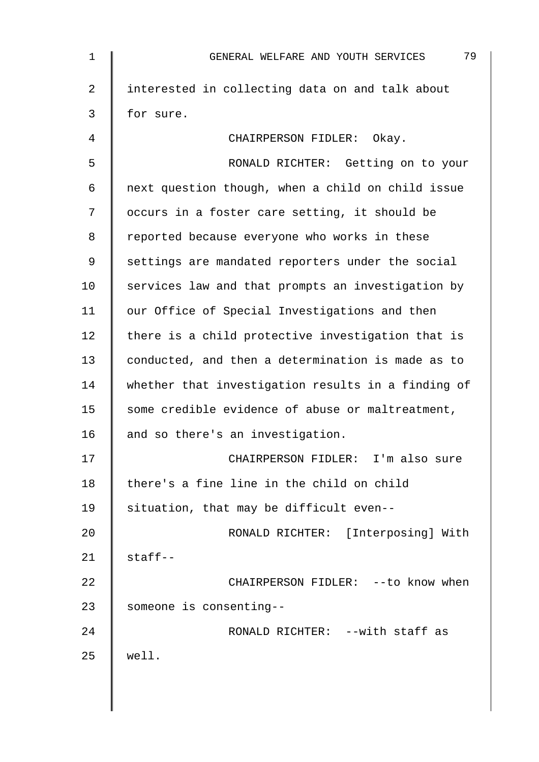| 1  | 79<br>GENERAL WELFARE AND YOUTH SERVICES           |
|----|----------------------------------------------------|
| 2  | interested in collecting data on and talk about    |
| 3  | for sure.                                          |
| 4  | CHAIRPERSON FIDLER: Okay.                          |
| 5  | RONALD RICHTER: Getting on to your                 |
| 6  | next question though, when a child on child issue  |
| 7  | occurs in a foster care setting, it should be      |
| 8  | reported because everyone who works in these       |
| 9  | settings are mandated reporters under the social   |
| 10 | services law and that prompts an investigation by  |
| 11 | our Office of Special Investigations and then      |
| 12 | there is a child protective investigation that is  |
| 13 | conducted, and then a determination is made as to  |
| 14 | whether that investigation results in a finding of |
| 15 | some credible evidence of abuse or maltreatment,   |
| 16 | and so there's an investigation.                   |
| 17 | CHAIRPERSON FIDLER: I'm also sure                  |
| 18 | there's a fine line in the child on child          |
| 19 | situation, that may be difficult even--            |
| 20 | RONALD RICHTER: [Interposing] With                 |
| 21 | $statf--$                                          |
| 22 | CHAIRPERSON FIDLER: -- to know when                |
| 23 | someone is consenting--                            |
| 24 | RONALD RICHTER: -- with staff as                   |
| 25 | well.                                              |
|    |                                                    |
|    |                                                    |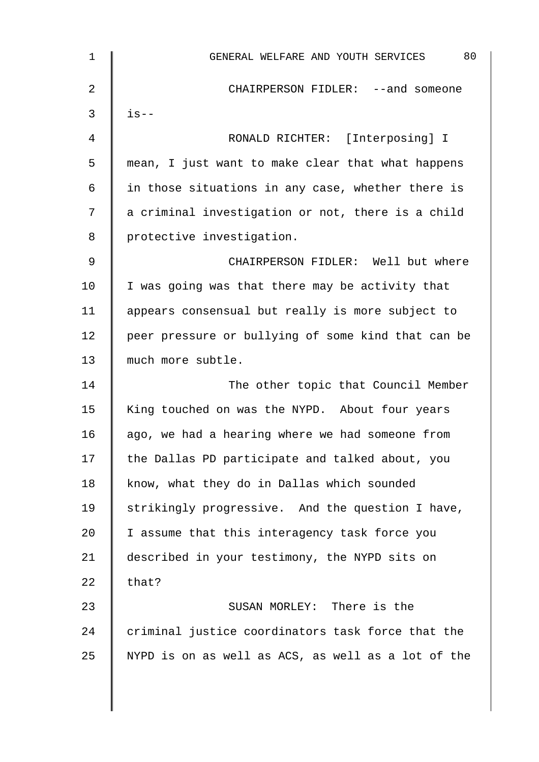| $\mathbf 1$ | 80<br>GENERAL WELFARE AND YOUTH SERVICES           |
|-------------|----------------------------------------------------|
| 2           | CHAIRPERSON FIDLER: --and someone                  |
| 3           | $is--$                                             |
| 4           | RONALD RICHTER: [Interposing] I                    |
| 5           | mean, I just want to make clear that what happens  |
| 6           | in those situations in any case, whether there is  |
| 7           | a criminal investigation or not, there is a child  |
| 8           | protective investigation.                          |
| 9           | CHAIRPERSON FIDLER: Well but where                 |
| 10          | I was going was that there may be activity that    |
| 11          | appears consensual but really is more subject to   |
| 12          | peer pressure or bullying of some kind that can be |
| 13          | much more subtle.                                  |
| 14          | The other topic that Council Member                |
| 15          | King touched on was the NYPD. About four years     |
| 16          | ago, we had a hearing where we had someone from    |
| 17          | the Dallas PD participate and talked about, you    |
| 18          | know, what they do in Dallas which sounded         |
| 19          | strikingly progressive. And the question I have,   |
| 20          | I assume that this interagency task force you      |
| 21          | described in your testimony, the NYPD sits on      |
| 22          | that?                                              |
| 23          | SUSAN MORLEY: There is the                         |
| 24          | criminal justice coordinators task force that the  |
| 25          | NYPD is on as well as ACS, as well as a lot of the |
|             |                                                    |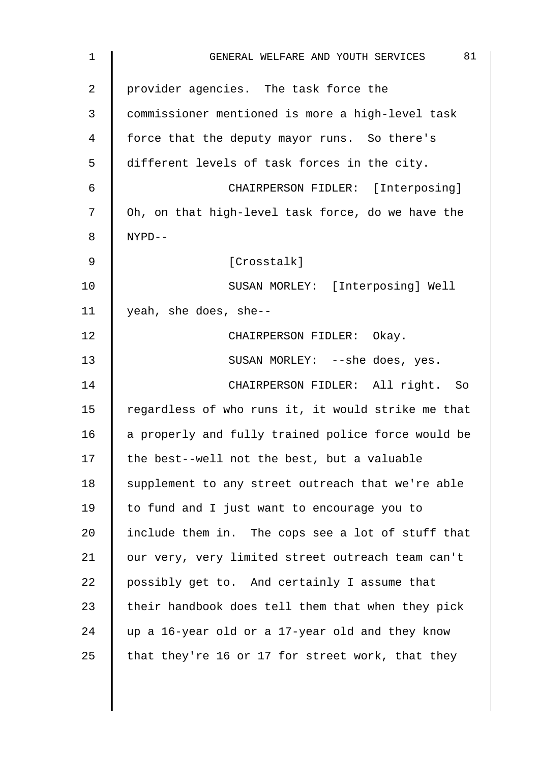| 1              | 81<br>GENERAL WELFARE AND YOUTH SERVICES           |
|----------------|----------------------------------------------------|
| $\overline{2}$ | provider agencies. The task force the              |
| 3              | commissioner mentioned is more a high-level task   |
| 4              | force that the deputy mayor runs. So there's       |
| 5              | different levels of task forces in the city.       |
| 6              | CHAIRPERSON FIDLER: [Interposing]                  |
| 7              | Oh, on that high-level task force, do we have the  |
| 8              | NYPD--                                             |
| 9              | [Crosstalk]                                        |
| 10             | SUSAN MORLEY: [Interposing] Well                   |
| 11             | yeah, she does, she--                              |
| 12             | CHAIRPERSON FIDLER: Okay.                          |
| 13             | SUSAN MORLEY: --she does, yes.                     |
| 14             | CHAIRPERSON FIDLER: All right. So                  |
| 15             | regardless of who runs it, it would strike me that |
| 16             | a properly and fully trained police force would be |
| 17             | the best--well not the best, but a valuable        |
| 18             | supplement to any street outreach that we're able  |
| 19             | to fund and I just want to encourage you to        |
| 20             | include them in. The cops see a lot of stuff that  |
| 21             | our very, very limited street outreach team can't  |
| 22             | possibly get to. And certainly I assume that       |
| 23             | their handbook does tell them that when they pick  |
| 24             | up a 16-year old or a 17-year old and they know    |
| 25             | that they're 16 or 17 for street work, that they   |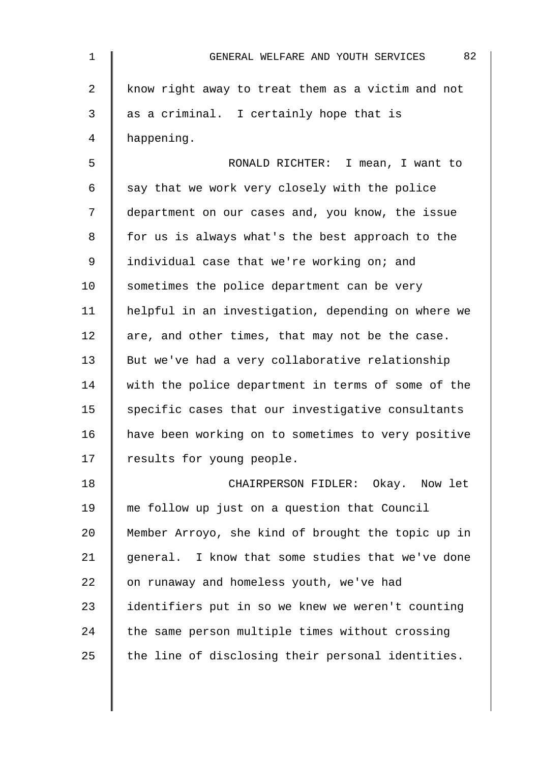| 1           | 82<br>GENERAL WELFARE AND YOUTH SERVICES           |
|-------------|----------------------------------------------------|
| 2           | know right away to treat them as a victim and not  |
| 3           | as a criminal. I certainly hope that is            |
| 4           | happening.                                         |
| 5           | RONALD RICHTER:<br>I mean, I want to               |
| 6           | say that we work very closely with the police      |
| 7           | department on our cases and, you know, the issue   |
| 8           | for us is always what's the best approach to the   |
| $\mathsf 9$ | individual case that we're working on; and         |
| 10          | sometimes the police department can be very        |
| 11          | helpful in an investigation, depending on where we |
| 12          | are, and other times, that may not be the case.    |
| 13          | But we've had a very collaborative relationship    |
| 14          | with the police department in terms of some of the |
| 15          | specific cases that our investigative consultants  |
| 16          | have been working on to sometimes to very positive |
| 17          | results for young people.                          |
| 18          | CHAIRPERSON FIDLER: Okay. Now let                  |
| 19          | me follow up just on a question that Council       |
| 20          | Member Arroyo, she kind of brought the topic up in |
| 21          | general. I know that some studies that we've done  |
| 22          | on runaway and homeless youth, we've had           |
| 23          | identifiers put in so we knew we weren't counting  |
| 24          | the same person multiple times without crossing    |
| 25          | the line of disclosing their personal identities.  |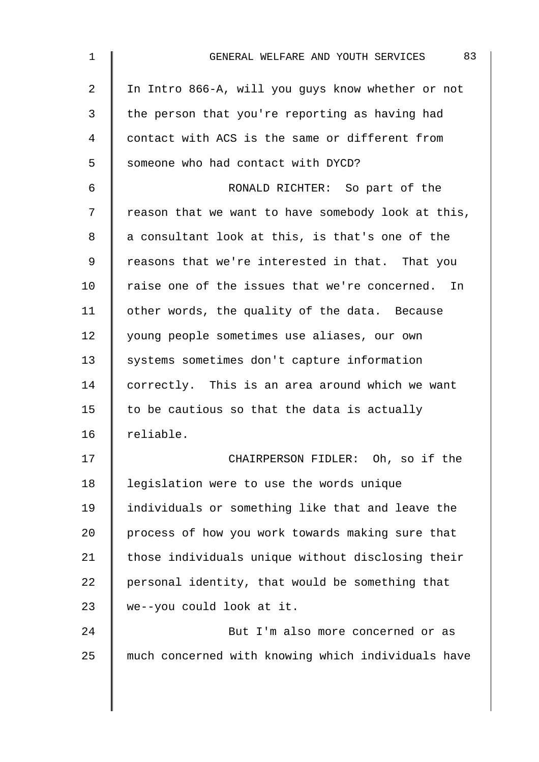| $\mathbf 1$    | 83<br>GENERAL WELFARE AND YOUTH SERVICES           |
|----------------|----------------------------------------------------|
| $\overline{2}$ | In Intro 866-A, will you guys know whether or not  |
| 3              | the person that you're reporting as having had     |
| 4              | contact with ACS is the same or different from     |
| 5              | someone who had contact with DYCD?                 |
| 6              | RONALD RICHTER: So part of the                     |
| 7              | reason that we want to have somebody look at this, |
| 8              | a consultant look at this, is that's one of the    |
| 9              | reasons that we're interested in that. That you    |
| 10             | raise one of the issues that we're concerned. In   |
| 11             | other words, the quality of the data. Because      |
| 12             | young people sometimes use aliases, our own        |
| 13             | systems sometimes don't capture information        |
| 14             | correctly. This is an area around which we want    |
| 15             | to be cautious so that the data is actually        |
| 16             | reliable.                                          |
| 17             | CHAIRPERSON FIDLER: Oh, so if the                  |
| 18             | legislation were to use the words unique           |
| 19             | individuals or something like that and leave the   |
| 20             | process of how you work towards making sure that   |
| 21             | those individuals unique without disclosing their  |
| 22             | personal identity, that would be something that    |
| 23             | we--you could look at it.                          |
| 24             | But I'm also more concerned or as                  |
| 25             | much concerned with knowing which individuals have |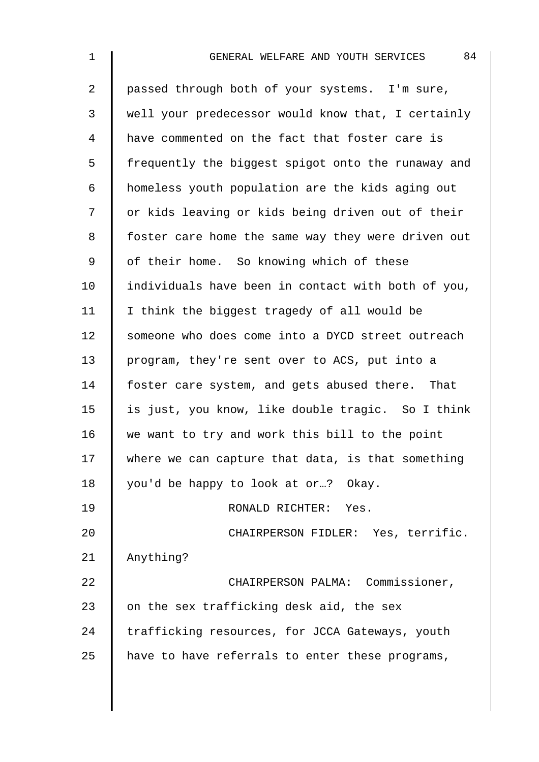| $\mathbf 1$    | 84<br>GENERAL WELFARE AND YOUTH SERVICES           |
|----------------|----------------------------------------------------|
| $\overline{a}$ | passed through both of your systems. I'm sure,     |
| $\mathfrak{Z}$ | well your predecessor would know that, I certainly |
| 4              | have commented on the fact that foster care is     |
| 5              | frequently the biggest spigot onto the runaway and |
| 6              | homeless youth population are the kids aging out   |
| 7              | or kids leaving or kids being driven out of their  |
| 8              | foster care home the same way they were driven out |
| 9              | of their home. So knowing which of these           |
| 10             | individuals have been in contact with both of you, |
| 11             | I think the biggest tragedy of all would be        |
| 12             | someone who does come into a DYCD street outreach  |
| 13             | program, they're sent over to ACS, put into a      |
| 14             | foster care system, and gets abused there. That    |
| 15             | is just, you know, like double tragic. So I think  |
| 16             | we want to try and work this bill to the point     |
| 17             | where we can capture that data, is that something  |
| 18             | you'd be happy to look at or? Okay.                |
| 19             | RONALD RICHTER: Yes.                               |
| 20             | CHAIRPERSON FIDLER: Yes, terrific.                 |
| 21             | Anything?                                          |
| 22             | CHAIRPERSON PALMA: Commissioner,                   |
| 23             | on the sex trafficking desk aid, the sex           |
| 24             | trafficking resources, for JCCA Gateways, youth    |
| 25             | have to have referrals to enter these programs,    |
|                |                                                    |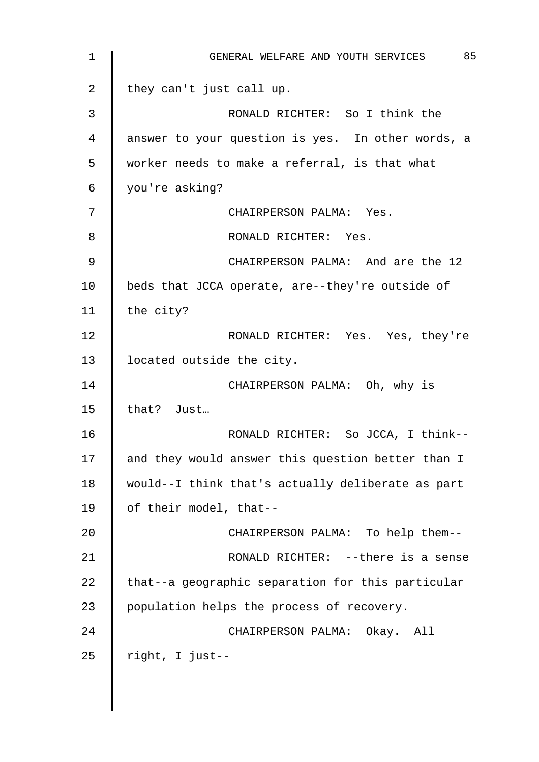| $\mathbf 1$ | 85<br>GENERAL WELFARE AND YOUTH SERVICES          |
|-------------|---------------------------------------------------|
| 2           | they can't just call up.                          |
| 3           | RONALD RICHTER: So I think the                    |
| 4           | answer to your question is yes. In other words, a |
| 5           | worker needs to make a referral, is that what     |
| 6           | you're asking?                                    |
| 7           | CHAIRPERSON PALMA: Yes.                           |
| 8           | RONALD RICHTER: Yes.                              |
| $\mathsf 9$ | CHAIRPERSON PALMA: And are the 12                 |
| 10          | beds that JCCA operate, are--they're outside of   |
| 11          | the city?                                         |
| 12          | RONALD RICHTER: Yes. Yes, they're                 |
| 13          | located outside the city.                         |
| 14          | CHAIRPERSON PALMA: Oh, why is                     |
| 15          | that? Just                                        |
| 16          | RONALD RICHTER: So JCCA, I think--                |
| 17          | and they would answer this question better than I |
| 18          | would--I think that's actually deliberate as part |
| 19          | of their model, that--                            |
| 20          | CHAIRPERSON PALMA: To help them--                 |
| 21          | RONALD RICHTER: -- there is a sense               |
| 22          | that--a geographic separation for this particular |
| 23          | population helps the process of recovery.         |
| 24          | CHAIRPERSON PALMA: Okay. All                      |
| 25          | right, I just--                                   |
|             |                                                   |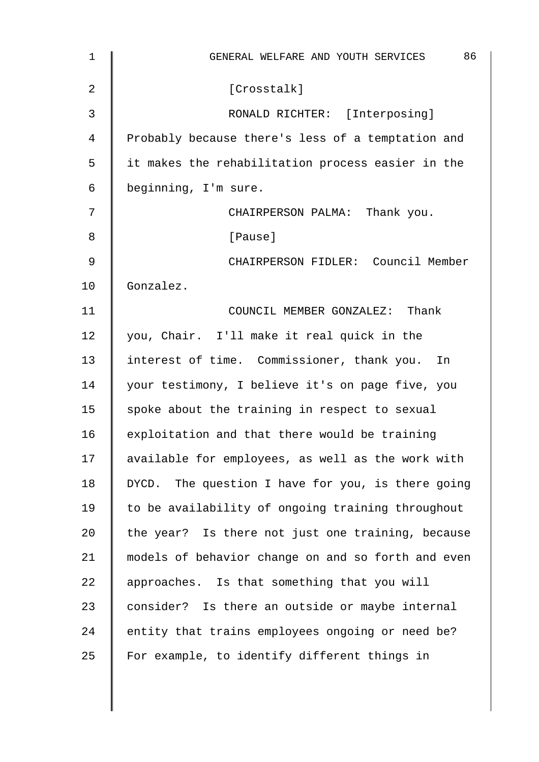| $\mathbf 1$ | 86<br>GENERAL WELFARE AND YOUTH SERVICES           |
|-------------|----------------------------------------------------|
| 2           | [Crosstalk]                                        |
| 3           | RONALD RICHTER: [Interposing]                      |
| 4           | Probably because there's less of a temptation and  |
| 5           | it makes the rehabilitation process easier in the  |
| 6           | beginning, I'm sure.                               |
| 7           | CHAIRPERSON PALMA: Thank you.                      |
| 8           | [Pause]                                            |
| 9           | CHAIRPERSON FIDLER: Council Member                 |
| 10          | Gonzalez.                                          |
| 11          | COUNCIL MEMBER GONZALEZ: Thank                     |
| 12          | you, Chair. I'll make it real quick in the         |
| 13          | interest of time. Commissioner, thank you. In      |
| 14          | your testimony, I believe it's on page five, you   |
| 15          | spoke about the training in respect to sexual      |
| 16          | exploitation and that there would be training      |
| 17          | available for employees, as well as the work with  |
| 18          | DYCD. The question I have for you, is there going  |
| 19          | to be availability of ongoing training throughout  |
| 20          | the year? Is there not just one training, because  |
| 21          | models of behavior change on and so forth and even |
| 22          | approaches. Is that something that you will        |
| 23          | consider? Is there an outside or maybe internal    |
| 24          | entity that trains employees ongoing or need be?   |
| 25          | For example, to identify different things in       |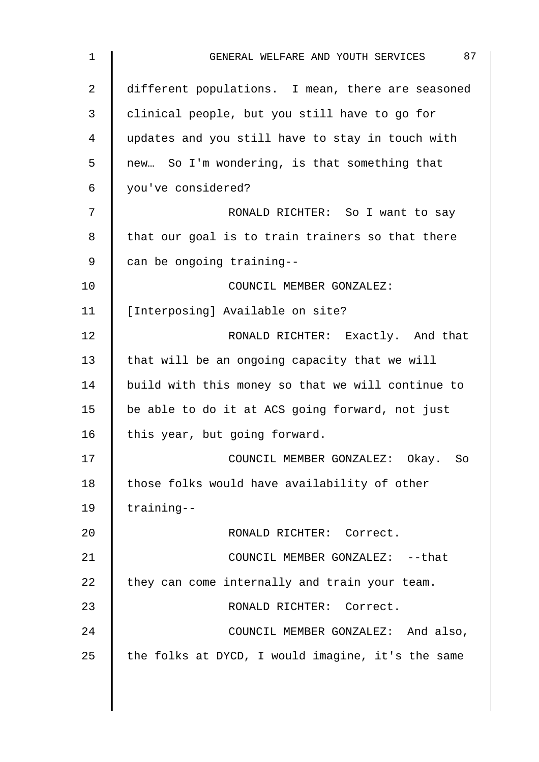| 1  | 87<br>GENERAL WELFARE AND YOUTH SERVICES          |
|----|---------------------------------------------------|
| 2  | different populations. I mean, there are seasoned |
| 3  | clinical people, but you still have to go for     |
| 4  | updates and you still have to stay in touch with  |
| 5  | new So I'm wondering, is that something that      |
| 6  | you've considered?                                |
| 7  | RONALD RICHTER: So I want to say                  |
| 8  | that our goal is to train trainers so that there  |
| 9  | can be ongoing training--                         |
| 10 | COUNCIL MEMBER GONZALEZ:                          |
| 11 | [Interposing] Available on site?                  |
| 12 | RONALD RICHTER: Exactly. And that                 |
| 13 | that will be an ongoing capacity that we will     |
| 14 | build with this money so that we will continue to |
| 15 | be able to do it at ACS going forward, not just   |
| 16 | this year, but going forward.                     |
| 17 | COUNCIL MEMBER GONZALEZ: Okay. So                 |
| 18 | those folks would have availability of other      |
| 19 | training--                                        |
| 20 | RONALD RICHTER: Correct.                          |
| 21 | COUNCIL MEMBER GONZALEZ: -- that                  |
| 22 | they can come internally and train your team.     |
| 23 | RONALD RICHTER: Correct.                          |
| 24 | COUNCIL MEMBER GONZALEZ: And also,                |
| 25 | the folks at DYCD, I would imagine, it's the same |
|    |                                                   |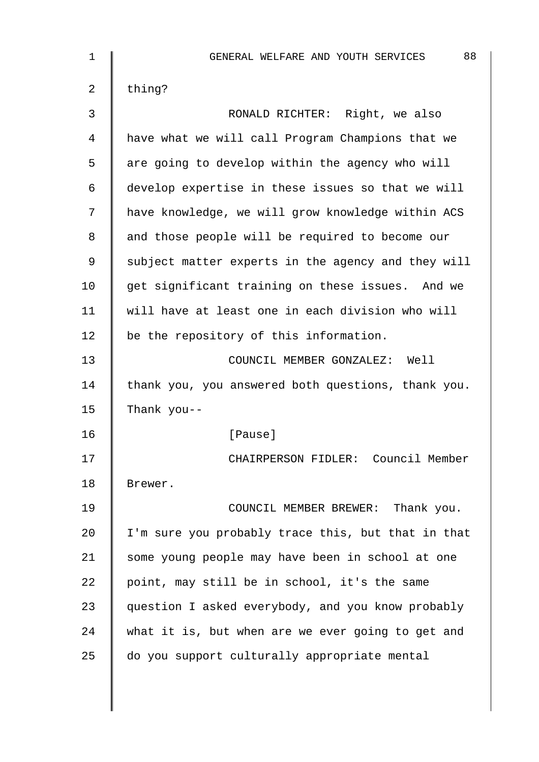| $\mathbf 1$ | 88<br>GENERAL WELFARE AND YOUTH SERVICES           |
|-------------|----------------------------------------------------|
| 2           | thing?                                             |
| 3           | RONALD RICHTER: Right, we also                     |
| 4           | have what we will call Program Champions that we   |
| 5           | are going to develop within the agency who will    |
| 6           | develop expertise in these issues so that we will  |
| 7           | have knowledge, we will grow knowledge within ACS  |
| 8           | and those people will be required to become our    |
| 9           | subject matter experts in the agency and they will |
| 10          | get significant training on these issues. And we   |
| 11          | will have at least one in each division who will   |
| 12          | be the repository of this information.             |
| 13          | COUNCIL MEMBER GONZALEZ: Well                      |
| 14          | thank you, you answered both questions, thank you. |
| 15          | Thank you--                                        |
| 16          | [Pause]                                            |
| 17          | CHAIRPERSON FIDLER: Council Member                 |
| 18          | Brewer.                                            |
| 19          | COUNCIL MEMBER BREWER: Thank you.                  |
| 20          | I'm sure you probably trace this, but that in that |
| 21          | some young people may have been in school at one   |
| 22          | point, may still be in school, it's the same       |
| 23          | question I asked everybody, and you know probably  |
| 24          | what it is, but when are we ever going to get and  |
| 25          | do you support culturally appropriate mental       |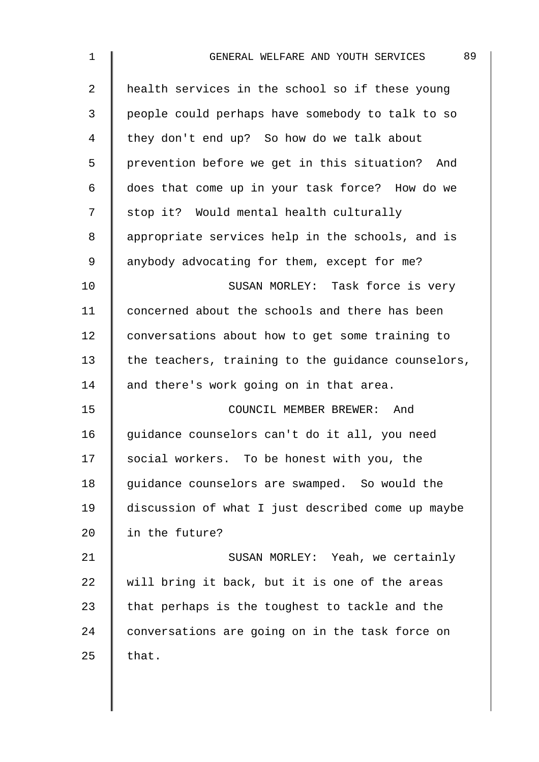| $\mathbf 1$    | 89<br>GENERAL WELFARE AND YOUTH SERVICES           |
|----------------|----------------------------------------------------|
| $\overline{2}$ | health services in the school so if these young    |
| 3              | people could perhaps have somebody to talk to so   |
| 4              | they don't end up? So how do we talk about         |
| 5              | prevention before we get in this situation? And    |
| 6              | does that come up in your task force? How do we    |
| 7              | stop it? Would mental health culturally            |
| 8              | appropriate services help in the schools, and is   |
| 9              | anybody advocating for them, except for me?        |
| 10             | SUSAN MORLEY: Task force is very                   |
| 11             | concerned about the schools and there has been     |
| 12             | conversations about how to get some training to    |
| 13             | the teachers, training to the guidance counselors, |
| 14             | and there's work going on in that area.            |
| 15             | COUNCIL MEMBER BREWER: And                         |
| 16             | guidance counselors can't do it all, you need      |
| 17             | social workers. To be honest with you, the         |
| 18             | guidance counselors are swamped. So would the      |
| 19             | discussion of what I just described come up maybe  |
| 20             | in the future?                                     |
| 21             | SUSAN MORLEY: Yeah, we certainly                   |
| 22             | will bring it back, but it is one of the areas     |
| 23             | that perhaps is the toughest to tackle and the     |
| 24             | conversations are going on in the task force on    |
| 25             | that.                                              |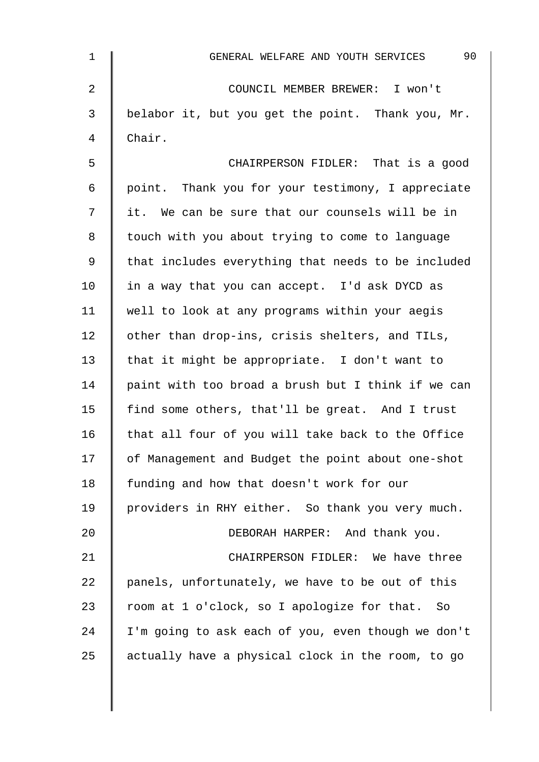| $\mathbf 1$    | 90<br>GENERAL WELFARE AND YOUTH SERVICES           |
|----------------|----------------------------------------------------|
| $\overline{2}$ | COUNCIL MEMBER BREWER: I won't                     |
| 3              | belabor it, but you get the point. Thank you, Mr.  |
| $\overline{4}$ | Chair.                                             |
| 5              | CHAIRPERSON FIDLER: That is a good                 |
| 6              | point. Thank you for your testimony, I appreciate  |
| 7              | it. We can be sure that our counsels will be in    |
| 8              | touch with you about trying to come to language    |
| $\mathsf 9$    | that includes everything that needs to be included |
| 10             | in a way that you can accept. I'd ask DYCD as      |
| 11             | well to look at any programs within your aegis     |
| 12             | other than drop-ins, crisis shelters, and TILs,    |
| 13             | that it might be appropriate. I don't want to      |
| 14             | paint with too broad a brush but I think if we can |
| 15             | find some others, that'll be great. And I trust    |
| 16             | that all four of you will take back to the Office  |
| 17             | of Management and Budget the point about one-shot  |
| 18             | funding and how that doesn't work for our          |
| 19             | providers in RHY either. So thank you very much.   |
| 20             | DEBORAH HARPER: And thank you.                     |
| 21             | CHAIRPERSON FIDLER: We have three                  |
| 22             | panels, unfortunately, we have to be out of this   |
| 23             | room at 1 o'clock, so I apologize for that. So     |
| 24             | I'm going to ask each of you, even though we don't |
| 25             | actually have a physical clock in the room, to go  |
|                |                                                    |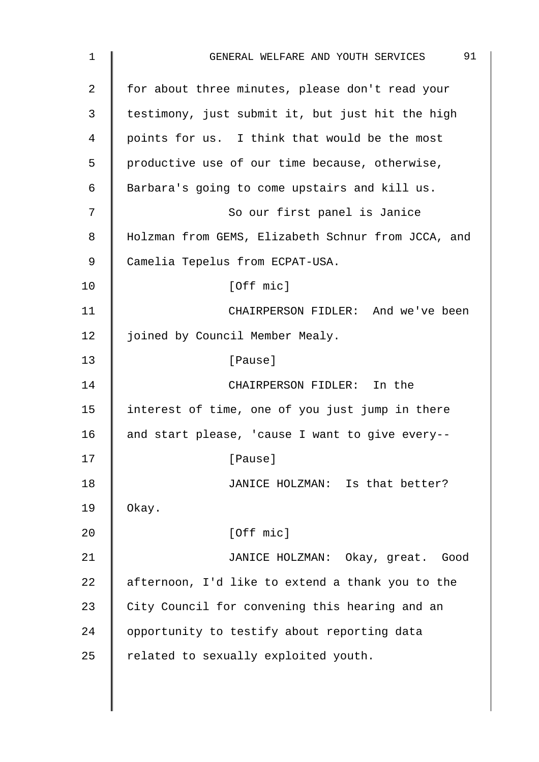| 1              | 91<br>GENERAL WELFARE AND YOUTH SERVICES           |
|----------------|----------------------------------------------------|
| $\overline{2}$ | for about three minutes, please don't read your    |
| 3              | testimony, just submit it, but just hit the high   |
| 4              | points for us. I think that would be the most      |
| 5              | productive use of our time because, otherwise,     |
| 6              | Barbara's going to come upstairs and kill us.      |
| 7              | So our first panel is Janice                       |
| 8              | Holzman from GEMS, Elizabeth Schnur from JCCA, and |
| $\mathsf 9$    | Camelia Tepelus from ECPAT-USA.                    |
| 10             | [Off mic]                                          |
| 11             | CHAIRPERSON FIDLER: And we've been                 |
| 12             | joined by Council Member Mealy.                    |
| 13             | [Pause]                                            |
| 14             | CHAIRPERSON FIDLER: In the                         |
| 15             | interest of time, one of you just jump in there    |
| 16             | and start please, 'cause I want to give every--    |
| 17             | [Pause]                                            |
| 18             | JANICE HOLZMAN: Is that better?                    |
| 19             | Okay.                                              |
| 20             | [Off mic]                                          |
| 21             | JANICE HOLZMAN: Okay, great. Good                  |
| 22             | afternoon, I'd like to extend a thank you to the   |
| 23             | City Council for convening this hearing and an     |
| 24             | opportunity to testify about reporting data        |
| 25             | related to sexually exploited youth.               |
|                |                                                    |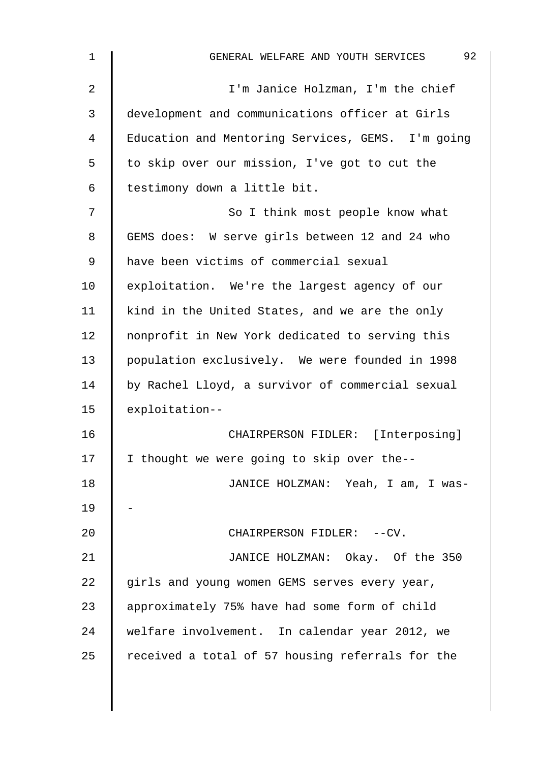| $\mathbf 1$ | 92<br>GENERAL WELFARE AND YOUTH SERVICES          |
|-------------|---------------------------------------------------|
| 2           | I'm Janice Holzman, I'm the chief                 |
| 3           | development and communications officer at Girls   |
| 4           | Education and Mentoring Services, GEMS. I'm going |
| 5           | to skip over our mission, I've got to cut the     |
| 6           | testimony down a little bit.                      |
| 7           | So I think most people know what                  |
| 8           | GEMS does: W serve girls between 12 and 24 who    |
| 9           | have been victims of commercial sexual            |
| 10          | exploitation. We're the largest agency of our     |
| 11          | kind in the United States, and we are the only    |
| 12          | nonprofit in New York dedicated to serving this   |
| 13          | population exclusively. We were founded in 1998   |
| 14          | by Rachel Lloyd, a survivor of commercial sexual  |
| 15          | exploitation--                                    |
| 16          | CHAIRPERSON FIDLER: [Interposing]                 |
| 17          | I thought we were going to skip over the--        |
| 18          | JANICE HOLZMAN: Yeah, I am, I was-                |
| 19          |                                                   |
| 20          | CHAIRPERSON FIDLER: --CV.                         |
| 21          | JANICE HOLZMAN: Okay. Of the 350                  |
| 22          | girls and young women GEMS serves every year,     |
| 23          | approximately 75% have had some form of child     |
| 24          | welfare involvement. In calendar year 2012, we    |
| 25          | received a total of 57 housing referrals for the  |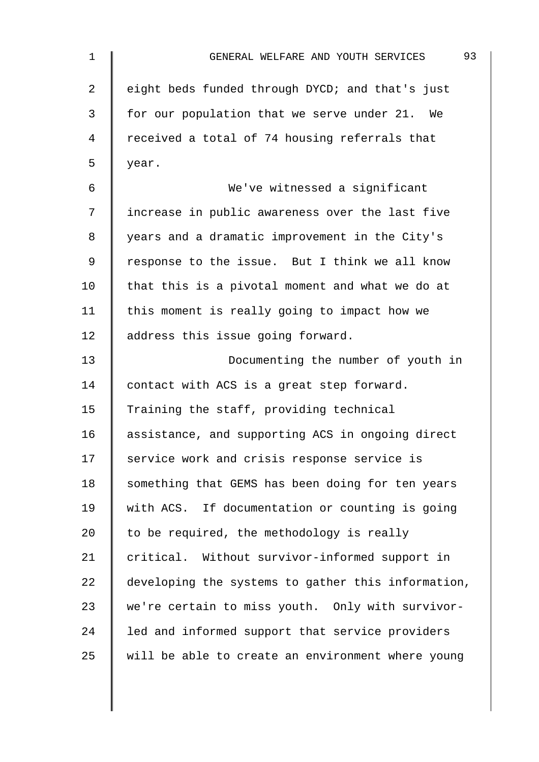| $\mathbf{1}$ | 93<br>GENERAL WELFARE AND YOUTH SERVICES           |
|--------------|----------------------------------------------------|
| 2            | eight beds funded through DYCD; and that's just    |
| 3            | for our population that we serve under 21. We      |
| 4            | received a total of 74 housing referrals that      |
| 5            | year.                                              |
| 6            | We've witnessed a significant                      |
| 7            | increase in public awareness over the last five    |
| 8            | years and a dramatic improvement in the City's     |
| 9            | response to the issue. But I think we all know     |
| 10           | that this is a pivotal moment and what we do at    |
| 11           | this moment is really going to impact how we       |
| 12           | address this issue going forward.                  |
| 13           | Documenting the number of youth in                 |
| 14           | contact with ACS is a great step forward.          |
| 15           | Training the staff, providing technical            |
| 16           | assistance, and supporting ACS in ongoing direct   |
| 17           | service work and crisis response service is        |
| 18           | something that GEMS has been doing for ten years   |
| 19           | with ACS. If documentation or counting is going    |
| 20           | to be required, the methodology is really          |
| 21           | critical. Without survivor-informed support in     |
| 22           | developing the systems to gather this information, |
| 23           | we're certain to miss youth. Only with survivor-   |
| 24           | led and informed support that service providers    |
| 25           | will be able to create an environment where young  |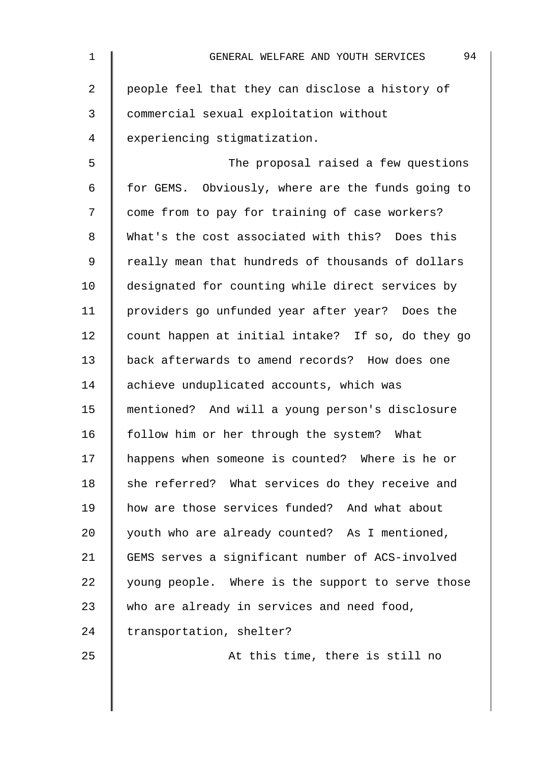| $\mathbf 1$    | 94<br>GENERAL WELFARE AND YOUTH SERVICES          |
|----------------|---------------------------------------------------|
| $\overline{2}$ | people feel that they can disclose a history of   |
| 3              | commercial sexual exploitation without            |
| $\overline{4}$ | experiencing stigmatization.                      |
| 5              | The proposal raised a few questions               |
| 6              | for GEMS. Obviously, where are the funds going to |
| 7              | come from to pay for training of case workers?    |
| 8              | What's the cost associated with this? Does this   |
| $\mathsf 9$    | really mean that hundreds of thousands of dollars |
| 10             | designated for counting while direct services by  |
| 11             | providers go unfunded year after year? Does the   |
| 12             | count happen at initial intake? If so, do they go |
| 13             | back afterwards to amend records? How does one    |
| 14             | achieve unduplicated accounts, which was          |
| 15             | mentioned? And will a young person's disclosure   |
| 16             | follow him or her through the system? What        |
| 17             | happens when someone is counted? Where is he or   |
| 18             | she referred? What services do they receive and   |
| 19             | how are those services funded? And what about     |
| 20             | youth who are already counted? As I mentioned,    |
| 21             | GEMS serves a significant number of ACS-involved  |
| 22             | young people. Where is the support to serve those |
| 23             | who are already in services and need food,        |
| 24             | transportation, shelter?                          |
| 25             | At this time, there is still no                   |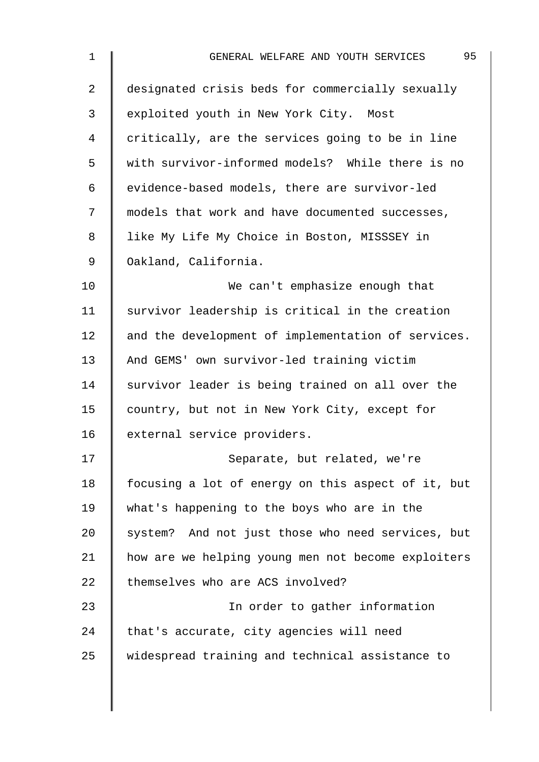| 1  | 95<br>GENERAL WELFARE AND YOUTH SERVICES           |
|----|----------------------------------------------------|
| 2  | designated crisis beds for commercially sexually   |
| 3  | exploited youth in New York City. Most             |
| 4  | critically, are the services going to be in line   |
| 5  | with survivor-informed models? While there is no   |
| 6  | evidence-based models, there are survivor-led      |
| 7  | models that work and have documented successes,    |
| 8  | like My Life My Choice in Boston, MISSSEY in       |
| 9  | Oakland, California.                               |
| 10 | We can't emphasize enough that                     |
| 11 | survivor leadership is critical in the creation    |
| 12 | and the development of implementation of services. |
| 13 | And GEMS' own survivor-led training victim         |
| 14 | survivor leader is being trained on all over the   |
| 15 | country, but not in New York City, except for      |
| 16 | external service providers.                        |
| 17 | Separate, but related, we're                       |
| 18 | focusing a lot of energy on this aspect of it, but |
| 19 | what's happening to the boys who are in the        |
| 20 | system? And not just those who need services, but  |
| 21 | how are we helping young men not become exploiters |
| 22 | themselves who are ACS involved?                   |
| 23 | In order to gather information                     |
| 24 | that's accurate, city agencies will need           |
| 25 | widespread training and technical assistance to    |
|    |                                                    |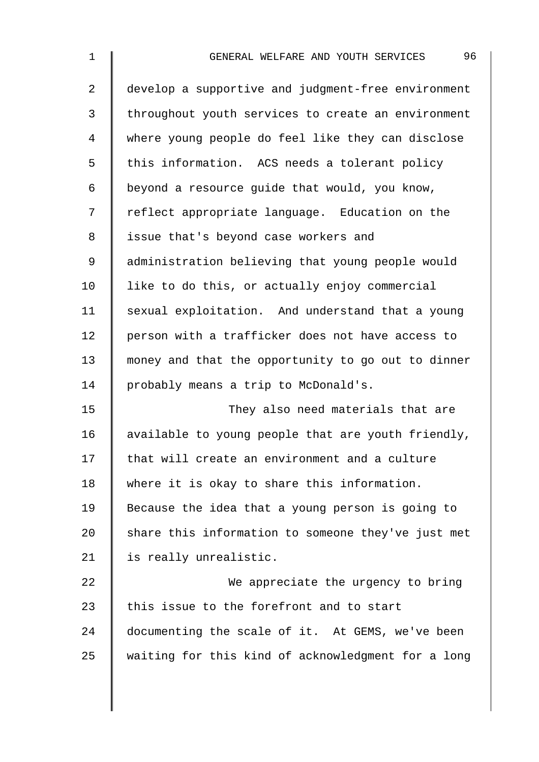| 1  | 96<br>GENERAL WELFARE AND YOUTH SERVICES           |
|----|----------------------------------------------------|
| 2  | develop a supportive and judgment-free environment |
| 3  | throughout youth services to create an environment |
| 4  | where young people do feel like they can disclose  |
| 5  | this information. ACS needs a tolerant policy      |
| 6  | beyond a resource guide that would, you know,      |
| 7  | reflect appropriate language. Education on the     |
| 8  | issue that's beyond case workers and               |
| 9  | administration believing that young people would   |
| 10 | like to do this, or actually enjoy commercial      |
| 11 | sexual exploitation. And understand that a young   |
| 12 | person with a trafficker does not have access to   |
| 13 | money and that the opportunity to go out to dinner |
| 14 | probably means a trip to McDonald's.               |
| 15 | They also need materials that are                  |
| 16 | available to young people that are youth friendly, |
| 17 | that will create an environment and a culture      |
| 18 | where it is okay to share this information.        |
| 19 | Because the idea that a young person is going to   |
| 20 | share this information to someone they've just met |
| 21 | is really unrealistic.                             |
| 22 | We appreciate the urgency to bring                 |
| 23 | this issue to the forefront and to start           |
| 24 | documenting the scale of it. At GEMS, we've been   |
| 25 | waiting for this kind of acknowledgment for a long |
|    |                                                    |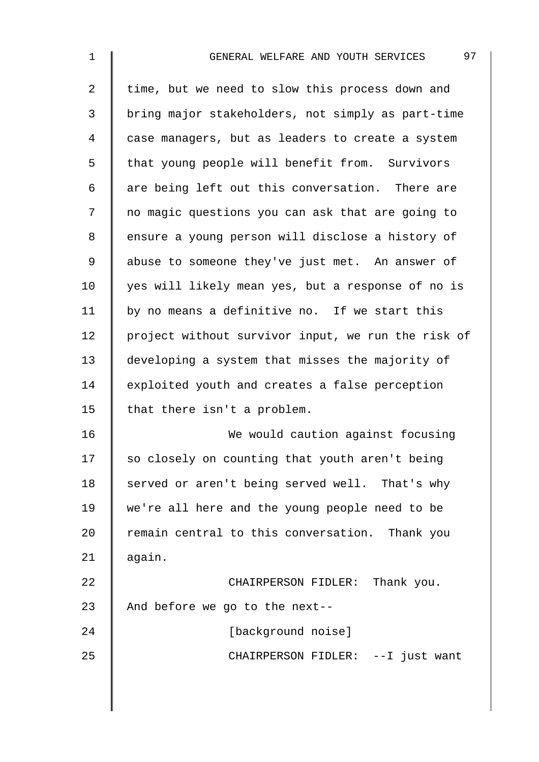| 1              | 97<br>GENERAL WELFARE AND YOUTH SERVICES           |
|----------------|----------------------------------------------------|
| $\overline{2}$ | time, but we need to slow this process down and    |
| $\mathfrak{Z}$ | bring major stakeholders, not simply as part-time  |
| 4              | case managers, but as leaders to create a system   |
| 5              | that young people will benefit from. Survivors     |
| 6              | are being left out this conversation. There are    |
| 7              | no magic questions you can ask that are going to   |
| 8              | ensure a young person will disclose a history of   |
| 9              | abuse to someone they've just met. An answer of    |
| 10             | yes will likely mean yes, but a response of no is  |
| 11             | by no means a definitive no. If we start this      |
| 12             | project without survivor input, we run the risk of |
| 13             | developing a system that misses the majority of    |
| 14             | exploited youth and creates a false perception     |
| 15             | that there isn't a problem.                        |
| 16             | We would caution against focusing                  |
| 17             | so closely on counting that youth aren't being     |
| 18             | served or aren't being served well. That's why     |
| 19             | we're all here and the young people need to be     |
| 20             | remain central to this conversation. Thank you     |
| 21             | again.                                             |
| 22             | CHAIRPERSON FIDLER: Thank you.                     |
| 23             | And before we go to the next--                     |
| 24             | [background noise]                                 |
| 25             | CHAIRPERSON FIDLER: --I just want                  |
|                |                                                    |
|                |                                                    |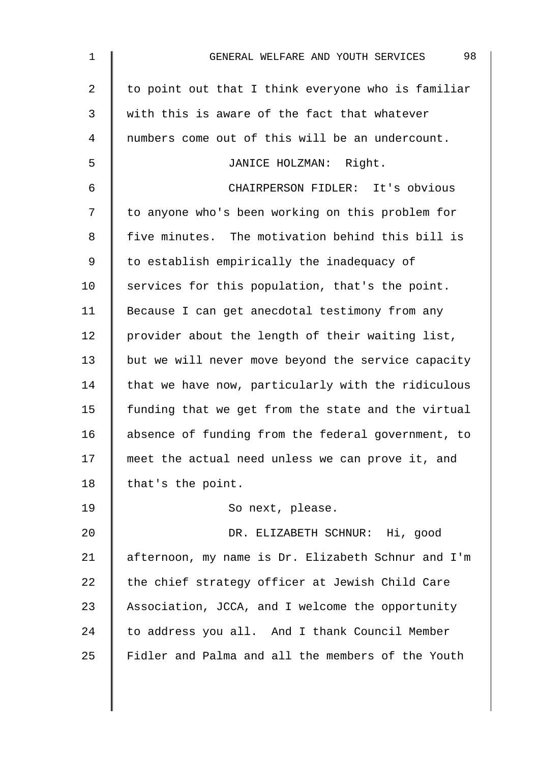| 1  | 98<br>GENERAL WELFARE AND YOUTH SERVICES           |
|----|----------------------------------------------------|
| 2  | to point out that I think everyone who is familiar |
| 3  | with this is aware of the fact that whatever       |
| 4  | numbers come out of this will be an undercount.    |
| 5  | JANICE HOLZMAN: Right.                             |
| 6  | CHAIRPERSON FIDLER: It's obvious                   |
| 7  | to anyone who's been working on this problem for   |
| 8  | five minutes. The motivation behind this bill is   |
| 9  | to establish empirically the inadequacy of         |
| 10 | services for this population, that's the point.    |
| 11 | Because I can get anecdotal testimony from any     |
| 12 | provider about the length of their waiting list,   |
| 13 | but we will never move beyond the service capacity |
| 14 | that we have now, particularly with the ridiculous |
| 15 | funding that we get from the state and the virtual |
| 16 | absence of funding from the federal government, to |
| 17 | meet the actual need unless we can prove it, and   |
| 18 | that's the point.                                  |
| 19 | So next, please.                                   |
| 20 | DR. ELIZABETH SCHNUR: Hi, good                     |
| 21 | afternoon, my name is Dr. Elizabeth Schnur and I'm |
| 22 | the chief strategy officer at Jewish Child Care    |
| 23 | Association, JCCA, and I welcome the opportunity   |
| 24 | to address you all. And I thank Council Member     |
| 25 | Fidler and Palma and all the members of the Youth  |
|    |                                                    |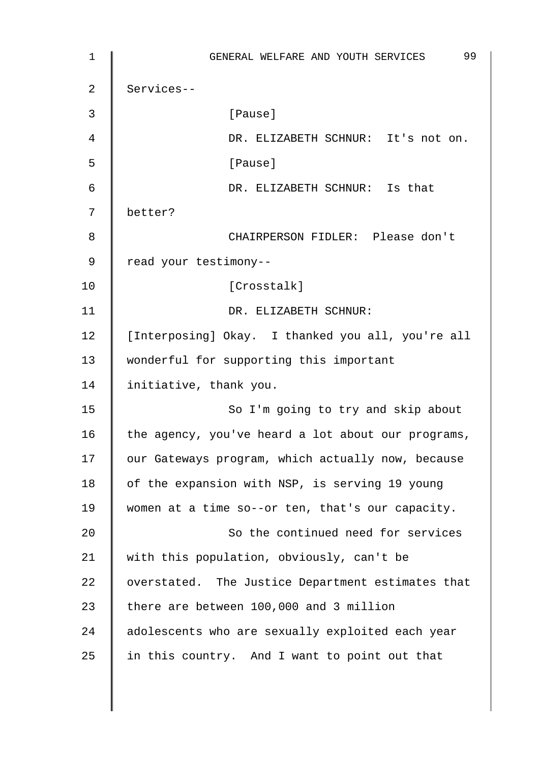1 GENERAL WELFARE AND YOUTH SERVICES 99 2 Services-- 3 | Pause] 4 DR. ELIZABETH SCHNUR: It's not on. 5 [Pause] 6 DR. ELIZABETH SCHNUR: Is that 7 better? 8 CHAIRPERSON FIDLER: Please don't 9 cread your testimony--10 | Crosstalk] 11 | DR. ELIZABETH SCHNUR: 12 | [Interposing] Okay. I thanked you all, you're all 13 wonderful for supporting this important 14 | initiative, thank you. 15 | So I'm going to try and skip about 16 the agency, you've heard a lot about our programs, 17 | our Gateways program, which actually now, because 18  $\parallel$  of the expansion with NSP, is serving 19 young 19 Women at a time so--or ten, that's our capacity. 20 So the continued need for services 21 | with this population, obviously, can't be 22 | overstated. The Justice Department estimates that 23  $\parallel$  there are between 100,000 and 3 million 24 adolescents who are sexually exploited each year 25  $\parallel$  in this country. And I want to point out that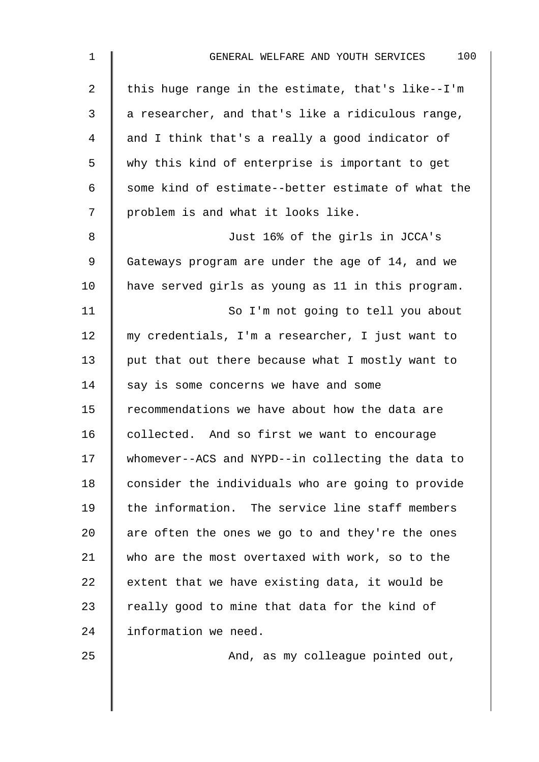| $\mathbf 1$    | 100<br>GENERAL WELFARE AND YOUTH SERVICES          |
|----------------|----------------------------------------------------|
| $\overline{a}$ | this huge range in the estimate, that's like--I'm  |
| 3              | a researcher, and that's like a ridiculous range,  |
| 4              | and I think that's a really a good indicator of    |
| 5              | why this kind of enterprise is important to get    |
| 6              | some kind of estimate--better estimate of what the |
| 7              | problem is and what it looks like.                 |
| 8              | Just 16% of the girls in JCCA's                    |
| 9              | Gateways program are under the age of 14, and we   |
| 10             | have served girls as young as 11 in this program.  |
| 11             | So I'm not going to tell you about                 |
| 12             | my credentials, I'm a researcher, I just want to   |
| 13             | put that out there because what I mostly want to   |
| 14             | say is some concerns we have and some              |
| 15             | recommendations we have about how the data are     |
| 16             | collected. And so first we want to encourage       |
| 17             | whomever--ACS and NYPD--in collecting the data to  |
| 18             | consider the individuals who are going to provide  |
| 19             | the information. The service line staff members    |
| 20             | are often the ones we go to and they're the ones   |
| 21             | who are the most overtaxed with work, so to the    |
| 22             | extent that we have existing data, it would be     |
| 23             | really good to mine that data for the kind of      |
| 24             | information we need.                               |
| O E.           | $\frac{1}{2}$                                      |

25 **And, as my colleague pointed out,**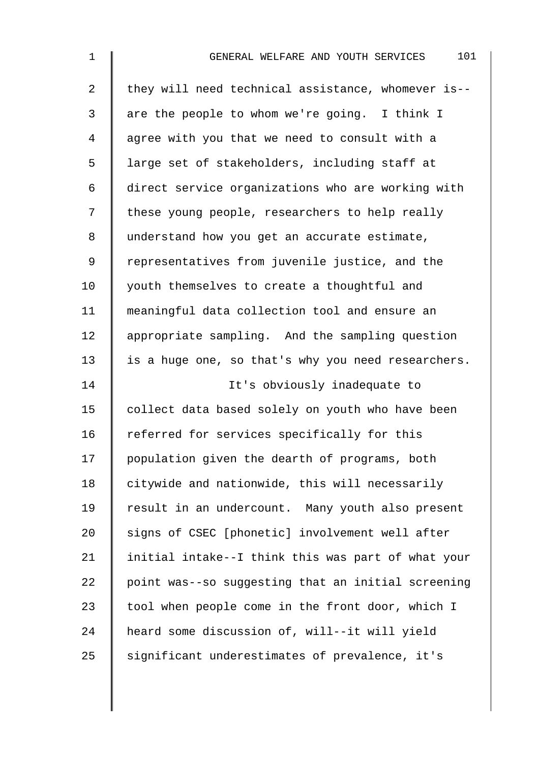| $\mathbf{1}$   | 101<br>GENERAL WELFARE AND YOUTH SERVICES          |
|----------------|----------------------------------------------------|
| $\overline{2}$ | they will need technical assistance, whomever is-- |
| 3              | are the people to whom we're going. I think I      |
| 4              | agree with you that we need to consult with a      |
| 5              | large set of stakeholders, including staff at      |
| 6              | direct service organizations who are working with  |
| 7              | these young people, researchers to help really     |
| 8              | understand how you get an accurate estimate,       |
| 9              | representatives from juvenile justice, and the     |
| 10             | youth themselves to create a thoughtful and        |
| 11             | meaningful data collection tool and ensure an      |
| 12             | appropriate sampling. And the sampling question    |
| 13             | is a huge one, so that's why you need researchers. |
| 14             | It's obviously inadequate to                       |
| 15             | collect data based solely on youth who have been   |
| 16             | referred for services specifically for this        |
| 17             | population given the dearth of programs, both      |
| 18             | citywide and nationwide, this will necessarily     |
| 19             | result in an undercount. Many youth also present   |
| 20             | signs of CSEC [phonetic] involvement well after    |
| 21             | initial intake--I think this was part of what your |
| 22             | point was--so suggesting that an initial screening |
| 23             | tool when people come in the front door, which I   |
| 24             | heard some discussion of, will--it will yield      |
| 25             | significant underestimates of prevalence, it's     |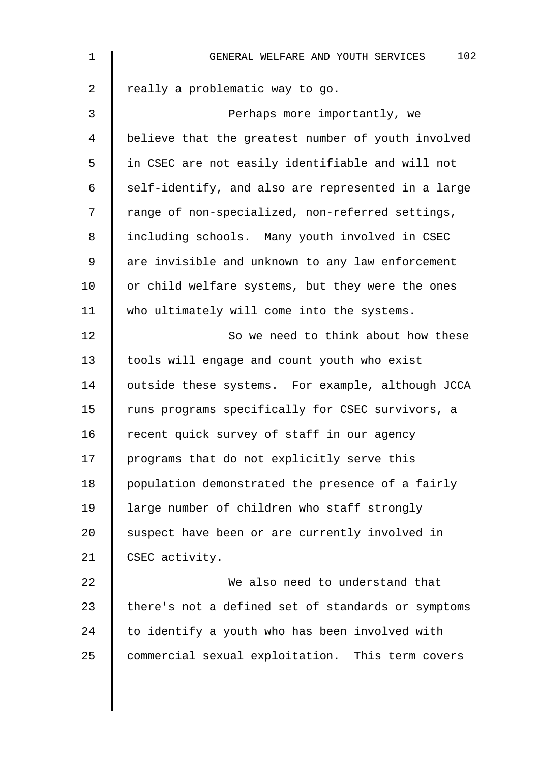| $\mathbf{1}$   | 102<br>GENERAL WELFARE AND YOUTH SERVICES          |
|----------------|----------------------------------------------------|
| 2              | really a problematic way to go.                    |
| 3              | Perhaps more importantly, we                       |
| $\overline{4}$ | believe that the greatest number of youth involved |
| 5              | in CSEC are not easily identifiable and will not   |
| 6              | self-identify, and also are represented in a large |
| 7              | range of non-specialized, non-referred settings,   |
| 8              | including schools. Many youth involved in CSEC     |
| $\mathsf 9$    | are invisible and unknown to any law enforcement   |
| 10             | or child welfare systems, but they were the ones   |
| 11             | who ultimately will come into the systems.         |
| 12             | So we need to think about how these                |
| 13             | tools will engage and count youth who exist        |
| 14             | outside these systems. For example, although JCCA  |
| 15             | runs programs specifically for CSEC survivors, a   |
| 16             | recent quick survey of staff in our agency         |
| 17             | programs that do not explicitly serve this         |
| 18             | population demonstrated the presence of a fairly   |
| 19             | large number of children who staff strongly        |
| 20             | suspect have been or are currently involved in     |
| 21             | CSEC activity.                                     |
| 22             | We also need to understand that                    |
| 23             | there's not a defined set of standards or symptoms |
| 24             | to identify a youth who has been involved with     |
| 25             | commercial sexual exploitation. This term covers   |
|                |                                                    |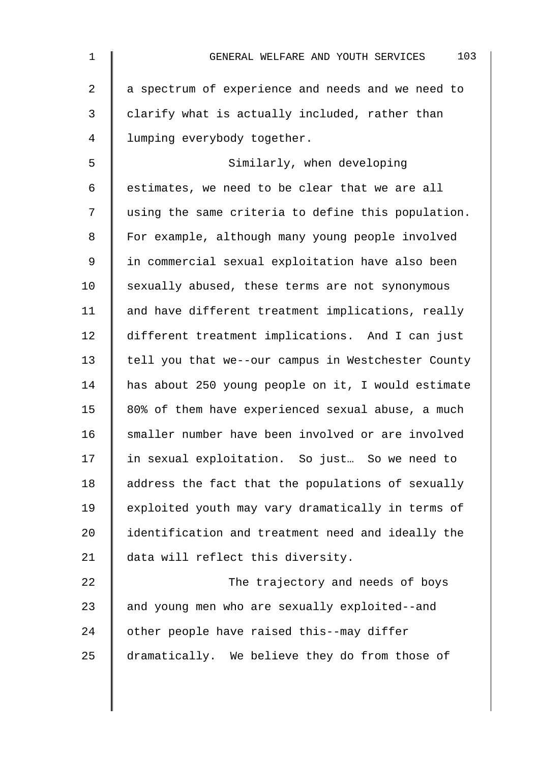| $\mathbf 1$    | 103<br>GENERAL WELFARE AND YOUTH SERVICES          |
|----------------|----------------------------------------------------|
| $\overline{2}$ | a spectrum of experience and needs and we need to  |
| 3              | clarify what is actually included, rather than     |
| $\overline{4}$ | lumping everybody together.                        |
| 5              | Similarly, when developing                         |
| 6              | estimates, we need to be clear that we are all     |
| 7              | using the same criteria to define this population. |
| 8              | For example, although many young people involved   |
| $\mathsf 9$    | in commercial sexual exploitation have also been   |
| 10             | sexually abused, these terms are not synonymous    |
| 11             | and have different treatment implications, really  |
| 12             | different treatment implications. And I can just   |
| 13             | tell you that we--our campus in Westchester County |
| 14             | has about 250 young people on it, I would estimate |
| 15             | 80% of them have experienced sexual abuse, a much  |
| 16             | smaller number have been involved or are involved  |
| 17             | in sexual exploitation. So just So we need to      |
| 18             | address the fact that the populations of sexually  |
| 19             | exploited youth may vary dramatically in terms of  |
| 20             | identification and treatment need and ideally the  |
| 21             | data will reflect this diversity.                  |
| 22             | The trajectory and needs of boys                   |
| 23             | and young men who are sexually exploited--and      |
| 24             | other people have raised this--may differ          |
| 25             | dramatically. We believe they do from those of     |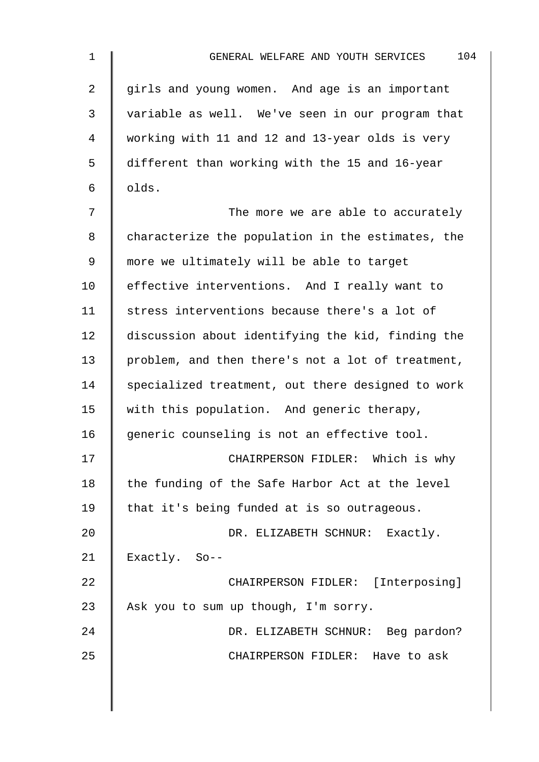| $\mathbf 1$    | 104<br>GENERAL WELFARE AND YOUTH SERVICES         |
|----------------|---------------------------------------------------|
| $\overline{2}$ | girls and young women. And age is an important    |
| 3              | variable as well. We've seen in our program that  |
| 4              | working with 11 and 12 and 13-year olds is very   |
| 5              | different than working with the 15 and 16-year    |
| 6              | olds.                                             |
| 7              | The more we are able to accurately                |
| 8              | characterize the population in the estimates, the |
| 9              | more we ultimately will be able to target         |
| 10             | effective interventions. And I really want to     |
| 11             | stress interventions because there's a lot of     |
| 12             | discussion about identifying the kid, finding the |
| 13             | problem, and then there's not a lot of treatment, |
| 14             | specialized treatment, out there designed to work |
| 15             | with this population. And generic therapy,        |
| 16             | generic counseling is not an effective tool.      |
| 17             | CHAIRPERSON FIDLER: Which is why                  |
| 18             | the funding of the Safe Harbor Act at the level   |
| 19             | that it's being funded at is so outrageous.       |
| 20             | DR. ELIZABETH SCHNUR: Exactly.                    |
| 21             | Exactly. So--                                     |
| 22             | CHAIRPERSON FIDLER: [Interposing]                 |
| 23             | Ask you to sum up though, I'm sorry.              |
| 24             | DR. ELIZABETH SCHNUR: Beg pardon?                 |
| 25             | CHAIRPERSON FIDLER: Have to ask                   |
|                |                                                   |
|                |                                                   |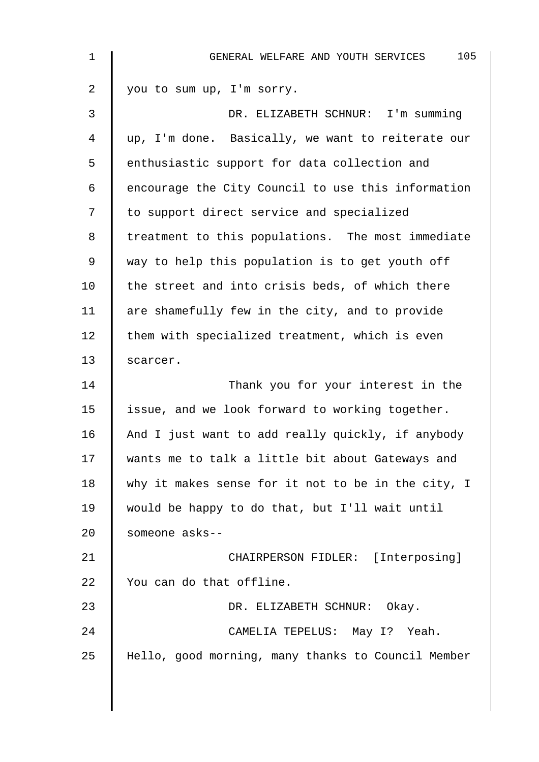| 1  | 105<br>GENERAL WELFARE AND YOUTH SERVICES          |
|----|----------------------------------------------------|
| 2  | you to sum up, I'm sorry.                          |
| 3  | DR. ELIZABETH SCHNUR: I'm summing                  |
| 4  | up, I'm done. Basically, we want to reiterate our  |
| 5  | enthusiastic support for data collection and       |
| 6  | encourage the City Council to use this information |
| 7  | to support direct service and specialized          |
| 8  | treatment to this populations. The most immediate  |
| 9  | way to help this population is to get youth off    |
| 10 | the street and into crisis beds, of which there    |
| 11 | are shamefully few in the city, and to provide     |
| 12 | them with specialized treatment, which is even     |
| 13 | scarcer.                                           |
| 14 | Thank you for your interest in the                 |
| 15 | issue, and we look forward to working together.    |
| 16 | And I just want to add really quickly, if anybody  |
| 17 | wants me to talk a little bit about Gateways and   |
| 18 | why it makes sense for it not to be in the city, I |
| 19 | would be happy to do that, but I'll wait until     |
| 20 | someone asks--                                     |
| 21 | CHAIRPERSON FIDLER: [Interposing]                  |
| 22 | You can do that offline.                           |
| 23 | DR. ELIZABETH SCHNUR: Okay.                        |
| 24 | CAMELIA TEPELUS: May I? Yeah.                      |
| 25 | Hello, good morning, many thanks to Council Member |
|    |                                                    |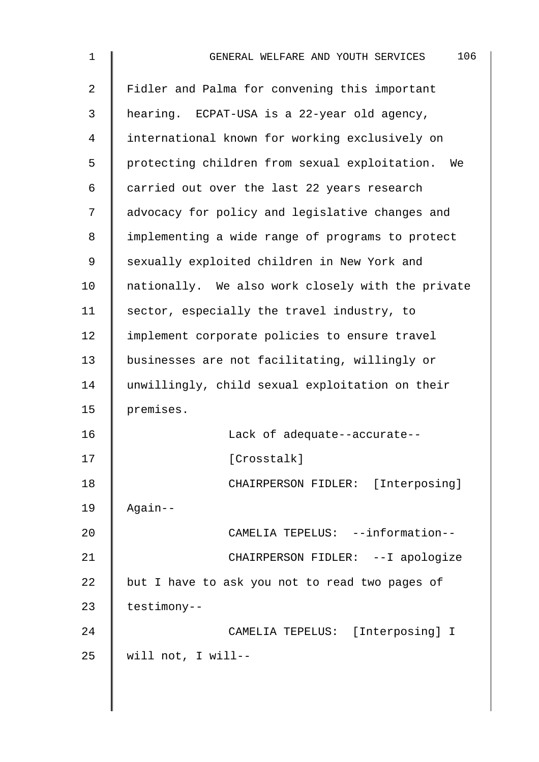| $\mathbf 1$ | 106<br>GENERAL WELFARE AND YOUTH SERVICES         |
|-------------|---------------------------------------------------|
| 2           | Fidler and Palma for convening this important     |
| 3           | hearing. ECPAT-USA is a 22-year old agency,       |
| 4           | international known for working exclusively on    |
| 5           | protecting children from sexual exploitation. We  |
| 6           | carried out over the last 22 years research       |
| 7           | advocacy for policy and legislative changes and   |
| 8           | implementing a wide range of programs to protect  |
| 9           | sexually exploited children in New York and       |
| 10          | nationally. We also work closely with the private |
| 11          | sector, especially the travel industry, to        |
| 12          | implement corporate policies to ensure travel     |
| 13          | businesses are not facilitating, willingly or     |
| 14          | unwillingly, child sexual exploitation on their   |
| 15          | premises.                                         |
| 16          | Lack of adequate--accurate--                      |
| 17          | [Crosstalk]                                       |
| 18          | CHAIRPERSON FIDLER: [Interposing]                 |
| 19          | Again--                                           |
| 20          | CAMELIA TEPELUS: --information--                  |
| 21          | CHAIRPERSON FIDLER: --I apologize                 |
| 22          | but I have to ask you not to read two pages of    |
| 23          | testimony--                                       |
| 24          | CAMELIA TEPELUS: [Interposing] I                  |
| 25          | will not, I will--                                |
|             |                                                   |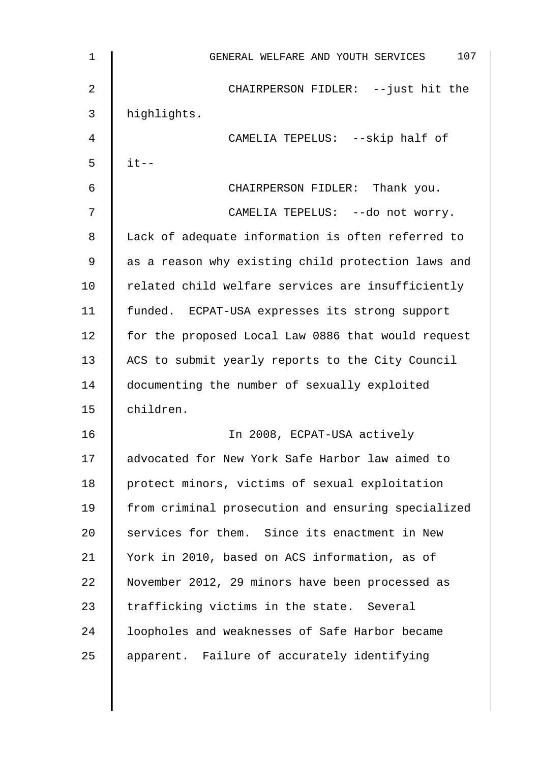| $\mathbf{1}$ | 107<br>GENERAL WELFARE AND YOUTH SERVICES          |
|--------------|----------------------------------------------------|
| 2            | CHAIRPERSON FIDLER: -- just hit the                |
| 3            | highlights.                                        |
| 4            | CAMELIA TEPELUS: --skip half of                    |
| 5            | $it--$                                             |
| 6            | CHAIRPERSON FIDLER: Thank you.                     |
| 7            | CAMELIA TEPELUS: --do not worry.                   |
| 8            | Lack of adequate information is often referred to  |
| 9            | as a reason why existing child protection laws and |
| 10           | related child welfare services are insufficiently  |
| 11           | funded. ECPAT-USA expresses its strong support     |
| 12           | for the proposed Local Law 0886 that would request |
| 13           | ACS to submit yearly reports to the City Council   |
| 14           | documenting the number of sexually exploited       |
| 15           | children.                                          |
| 16           | In 2008, ECPAT-USA actively                        |
| 17           | advocated for New York Safe Harbor law aimed to    |
| 18           | protect minors, victims of sexual exploitation     |
| 19           | from criminal prosecution and ensuring specialized |
| 20           | services for them. Since its enactment in New      |
| 21           | York in 2010, based on ACS information, as of      |
| 22           | November 2012, 29 minors have been processed as    |
| 23           | trafficking victims in the state. Several          |
| 24           | loopholes and weaknesses of Safe Harbor became     |
| 25           | apparent. Failure of accurately identifying        |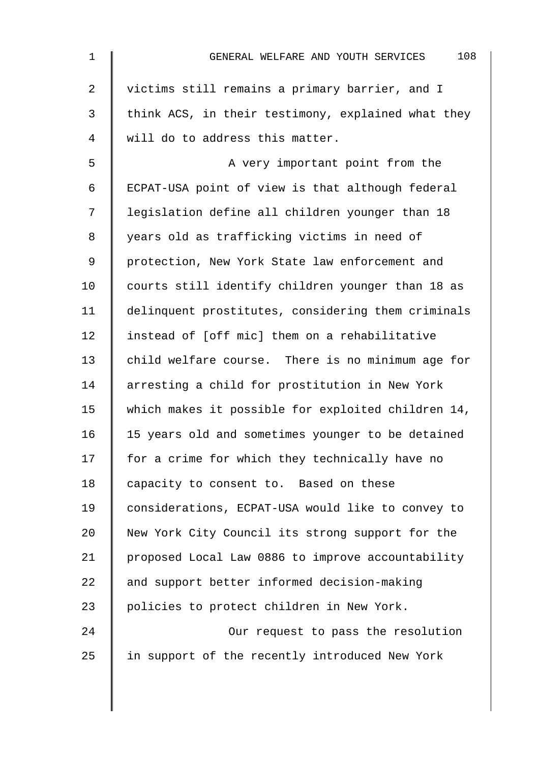| 108<br>GENERAL WELFARE AND YOUTH SERVICES          |
|----------------------------------------------------|
| victims still remains a primary barrier, and I     |
| think ACS, in their testimony, explained what they |
| will do to address this matter.                    |
| A very important point from the                    |
| ECPAT-USA point of view is that although federal   |
| legislation define all children younger than 18    |
| years old as trafficking victims in need of        |
| protection, New York State law enforcement and     |
| courts still identify children younger than 18 as  |
| delinquent prostitutes, considering them criminals |
| instead of [off mic] them on a rehabilitative      |
| child welfare course. There is no minimum age for  |
| arresting a child for prostitution in New York     |
| which makes it possible for exploited children 14, |
| 15 years old and sometimes younger to be detained  |
| for a crime for which they technically have no     |
| capacity to consent to. Based on these             |
| considerations, ECPAT-USA would like to convey to  |
| New York City Council its strong support for the   |
| proposed Local Law 0886 to improve accountability  |
| and support better informed decision-making        |
| policies to protect children in New York.          |
| Our request to pass the resolution                 |
| in support of the recently introduced New York     |
|                                                    |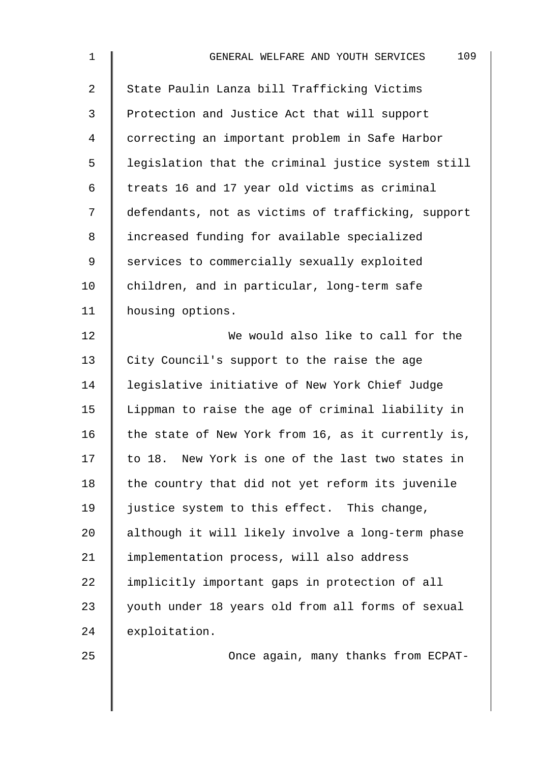| $\mathbf 1$ | 109<br>GENERAL WELFARE AND YOUTH SERVICES          |
|-------------|----------------------------------------------------|
| 2           | State Paulin Lanza bill Trafficking Victims        |
| 3           | Protection and Justice Act that will support       |
| 4           | correcting an important problem in Safe Harbor     |
| 5           | legislation that the criminal justice system still |
| 6           | treats 16 and 17 year old victims as criminal      |
| 7           | defendants, not as victims of trafficking, support |
| 8           | increased funding for available specialized        |
| 9           | services to commercially sexually exploited        |
| 10          | children, and in particular, long-term safe        |
| 11          | housing options.                                   |
| 12          | We would also like to call for the                 |
| 13          | City Council's support to the raise the age        |
| 14          | legislative initiative of New York Chief Judge     |
| 15          | Lippman to raise the age of criminal liability in  |
| 16          | the state of New York from 16, as it currently is, |
| 17          | to 18. New York is one of the last two states in   |
| 18          | the country that did not yet reform its juvenile   |
| 19          | justice system to this effect. This change,        |
| 20          | although it will likely involve a long-term phase  |
| 21          | implementation process, will also address          |
| 22          | implicitly important gaps in protection of all     |
| 23          | youth under 18 years old from all forms of sexual  |
| 24          | exploitation.                                      |
| クら          | Once again, many thanks from ECPAT-                |

25 Once again, many thanks from ECPAT-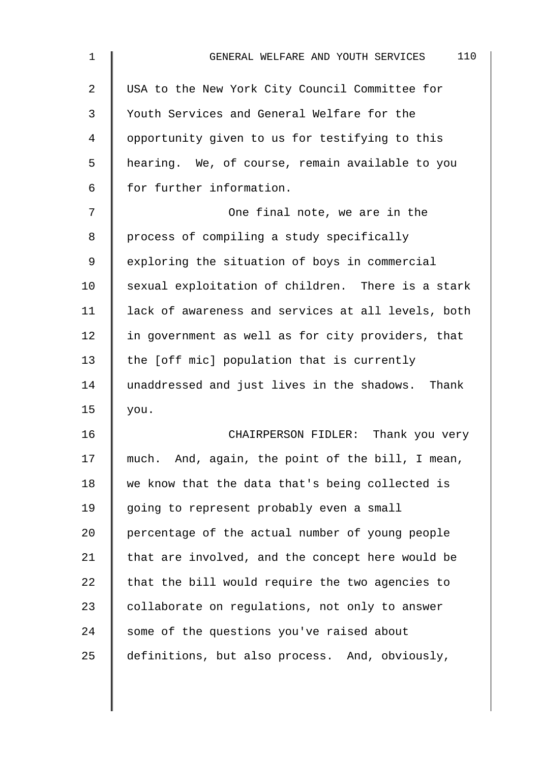| $\mathbf{1}$ | 110<br>GENERAL WELFARE AND YOUTH SERVICES          |
|--------------|----------------------------------------------------|
| 2            | USA to the New York City Council Committee for     |
| 3            | Youth Services and General Welfare for the         |
| 4            | opportunity given to us for testifying to this     |
| 5            | hearing. We, of course, remain available to you    |
| 6            | for further information.                           |
| 7            | One final note, we are in the                      |
| 8            | process of compiling a study specifically          |
| 9            | exploring the situation of boys in commercial      |
| 10           | sexual exploitation of children. There is a stark  |
| 11           | lack of awareness and services at all levels, both |
| 12           | in government as well as for city providers, that  |
| 13           | the [off mic] population that is currently         |
| 14           | unaddressed and just lives in the shadows. Thank   |
| 15           | you.                                               |
| 16           | CHAIRPERSON FIDLER: Thank you very                 |
| 17           | much. And, again, the point of the bill, I mean,   |
| 18           | we know that the data that's being collected is    |
| 19           | going to represent probably even a small           |
| 20           | percentage of the actual number of young people    |
| 21           | that are involved, and the concept here would be   |
| 22           | that the bill would require the two agencies to    |
| 23           | collaborate on regulations, not only to answer     |
| 24           | some of the questions you've raised about          |
| 25           | definitions, but also process. And, obviously,     |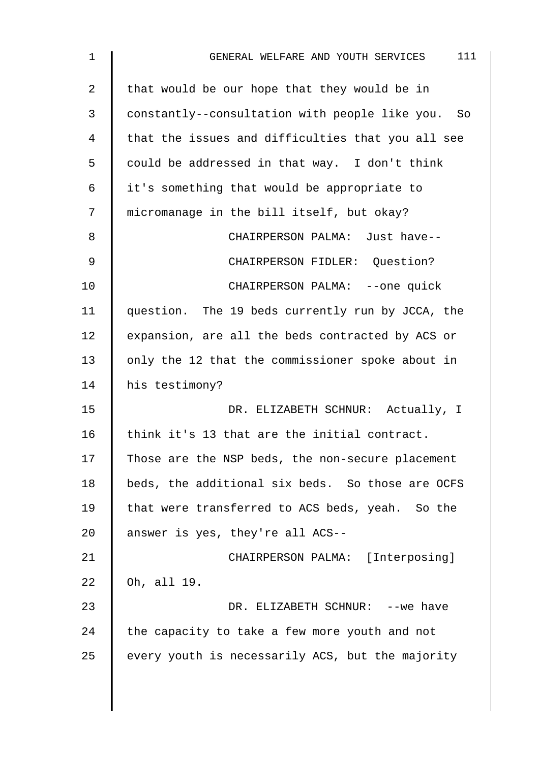| $\mathbf{1}$ | 111<br>GENERAL WELFARE AND YOUTH SERVICES         |
|--------------|---------------------------------------------------|
| 2            | that would be our hope that they would be in      |
| 3            | constantly--consultation with people like you. So |
| 4            | that the issues and difficulties that you all see |
| 5            | could be addressed in that way. I don't think     |
| 6            | it's something that would be appropriate to       |
| 7            | micromanage in the bill itself, but okay?         |
| 8            | CHAIRPERSON PALMA: Just have--                    |
| 9            | CHAIRPERSON FIDLER: Question?                     |
| 10           | CHAIRPERSON PALMA: --one quick                    |
| 11           | question. The 19 beds currently run by JCCA, the  |
| 12           | expansion, are all the beds contracted by ACS or  |
| 13           | only the 12 that the commissioner spoke about in  |
| 14           | his testimony?                                    |
| 15           | DR. ELIZABETH SCHNUR: Actually, I                 |
| 16           | think it's 13 that are the initial contract.      |
| 17           | Those are the NSP beds, the non-secure placement  |
| 18           | beds, the additional six beds. So those are OCFS  |
| 19           | that were transferred to ACS beds, yeah. So the   |
| 20           | answer is yes, they're all ACS--                  |
| 21           | CHAIRPERSON PALMA: [Interposing]                  |
| 22           | Oh, all 19.                                       |
| 23           | DR. ELIZABETH SCHNUR: -- we have                  |
| 24           | the capacity to take a few more youth and not     |
| 25           | every youth is necessarily ACS, but the majority  |
|              |                                                   |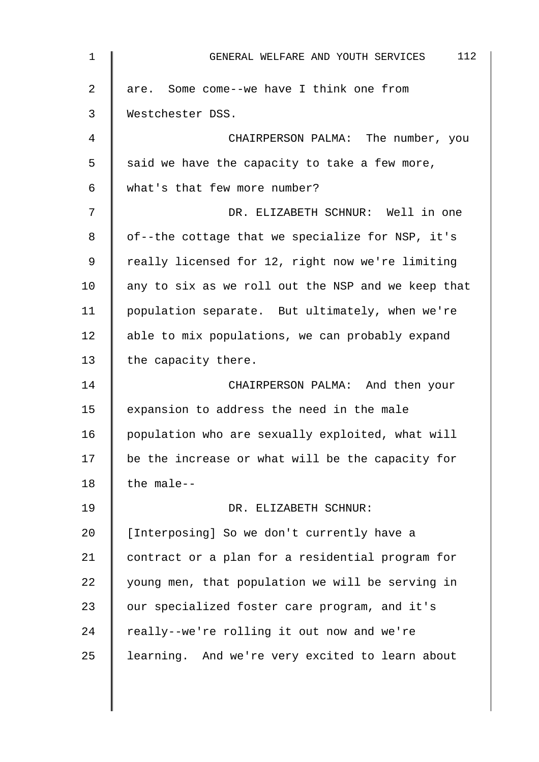| $\mathbf 1$    | 112<br>GENERAL WELFARE AND YOUTH SERVICES          |
|----------------|----------------------------------------------------|
| $\overline{a}$ | are. Some come--we have I think one from           |
| 3              | Westchester DSS.                                   |
| 4              | CHAIRPERSON PALMA: The number, you                 |
| 5              | said we have the capacity to take a few more,      |
| 6              | what's that few more number?                       |
| 7              | DR. ELIZABETH SCHNUR: Well in one                  |
| 8              | of--the cottage that we specialize for NSP, it's   |
| 9              | really licensed for 12, right now we're limiting   |
| 10             | any to six as we roll out the NSP and we keep that |
| 11             | population separate. But ultimately, when we're    |
| 12             | able to mix populations, we can probably expand    |
| 13             | the capacity there.                                |
| 14             | CHAIRPERSON PALMA: And then your                   |
| 15             | expansion to address the need in the male          |
| 16             | population who are sexually exploited, what will   |
| 17             | be the increase or what will be the capacity for   |
| 18             | the male--                                         |
| 19             | DR. ELIZABETH SCHNUR:                              |
| 20             | [Interposing] So we don't currently have a         |
| 21             | contract or a plan for a residential program for   |
| 22             | young men, that population we will be serving in   |
| 23             | our specialized foster care program, and it's      |
| 24             | really--we're rolling it out now and we're         |
| 25             | learning. And we're very excited to learn about    |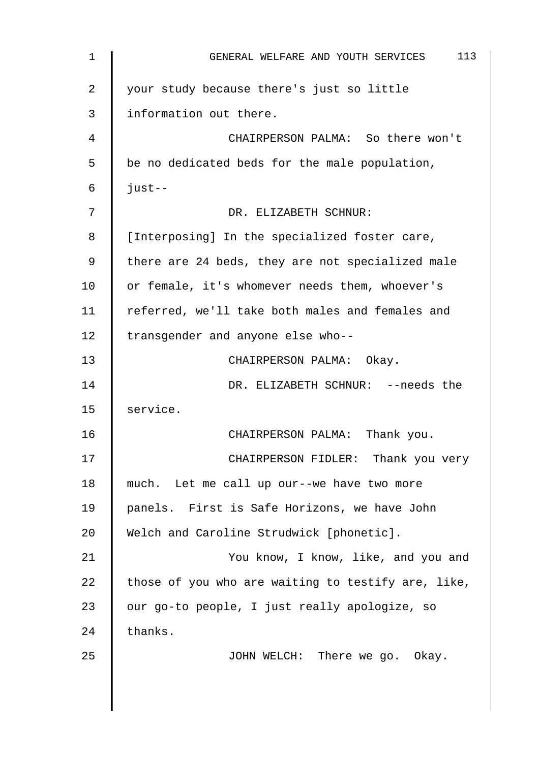| $\mathbf{1}$   | 113<br>GENERAL WELFARE AND YOUTH SERVICES          |
|----------------|----------------------------------------------------|
| $\overline{2}$ | your study because there's just so little          |
| 3              | information out there.                             |
| 4              | CHAIRPERSON PALMA: So there won't                  |
| 5              | be no dedicated beds for the male population,      |
| 6              | $just--$                                           |
| 7              | DR. ELIZABETH SCHNUR:                              |
| 8              | [Interposing] In the specialized foster care,      |
| 9              | there are 24 beds, they are not specialized male   |
| 10             | or female, it's whomever needs them, whoever's     |
| 11             | referred, we'll take both males and females and    |
| 12             | transgender and anyone else who--                  |
| 13             | CHAIRPERSON PALMA: Okay.                           |
| 14             | DR. ELIZABETH SCHNUR: --needs the                  |
| 15             | service.                                           |
| 16             | CHAIRPERSON PALMA: Thank you.                      |
| 17             | CHAIRPERSON FIDLER: Thank you very                 |
| 18             | much. Let me call up our--we have two more         |
| 19             | panels. First is Safe Horizons, we have John       |
| 20             | Welch and Caroline Strudwick [phonetic].           |
| 21             | You know, I know, like, and you and                |
| 22             | those of you who are waiting to testify are, like, |
| 23             | our go-to people, I just really apologize, so      |
| 24             | thanks.                                            |
| 25             | JOHN WELCH: There we go. Okay.                     |
|                |                                                    |
|                |                                                    |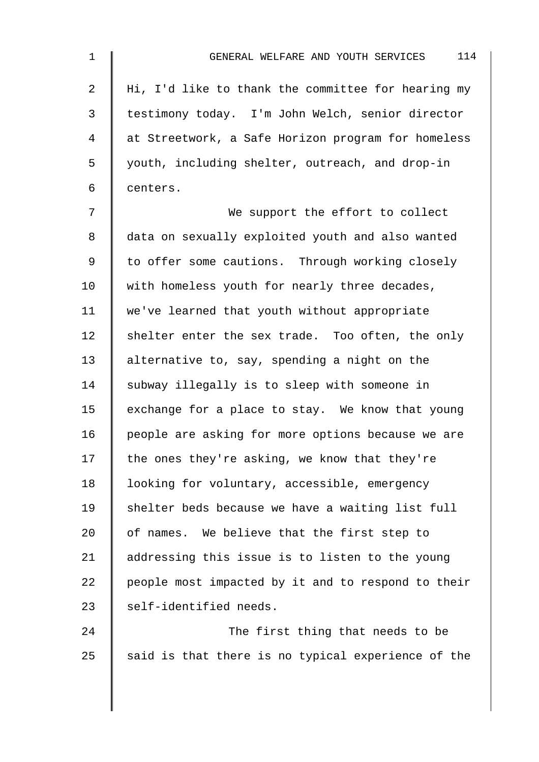| 1              | 114<br>GENERAL WELFARE AND YOUTH SERVICES          |
|----------------|----------------------------------------------------|
| $\overline{2}$ | Hi, I'd like to thank the committee for hearing my |
| $\mathfrak{Z}$ | testimony today. I'm John Welch, senior director   |
| 4              | at Streetwork, a Safe Horizon program for homeless |
| 5              | youth, including shelter, outreach, and drop-in    |
| 6              | centers.                                           |
| 7              | We support the effort to collect                   |
| 8              | data on sexually exploited youth and also wanted   |
| 9              | to offer some cautions. Through working closely    |
| 10             | with homeless youth for nearly three decades,      |
| 11             | we've learned that youth without appropriate       |
| 12             | shelter enter the sex trade. Too often, the only   |
| 13             | alternative to, say, spending a night on the       |
| 14             | subway illegally is to sleep with someone in       |
| 15             | exchange for a place to stay. We know that young   |
| 16             | people are asking for more options because we are  |
| 17             | the ones they're asking, we know that they're      |
| 18             | looking for voluntary, accessible, emergency       |
| 19             | shelter beds because we have a waiting list full   |
| 20             | of names. We believe that the first step to        |
| 21             | addressing this issue is to listen to the young    |
| 22             | people most impacted by it and to respond to their |
| 23             | self-identified needs.                             |
| 24             | The first thing that needs to be                   |
| 25             | said is that there is no typical experience of the |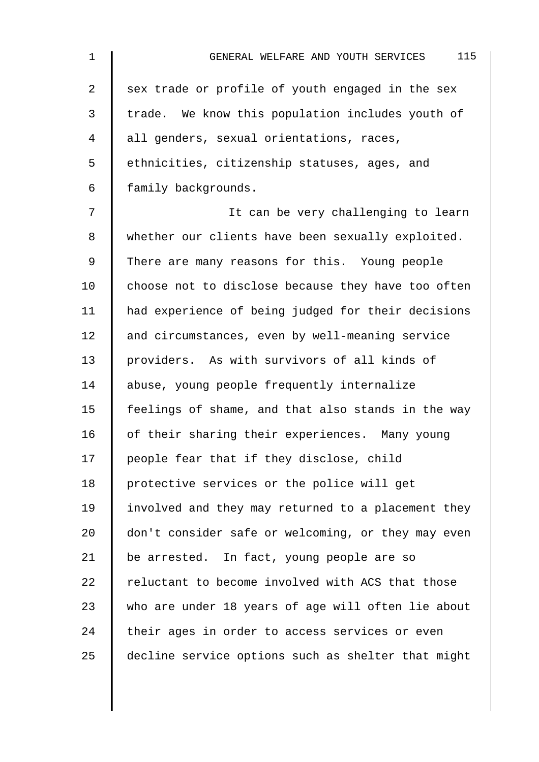| $\mathbf 1$    | 115<br>GENERAL WELFARE AND YOUTH SERVICES          |
|----------------|----------------------------------------------------|
| $\overline{a}$ | sex trade or profile of youth engaged in the sex   |
| 3              | trade. We know this population includes youth of   |
| 4              | all genders, sexual orientations, races,           |
| 5              | ethnicities, citizenship statuses, ages, and       |
| 6              | family backgrounds.                                |
| 7              | It can be very challenging to learn                |
| 8              | whether our clients have been sexually exploited.  |
| 9              | There are many reasons for this. Young people      |
| 10             | choose not to disclose because they have too often |
| 11             | had experience of being judged for their decisions |
| 12             | and circumstances, even by well-meaning service    |
| 13             | providers. As with survivors of all kinds of       |
| 14             | abuse, young people frequently internalize         |
| 15             | feelings of shame, and that also stands in the way |
| 16             | of their sharing their experiences. Many young     |
| 17             | people fear that if they disclose, child           |
| 18             | protective services or the police will get         |
| 19             | involved and they may returned to a placement they |
| 20             | don't consider safe or welcoming, or they may even |
| 21             | be arrested. In fact, young people are so          |
| 22             | reluctant to become involved with ACS that those   |
| 23             | who are under 18 years of age will often lie about |
| 24             | their ages in order to access services or even     |
| 25             | decline service options such as shelter that might |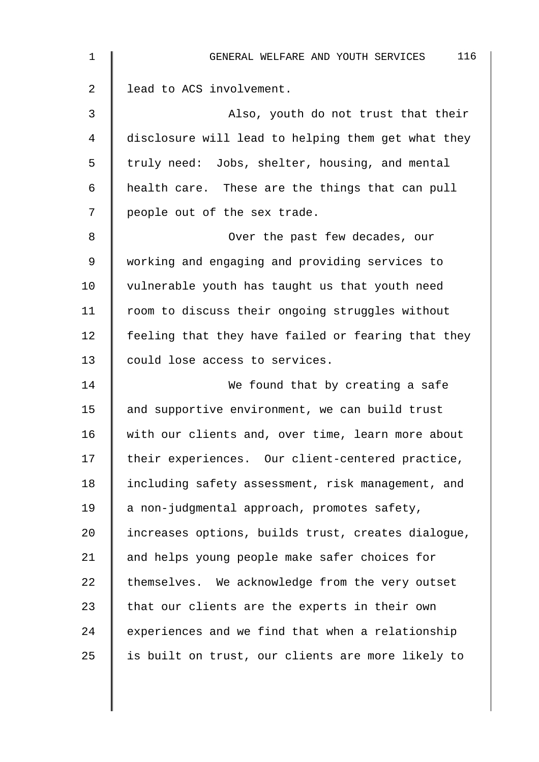| $\mathbf 1$    | 116<br>GENERAL WELFARE AND YOUTH SERVICES          |
|----------------|----------------------------------------------------|
| $\overline{2}$ | lead to ACS involvement.                           |
| 3              | Also, youth do not trust that their                |
| 4              | disclosure will lead to helping them get what they |
| 5              | truly need: Jobs, shelter, housing, and mental     |
| 6              | health care. These are the things that can pull    |
| 7              | people out of the sex trade.                       |
| 8              | Over the past few decades, our                     |
| 9              | working and engaging and providing services to     |
| 10             | vulnerable youth has taught us that youth need     |
| 11             | room to discuss their ongoing struggles without    |
| 12             | feeling that they have failed or fearing that they |
| 13             | could lose access to services.                     |
| 14             | We found that by creating a safe                   |
| 15             | and supportive environment, we can build trust     |
| 16             | with our clients and, over time, learn more about  |
| 17             | their experiences. Our client-centered practice,   |
| 18             | including safety assessment, risk management, and  |
| 19             | a non-judgmental approach, promotes safety,        |
| 20             | increases options, builds trust, creates dialogue, |
| 21             | and helps young people make safer choices for      |
| 22             | themselves. We acknowledge from the very outset    |
| 23             | that our clients are the experts in their own      |
| 24             | experiences and we find that when a relationship   |
| 25             | is built on trust, our clients are more likely to  |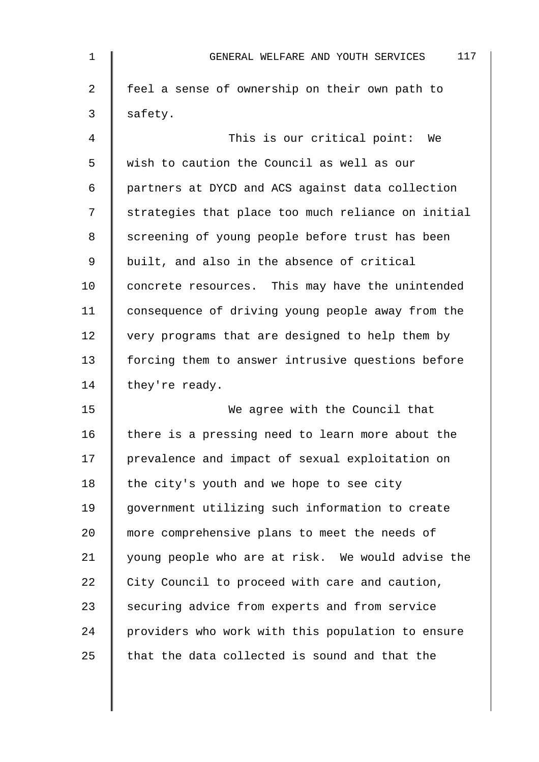| $\mathbf 1$    | 117<br>GENERAL WELFARE AND YOUTH SERVICES          |
|----------------|----------------------------------------------------|
| $\overline{2}$ | feel a sense of ownership on their own path to     |
| 3              | safety.                                            |
| 4              | This is our critical point: We                     |
| 5              | wish to caution the Council as well as our         |
| 6              | partners at DYCD and ACS against data collection   |
| 7              | strategies that place too much reliance on initial |
| 8              | screening of young people before trust has been    |
| 9              | built, and also in the absence of critical         |
| 10             | concrete resources. This may have the unintended   |
| 11             | consequence of driving young people away from the  |
| 12             | very programs that are designed to help them by    |
| 13             | forcing them to answer intrusive questions before  |
| 14             | they're ready.                                     |
| 15             | We agree with the Council that                     |
| 16             | there is a pressing need to learn more about the   |
| 17             | prevalence and impact of sexual exploitation on    |
| 18             | the city's youth and we hope to see city           |
| 19             | government utilizing such information to create    |
| 20             | more comprehensive plans to meet the needs of      |
| 21             | young people who are at risk. We would advise the  |
| 22             | City Council to proceed with care and caution,     |
| 23             | securing advice from experts and from service      |
| 24             | providers who work with this population to ensure  |
| 25             | that the data collected is sound and that the      |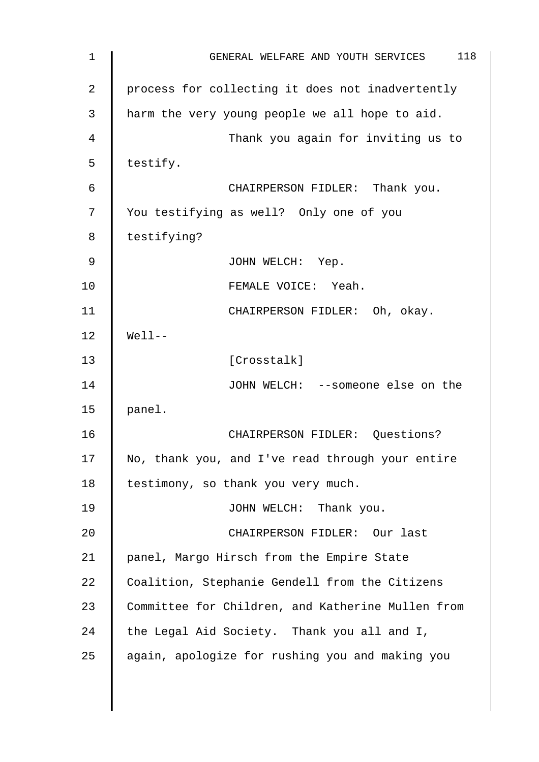| 1  | 118<br>GENERAL WELFARE AND YOUTH SERVICES         |
|----|---------------------------------------------------|
| 2  | process for collecting it does not inadvertently  |
| 3  | harm the very young people we all hope to aid.    |
| 4  | Thank you again for inviting us to                |
| 5  | testify.                                          |
| 6  | CHAIRPERSON FIDLER: Thank you.                    |
| 7  | You testifying as well? Only one of you           |
| 8  | testifying?                                       |
| 9  | JOHN WELCH: Yep.                                  |
| 10 | FEMALE VOICE: Yeah.                               |
| 11 | CHAIRPERSON FIDLER: Oh, okay.                     |
| 12 | $Well1$ --                                        |
| 13 | [Crosstalk]                                       |
| 14 | JOHN WELCH: --someone else on the                 |
| 15 | panel.                                            |
| 16 | CHAIRPERSON FIDLER: Questions?                    |
| 17 | No, thank you, and I've read through your entire  |
| 18 | testimony, so thank you very much.                |
| 19 | JOHN WELCH: Thank you.                            |
| 20 | CHAIRPERSON FIDLER: Our last                      |
| 21 | panel, Margo Hirsch from the Empire State         |
| 22 | Coalition, Stephanie Gendell from the Citizens    |
| 23 | Committee for Children, and Katherine Mullen from |
| 24 | the Legal Aid Society. Thank you all and I,       |
| 25 | again, apologize for rushing you and making you   |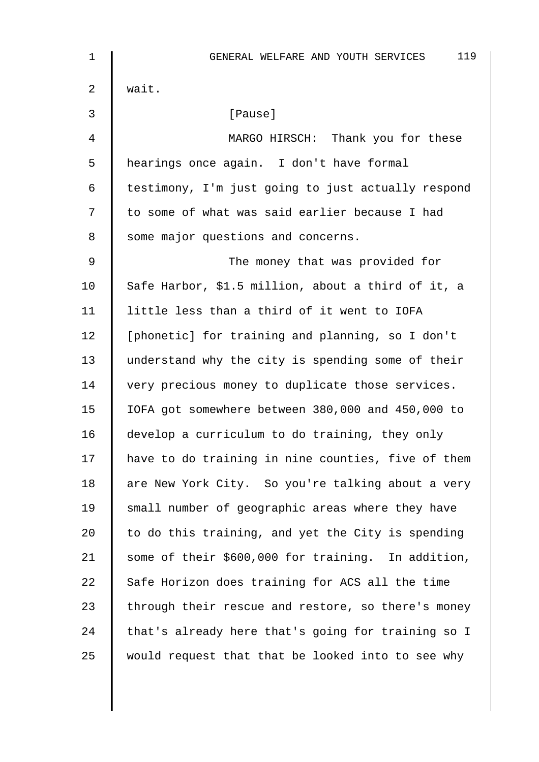| $\mathbf{1}$ | 119<br>GENERAL WELFARE AND YOUTH SERVICES          |
|--------------|----------------------------------------------------|
| 2            | wait.                                              |
| 3            | [Pause]                                            |
| 4            | MARGO HIRSCH: Thank you for these                  |
| 5            | hearings once again. I don't have formal           |
| 6            | testimony, I'm just going to just actually respond |
| 7            | to some of what was said earlier because I had     |
| 8            | some major questions and concerns.                 |
| $\mathsf 9$  | The money that was provided for                    |
| 10           | Safe Harbor, \$1.5 million, about a third of it, a |
| 11           | little less than a third of it went to IOFA        |
| 12           | [phonetic] for training and planning, so I don't   |
| 13           | understand why the city is spending some of their  |
| 14           | very precious money to duplicate those services.   |
| 15           | IOFA got somewhere between 380,000 and 450,000 to  |
| 16           | develop a curriculum to do training, they only     |
| 17           | have to do training in nine counties, five of them |
| 18           | are New York City. So you're talking about a very  |
| 19           | small number of geographic areas where they have   |
| 20           | to do this training, and yet the City is spending  |
| 21           | some of their \$600,000 for training. In addition, |
| 22           | Safe Horizon does training for ACS all the time    |
| 23           | through their rescue and restore, so there's money |
| 24           | that's already here that's going for training so I |
| 25           | would request that that be looked into to see why  |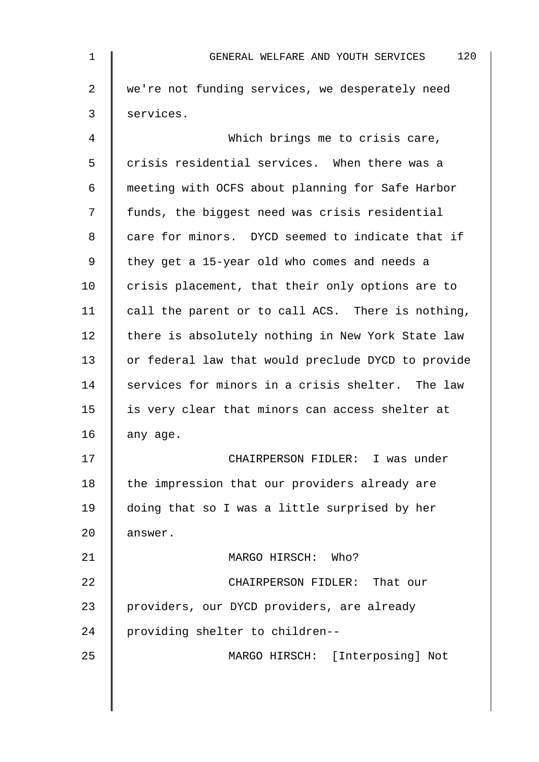| $\mathbf 1$ | 120<br>GENERAL WELFARE AND YOUTH SERVICES          |
|-------------|----------------------------------------------------|
| 2           | we're not funding services, we desperately need    |
| 3           | services.                                          |
| 4           | Which brings me to crisis care,                    |
| 5           | crisis residential services. When there was a      |
| 6           | meeting with OCFS about planning for Safe Harbor   |
| 7           | funds, the biggest need was crisis residential     |
| 8           | care for minors. DYCD seemed to indicate that if   |
| 9           | they get a 15-year old who comes and needs a       |
| 10          | crisis placement, that their only options are to   |
| 11          | call the parent or to call ACS. There is nothing,  |
| 12          | there is absolutely nothing in New York State law  |
| 13          | or federal law that would preclude DYCD to provide |
| 14          | services for minors in a crisis shelter. The law   |
| 15          | is very clear that minors can access shelter at    |
| 16          | any age.                                           |
| 17          | CHAIRPERSON FIDLER: I was under                    |
| 18          | the impression that our providers already are      |
| 19          | doing that so I was a little surprised by her      |
| 20          | answer.                                            |
| 21          | MARGO HIRSCH: Who?                                 |
| 22          | CHAIRPERSON FIDLER: That our                       |
| 23          | providers, our DYCD providers, are already         |
| 24          | providing shelter to children--                    |
| 25          | MARGO HIRSCH: [Interposing] Not                    |
|             |                                                    |
|             |                                                    |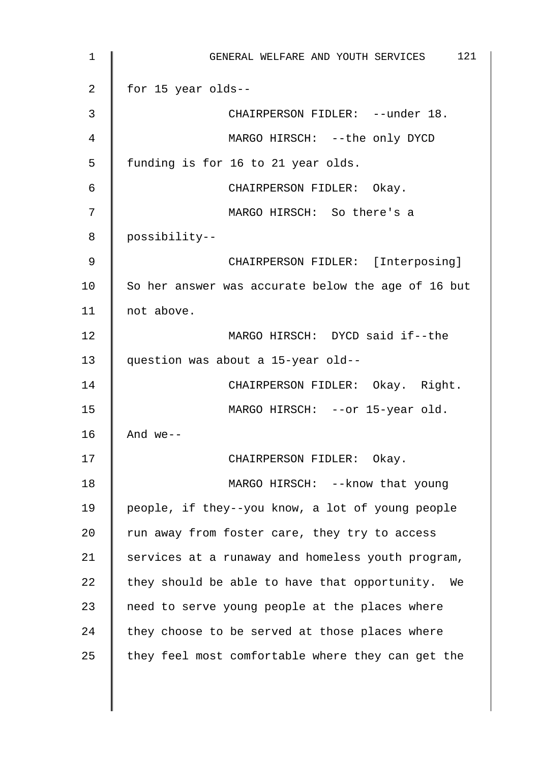1 || GENERAL WELFARE AND YOUTH SERVICES 121 2 | for 15 year olds--3 || CHAIRPERSON FIDLER: --under 18. 4 MARGO HIRSCH: --the only DYCD 5 | funding is for 16 to 21 year olds. 6 CHAIRPERSON FIDLER: Okay. 7 MARGO HIRSCH: So there's a 8 possibility-- 9 || CHAIRPERSON FIDLER: [Interposing]  $10$  So her answer was accurate below the age of 16 but 11 | not above. 12 MARGO HIRSCH: DYCD said if--the 13 question was about a 15-year old-- 14 | CHAIRPERSON FIDLER: Okay. Right. 15 | MARGO HIRSCH: --or 15-year old. 16  $\parallel$  And we--17 || CHAIRPERSON FIDLER: Okay. 18 | MARGO HIRSCH: --know that young 19 people, if they--you know, a lot of young people 20  $\parallel$  run away from foster care, they try to access  $21$  services at a runaway and homeless youth program, 22  $\parallel$  they should be able to have that opportunity. We 23  $\parallel$  need to serve young people at the places where 24  $\parallel$  they choose to be served at those places where 25  $\parallel$  they feel most comfortable where they can get the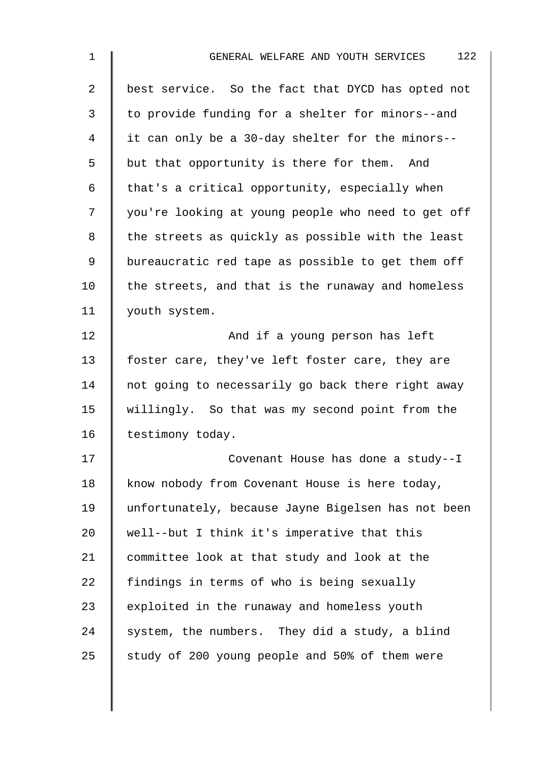| $\mathbf 1$    | 122<br>GENERAL WELFARE AND YOUTH SERVICES          |
|----------------|----------------------------------------------------|
| $\overline{a}$ | best service. So the fact that DYCD has opted not  |
| 3              | to provide funding for a shelter for minors--and   |
| 4              | it can only be a 30-day shelter for the minors--   |
| 5              | but that opportunity is there for them. And        |
| 6              | that's a critical opportunity, especially when     |
| 7              | you're looking at young people who need to get off |
| 8              | the streets as quickly as possible with the least  |
| 9              | bureaucratic red tape as possible to get them off  |
| 10             | the streets, and that is the runaway and homeless  |
| 11             | youth system.                                      |
| 12             | And if a young person has left                     |
| 13             | foster care, they've left foster care, they are    |
| 14             | not going to necessarily go back there right away  |
| 15             | willingly. So that was my second point from the    |
| 16             | testimony today.                                   |
| 17             | Covenant House has done a study--I                 |
| 18             | know nobody from Covenant House is here today,     |
| 19             | unfortunately, because Jayne Bigelsen has not been |
| 20             | well--but I think it's imperative that this        |
| 21             | committee look at that study and look at the       |
| 22             | findings in terms of who is being sexually         |
| 23             | exploited in the runaway and homeless youth        |
| 24             | system, the numbers. They did a study, a blind     |
| 25             | study of 200 young people and 50% of them were     |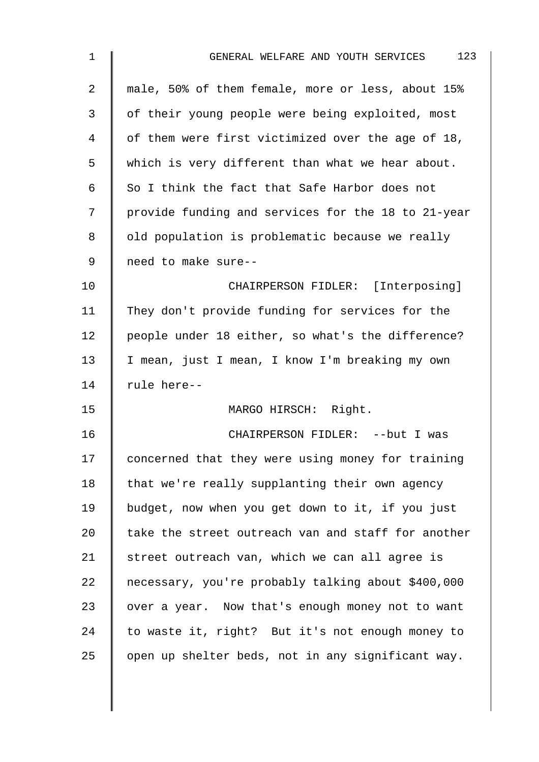| 1              | 123<br>GENERAL WELFARE AND YOUTH SERVICES          |
|----------------|----------------------------------------------------|
| $\overline{2}$ | male, 50% of them female, more or less, about 15%  |
| 3              | of their young people were being exploited, most   |
| 4              | of them were first victimized over the age of 18,  |
| 5              | which is very different than what we hear about.   |
| 6              | So I think the fact that Safe Harbor does not      |
| 7              | provide funding and services for the 18 to 21-year |
| 8              | old population is problematic because we really    |
| 9              | need to make sure--                                |
| 10             | CHAIRPERSON FIDLER: [Interposing]                  |
| 11             | They don't provide funding for services for the    |
| 12             | people under 18 either, so what's the difference?  |
| 13             | I mean, just I mean, I know I'm breaking my own    |
| 14             | rule here--                                        |
| 15             | MARGO HIRSCH: Right.                               |
| 16             | CHAIRPERSON FIDLER: -- but I was                   |
| 17             | concerned that they were using money for training  |
| 18             | that we're really supplanting their own agency     |
| 19             | budget, now when you get down to it, if you just   |
| 20             | take the street outreach van and staff for another |
| 21             | street outreach van, which we can all agree is     |
| 22             | necessary, you're probably talking about \$400,000 |
| 23             | over a year. Now that's enough money not to want   |
| 24             | to waste it, right? But it's not enough money to   |
| 25             | open up shelter beds, not in any significant way.  |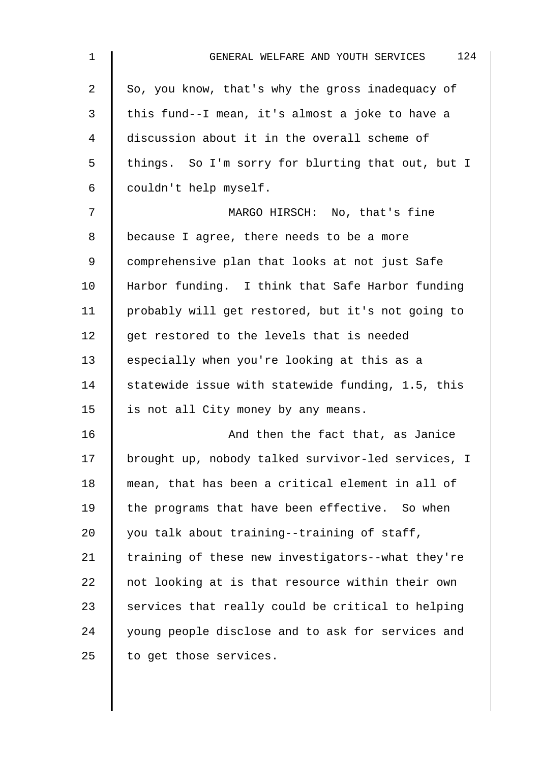| 1              | 124<br>GENERAL WELFARE AND YOUTH SERVICES          |
|----------------|----------------------------------------------------|
| $\overline{a}$ | So, you know, that's why the gross inadequacy of   |
| 3              | this fund--I mean, it's almost a joke to have a    |
| $\overline{4}$ | discussion about it in the overall scheme of       |
| 5              | things. So I'm sorry for blurting that out, but I  |
| 6              | couldn't help myself.                              |
| 7              | MARGO HIRSCH: No, that's fine                      |
| 8              | because I agree, there needs to be a more          |
| 9              | comprehensive plan that looks at not just Safe     |
| 10             | Harbor funding. I think that Safe Harbor funding   |
| 11             | probably will get restored, but it's not going to  |
| 12             | get restored to the levels that is needed          |
| 13             | especially when you're looking at this as a        |
| 14             | statewide issue with statewide funding, 1.5, this  |
| 15             | is not all City money by any means.                |
| 16             | And then the fact that, as Janice                  |
| 17             | brought up, nobody talked survivor-led services, I |
| 18             | mean, that has been a critical element in all of   |
| 19             | the programs that have been effective. So when     |
| 20             | you talk about training--training of staff,        |
| 21             | training of these new investigators--what they're  |
| 22             | not looking at is that resource within their own   |
| 23             | services that really could be critical to helping  |
| 24             | young people disclose and to ask for services and  |
| 25             | to get those services.                             |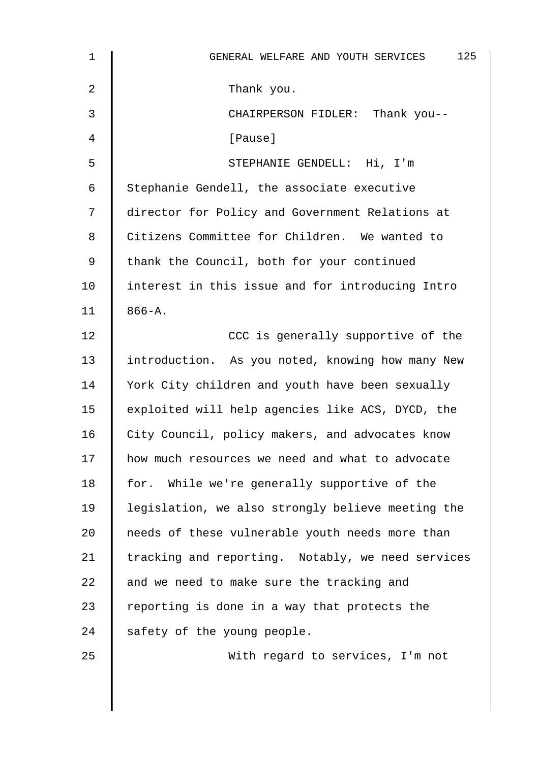| $\mathbf 1$    | 125<br>GENERAL WELFARE AND YOUTH SERVICES         |
|----------------|---------------------------------------------------|
| $\overline{2}$ | Thank you.                                        |
| 3              | CHAIRPERSON FIDLER: Thank you--                   |
| 4              | [Pause]                                           |
| 5              | STEPHANIE GENDELL: Hi, I'm                        |
| 6              | Stephanie Gendell, the associate executive        |
| 7              | director for Policy and Government Relations at   |
| 8              | Citizens Committee for Children. We wanted to     |
| 9              | thank the Council, both for your continued        |
| 10             | interest in this issue and for introducing Intro  |
| 11             | $866 - A.$                                        |
| 12             | CCC is generally supportive of the                |
| 13             | introduction. As you noted, knowing how many New  |
| 14             | York City children and youth have been sexually   |
| 15             | exploited will help agencies like ACS, DYCD, the  |
| 16             | City Council, policy makers, and advocates know   |
| 17             | how much resources we need and what to advocate   |
| 18             | for. While we're generally supportive of the      |
| 19             | legislation, we also strongly believe meeting the |
| 20             | needs of these vulnerable youth needs more than   |
| 21             | tracking and reporting. Notably, we need services |
| 22             | and we need to make sure the tracking and         |
| 23             | reporting is done in a way that protects the      |
| 24             | safety of the young people.                       |
| 25             | With regard to services, I'm not                  |
|                |                                                   |
|                |                                                   |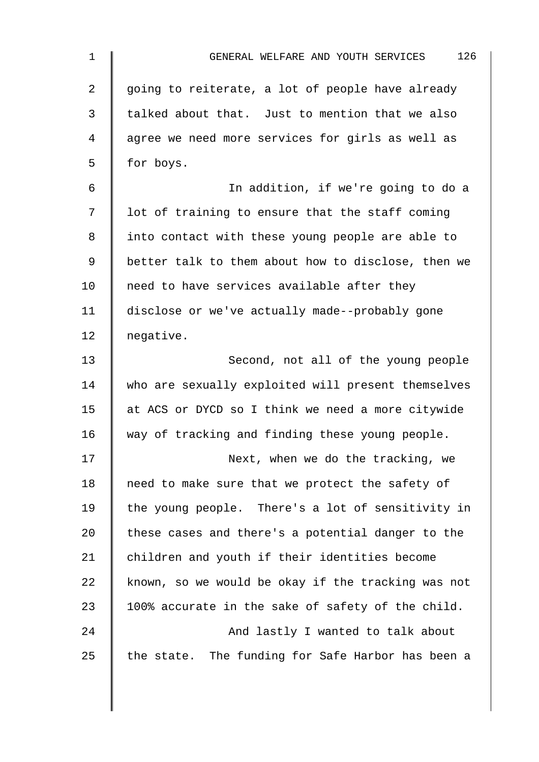| $\mathbf 1$    | 126<br>GENERAL WELFARE AND YOUTH SERVICES          |
|----------------|----------------------------------------------------|
| $\overline{2}$ | going to reiterate, a lot of people have already   |
| 3              | talked about that. Just to mention that we also    |
| 4              | agree we need more services for girls as well as   |
| 5              | for boys.                                          |
| 6              | In addition, if we're going to do a                |
| 7              | lot of training to ensure that the staff coming    |
| 8              | into contact with these young people are able to   |
| 9              | better talk to them about how to disclose, then we |
| 10             | need to have services available after they         |
| 11             | disclose or we've actually made--probably gone     |
| 12             | negative.                                          |
| 13             | Second, not all of the young people                |
| 14             | who are sexually exploited will present themselves |
| 15             | at ACS or DYCD so I think we need a more citywide  |
| 16             | way of tracking and finding these young people.    |
| 17             | Next, when we do the tracking, we                  |
| 18             | need to make sure that we protect the safety of    |
| 19             | the young people. There's a lot of sensitivity in  |
| 20             | these cases and there's a potential danger to the  |
| 21             | children and youth if their identities become      |
| 22             | known, so we would be okay if the tracking was not |
| 23             | 100% accurate in the sake of safety of the child.  |
| 24             | And lastly I wanted to talk about                  |
| 25             | the state. The funding for Safe Harbor has been a  |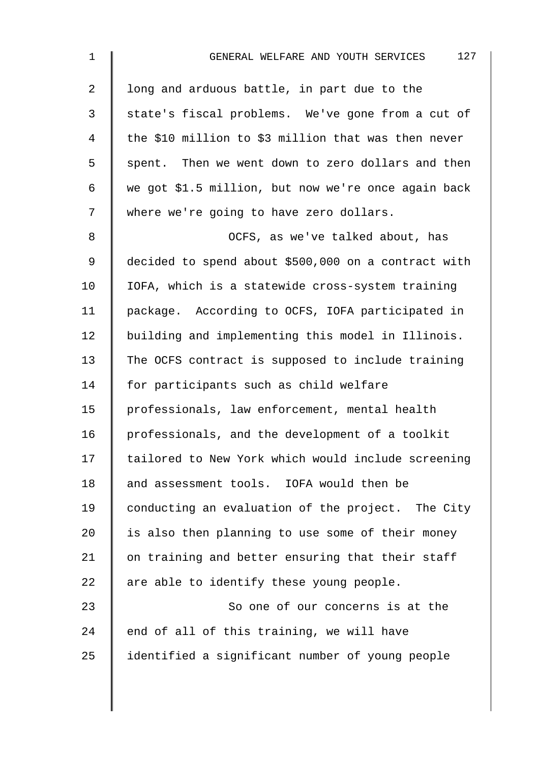| $\mathbf{1}$   | 127<br>GENERAL WELFARE AND YOUTH SERVICES           |
|----------------|-----------------------------------------------------|
| $\overline{2}$ | long and arduous battle, in part due to the         |
| $\mathfrak{Z}$ | state's fiscal problems. We've gone from a cut of   |
| 4              | the \$10 million to \$3 million that was then never |
| 5              | spent. Then we went down to zero dollars and then   |
| 6              | we got \$1.5 million, but now we're once again back |
| 7              | where we're going to have zero dollars.             |
| 8              | OCFS, as we've talked about, has                    |
| 9              | decided to spend about \$500,000 on a contract with |
| 10             | IOFA, which is a statewide cross-system training    |
| 11             | package. According to OCFS, IOFA participated in    |
| 12             | building and implementing this model in Illinois.   |
| 13             | The OCFS contract is supposed to include training   |
| 14             | for participants such as child welfare              |
| 15             | professionals, law enforcement, mental health       |
| 16             | professionals, and the development of a toolkit     |
| 17             | tailored to New York which would include screening  |
| 18             | and assessment tools. IOFA would then be            |
| 19             | conducting an evaluation of the project. The City   |
| 20             | is also then planning to use some of their money    |
| 21             | on training and better ensuring that their staff    |
| 22             | are able to identify these young people.            |
| 23             | So one of our concerns is at the                    |
| 24             | end of all of this training, we will have           |
| 25             | identified a significant number of young people     |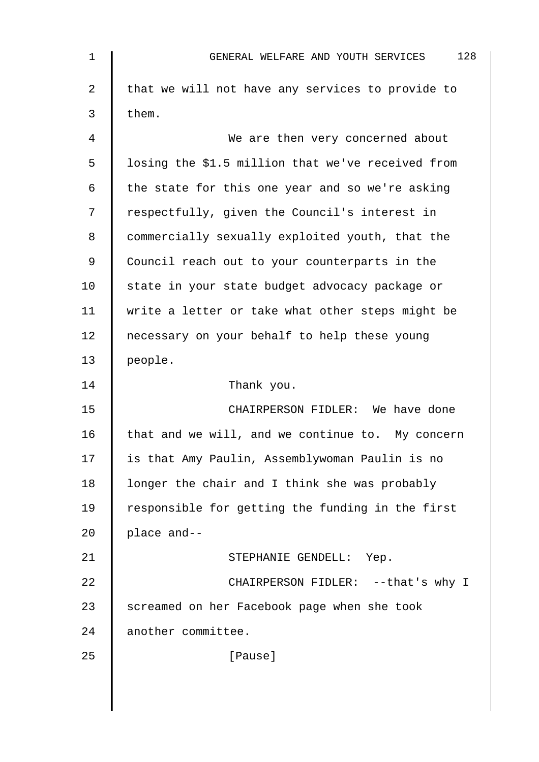| 1  | 128<br>GENERAL WELFARE AND YOUTH SERVICES         |
|----|---------------------------------------------------|
| 2  | that we will not have any services to provide to  |
| 3  | them.                                             |
| 4  | We are then very concerned about                  |
| 5  | losing the \$1.5 million that we've received from |
| 6  | the state for this one year and so we're asking   |
| 7  | respectfully, given the Council's interest in     |
| 8  | commercially sexually exploited youth, that the   |
| 9  | Council reach out to your counterparts in the     |
| 10 | state in your state budget advocacy package or    |
| 11 | write a letter or take what other steps might be  |
| 12 | necessary on your behalf to help these young      |
| 13 | people.                                           |
| 14 | Thank you.                                        |
| 15 | CHAIRPERSON FIDLER: We have done                  |
| 16 | that and we will, and we continue to. My concern  |
| 17 | is that Amy Paulin, Assemblywoman Paulin is no    |
| 18 | longer the chair and I think she was probably     |
| 19 | responsible for getting the funding in the first  |
| 20 | place and--                                       |
| 21 | STEPHANIE GENDELL: Yep.                           |
| 22 | CHAIRPERSON FIDLER: -- that's why I               |
| 23 | screamed on her Facebook page when she took       |
| 24 | another committee.                                |
| 25 | [Pause]                                           |
|    |                                                   |
|    |                                                   |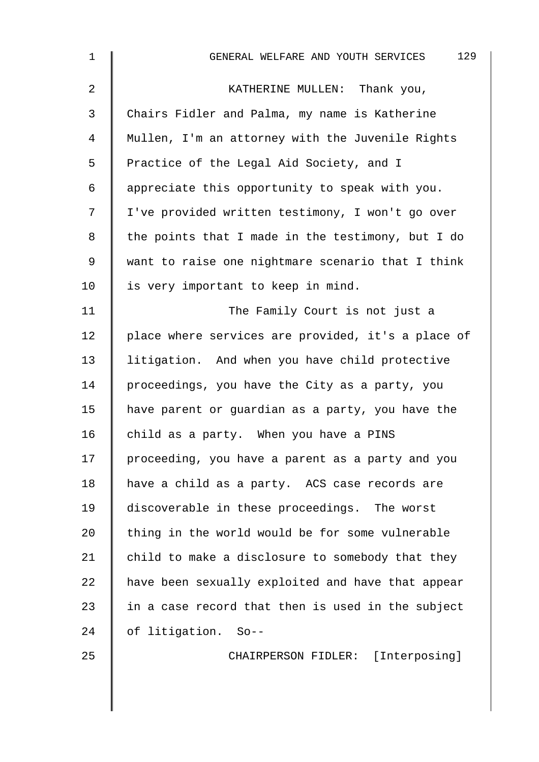| $\mathbf 1$ | 129<br>GENERAL WELFARE AND YOUTH SERVICES          |
|-------------|----------------------------------------------------|
| 2           | KATHERINE MULLEN: Thank you,                       |
| 3           | Chairs Fidler and Palma, my name is Katherine      |
| 4           | Mullen, I'm an attorney with the Juvenile Rights   |
| 5           | Practice of the Legal Aid Society, and I           |
| 6           | appreciate this opportunity to speak with you.     |
| 7           | I've provided written testimony, I won't go over   |
| 8           | the points that I made in the testimony, but I do  |
| 9           | want to raise one nightmare scenario that I think  |
| 10          | is very important to keep in mind.                 |
| 11          | The Family Court is not just a                     |
| 12          | place where services are provided, it's a place of |
| 13          | litigation. And when you have child protective     |
| 14          | proceedings, you have the City as a party, you     |
| 15          | have parent or guardian as a party, you have the   |
| 16          | child as a party. When you have a PINS             |
| 17          | proceeding, you have a parent as a party and you   |
| 18          | have a child as a party. ACS case records are      |
| 19          | discoverable in these proceedings. The worst       |
| 20          | thing in the world would be for some vulnerable    |
| 21          | child to make a disclosure to somebody that they   |
| 22          | have been sexually exploited and have that appear  |
| 23          | in a case record that then is used in the subject  |
| 24          | of litigation. So--                                |
| 25          | CHAIRPERSON FIDLER: [Interposing]                  |
|             |                                                    |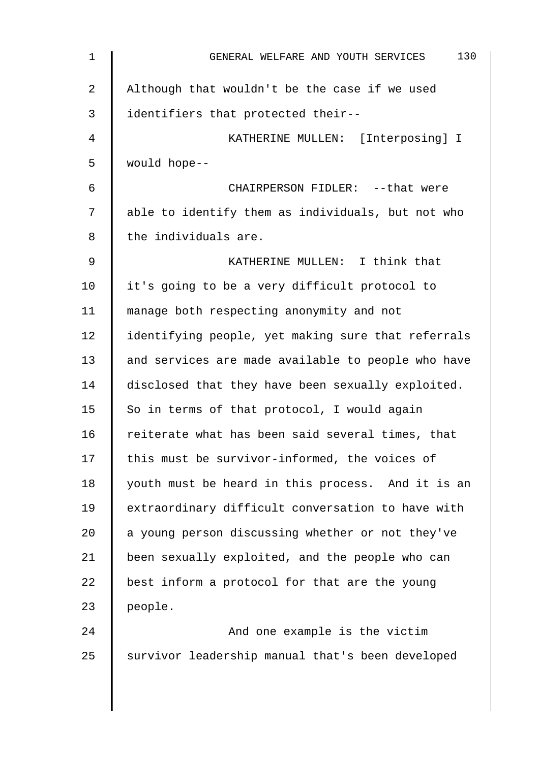| $\mathbf 1$ | 130<br>GENERAL WELFARE AND YOUTH SERVICES          |
|-------------|----------------------------------------------------|
| 2           | Although that wouldn't be the case if we used      |
| 3           | identifiers that protected their--                 |
| 4           | KATHERINE MULLEN: [Interposing] I                  |
| 5           | would hope--                                       |
| 6           | CHAIRPERSON FIDLER: -- that were                   |
| 7           | able to identify them as individuals, but not who  |
| 8           | the individuals are.                               |
| 9           | KATHERINE MULLEN: I think that                     |
| 10          | it's going to be a very difficult protocol to      |
| 11          | manage both respecting anonymity and not           |
| 12          | identifying people, yet making sure that referrals |
| 13          | and services are made available to people who have |
| 14          | disclosed that they have been sexually exploited.  |
| 15          | So in terms of that protocol, I would again        |
| 16          | reiterate what has been said several times, that   |
| 17          | this must be survivor-informed, the voices of      |
| 18          | youth must be heard in this process. And it is an  |
| 19          | extraordinary difficult conversation to have with  |
| 20          | a young person discussing whether or not they've   |
| 21          | been sexually exploited, and the people who can    |
| 22          | best inform a protocol for that are the young      |
| 23          | people.                                            |
| 24          | And one example is the victim                      |
| 25          | survivor leadership manual that's been developed   |
|             |                                                    |
|             |                                                    |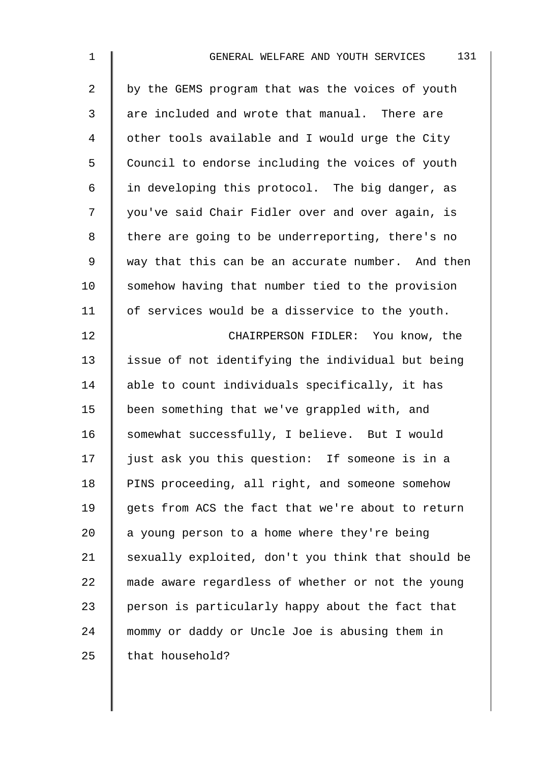| $\mathbf 1$    | 131<br>GENERAL WELFARE AND YOUTH SERVICES          |
|----------------|----------------------------------------------------|
| $\overline{2}$ | by the GEMS program that was the voices of youth   |
| $\mathbf{3}$   | are included and wrote that manual. There are      |
| 4              | other tools available and I would urge the City    |
| 5              | Council to endorse including the voices of youth   |
| 6              | in developing this protocol. The big danger, as    |
| 7              | you've said Chair Fidler over and over again, is   |
| 8              | there are going to be underreporting, there's no   |
| 9              | way that this can be an accurate number. And then  |
| 10             | somehow having that number tied to the provision   |
| 11             | of services would be a disservice to the youth.    |
| 12             | CHAIRPERSON FIDLER: You know, the                  |
| 13             | issue of not identifying the individual but being  |
| 14             | able to count individuals specifically, it has     |
| 15             | been something that we've grappled with, and       |
| 16             | somewhat successfully, I believe. But I would      |
| 17             | just ask you this question: If someone is in a     |
| 18             | PINS proceeding, all right, and someone somehow    |
| 19             | gets from ACS the fact that we're about to return  |
| 20             | a young person to a home where they're being       |
| 21             | sexually exploited, don't you think that should be |
| 22             | made aware regardless of whether or not the young  |
| 23             | person is particularly happy about the fact that   |
| 24             | mommy or daddy or Uncle Joe is abusing them in     |
| 25             | that household?                                    |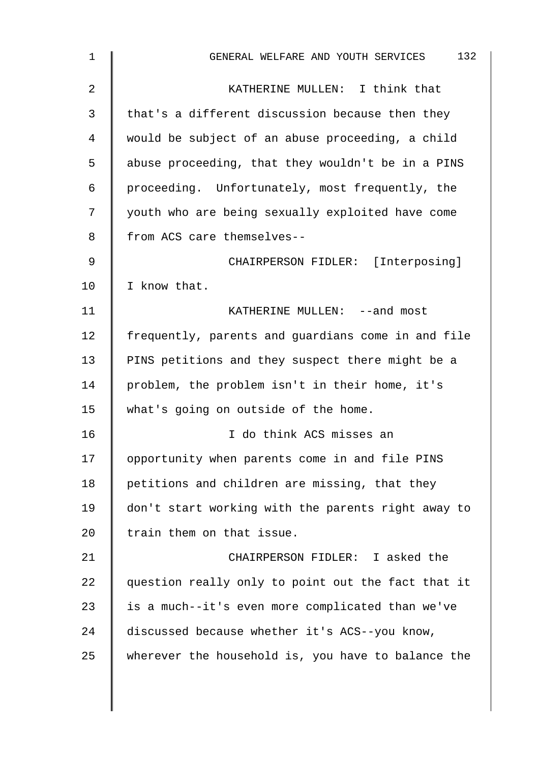| 1  | 132<br>GENERAL WELFARE AND YOUTH SERVICES          |
|----|----------------------------------------------------|
| 2  | KATHERINE MULLEN: I think that                     |
| 3  | that's a different discussion because then they    |
| 4  | would be subject of an abuse proceeding, a child   |
| 5  | abuse proceeding, that they wouldn't be in a PINS  |
| 6  | proceeding. Unfortunately, most frequently, the    |
| 7  | youth who are being sexually exploited have come   |
| 8  | from ACS care themselves--                         |
| 9  | CHAIRPERSON FIDLER: [Interposing]                  |
| 10 | I know that.                                       |
| 11 | KATHERINE MULLEN: --and most                       |
| 12 | frequently, parents and guardians come in and file |
| 13 | PINS petitions and they suspect there might be a   |
| 14 | problem, the problem isn't in their home, it's     |
| 15 | what's going on outside of the home.               |
| 16 | I do think ACS misses an                           |
| 17 | opportunity when parents come in and file PINS     |
| 18 | petitions and children are missing, that they      |
| 19 | don't start working with the parents right away to |
| 20 | train them on that issue.                          |
| 21 | CHAIRPERSON FIDLER: I asked the                    |
| 22 | question really only to point out the fact that it |
| 23 | is a much--it's even more complicated than we've   |
| 24 | discussed because whether it's ACS--you know,      |
| 25 | wherever the household is, you have to balance the |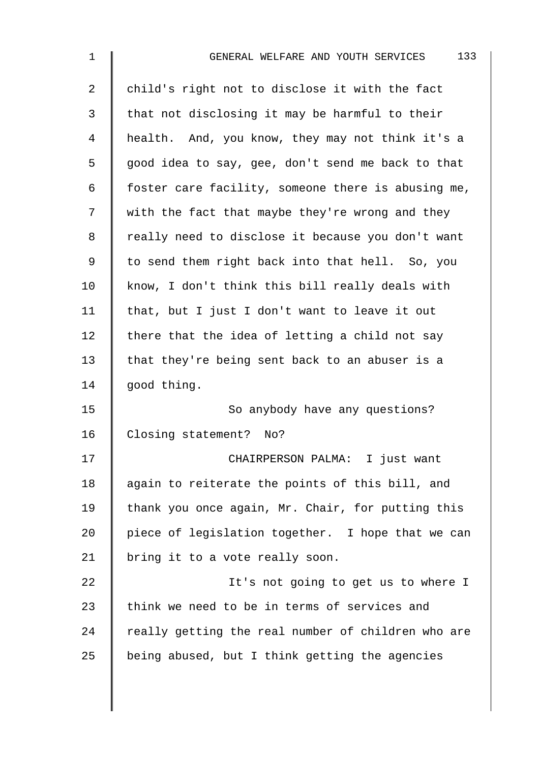| 1  | 133<br>GENERAL WELFARE AND YOUTH SERVICES          |
|----|----------------------------------------------------|
| 2  | child's right not to disclose it with the fact     |
| 3  | that not disclosing it may be harmful to their     |
| 4  | health. And, you know, they may not think it's a   |
| 5  | good idea to say, gee, don't send me back to that  |
| 6  | foster care facility, someone there is abusing me, |
| 7  | with the fact that maybe they're wrong and they    |
| 8  | really need to disclose it because you don't want  |
| 9  | to send them right back into that hell. So, you    |
| 10 | know, I don't think this bill really deals with    |
| 11 | that, but I just I don't want to leave it out      |
| 12 | there that the idea of letting a child not say     |
| 13 | that they're being sent back to an abuser is a     |
| 14 | good thing.                                        |
| 15 | So anybody have any questions?                     |
| 16 | Closing statement? No?                             |
| 17 | CHAIRPERSON PALMA: I just want                     |
| 18 | again to reiterate the points of this bill, and    |
| 19 | thank you once again, Mr. Chair, for putting this  |
| 20 | piece of legislation together. I hope that we can  |
| 21 | bring it to a vote really soon.                    |
| 22 | It's not going to get us to where I                |
| 23 | think we need to be in terms of services and       |
| 24 | really getting the real number of children who are |
| 25 | being abused, but I think getting the agencies     |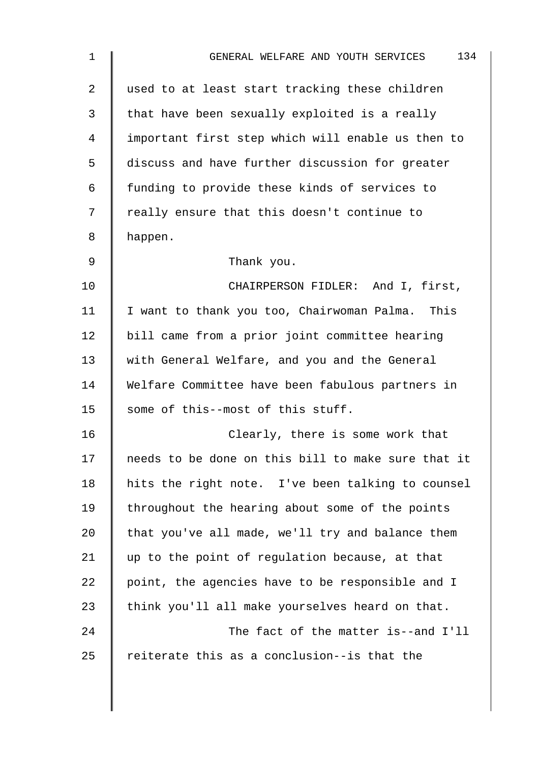| $\mathbf 1$ | 134<br>GENERAL WELFARE AND YOUTH SERVICES          |
|-------------|----------------------------------------------------|
| 2           | used to at least start tracking these children     |
| 3           | that have been sexually exploited is a really      |
| 4           | important first step which will enable us then to  |
| 5           | discuss and have further discussion for greater    |
| 6           | funding to provide these kinds of services to      |
| 7           | really ensure that this doesn't continue to        |
| 8           | happen.                                            |
| $\mathsf 9$ | Thank you.                                         |
| 10          | CHAIRPERSON FIDLER: And I, first,                  |
| 11          | I want to thank you too, Chairwoman Palma. This    |
| 12          | bill came from a prior joint committee hearing     |
| 13          | with General Welfare, and you and the General      |
| 14          | Welfare Committee have been fabulous partners in   |
| 15          | some of this--most of this stuff.                  |
| 16          | Clearly, there is some work that                   |
| 17          | needs to be done on this bill to make sure that it |
| 18          | hits the right note. I've been talking to counsel  |
| 19          | throughout the hearing about some of the points    |
| 20          | that you've all made, we'll try and balance them   |
| 21          | up to the point of regulation because, at that     |
| 22          | point, the agencies have to be responsible and I   |
| 23          | think you'll all make yourselves heard on that.    |
| 24          | The fact of the matter is--and I'll                |
| 25          | reiterate this as a conclusion--is that the        |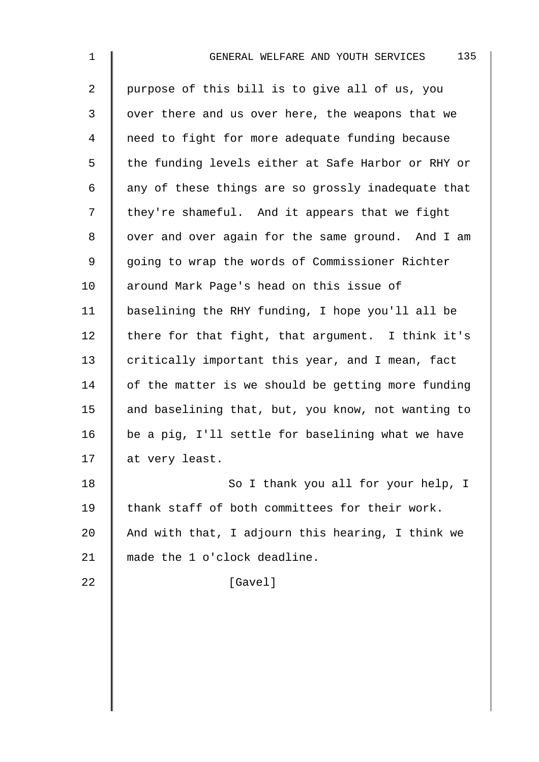| $\mathbf 1$ | 135<br>GENERAL WELFARE AND YOUTH SERVICES          |
|-------------|----------------------------------------------------|
| 2           | purpose of this bill is to give all of us, you     |
| 3           | over there and us over here, the weapons that we   |
| 4           | need to fight for more adequate funding because    |
| 5           | the funding levels either at Safe Harbor or RHY or |
| 6           | any of these things are so grossly inadequate that |
| 7           | they're shameful. And it appears that we fight     |
| 8           | over and over again for the same ground. And I am  |
| 9           | going to wrap the words of Commissioner Richter    |
| 10          | around Mark Page's head on this issue of           |
| 11          | baselining the RHY funding, I hope you'll all be   |
| 12          | there for that fight, that argument. I think it's  |
| 13          | critically important this year, and I mean, fact   |
| 14          | of the matter is we should be getting more funding |
| 15          | and baselining that, but, you know, not wanting to |
| 16          | be a pig, I'll settle for baselining what we have  |
| 17          | at very least.                                     |
| 18          | So I thank you all for your help, I                |
| 19          | thank staff of both committees for their work.     |
| 20          | And with that, I adjourn this hearing, I think we  |
| 21          | made the 1 o'clock deadline.                       |
| 22          | [Gavel]                                            |
|             |                                                    |